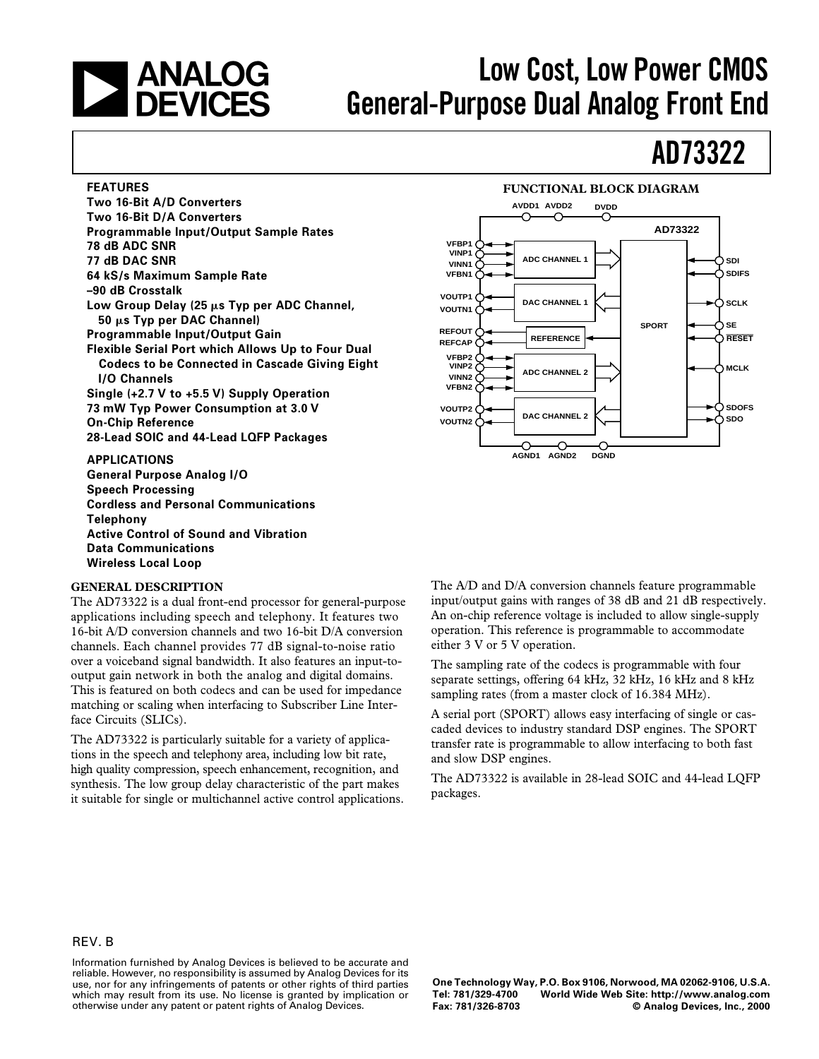# **CONDITY ANALOG**<br> **CONOCIS** General-Purpose Dual Analog Front End

## **AD73322**

#### **FEATURES**

**Two 16-Bit A/D Converters Two 16-Bit D/A Converters Programmable Input/Output Sample Rates 78 dB ADC SNR 77 dB DAC SNR 64 kS/s Maximum Sample Rate –90 dB Crosstalk** Low Group Delay (25  $\mu$ s Typ per ADC Channel, **50** m**s Typ per DAC Channel) Programmable Input/Output Gain Flexible Serial Port which Allows Up to Four Dual Codecs to be Connected in Cascade Giving Eight I/O Channels Single (+2.7 V to +5.5 V) Supply Operation 73 mW Typ Power Consumption at 3.0 V On-Chip Reference 28-Lead SOIC and 44-Lead LQFP Packages**

**APPLICATIONS General Purpose Analog I/O Speech Processing Cordless and Personal Communications Telephony Active Control of Sound and Vibration Data Communications Wireless Local Loop**

#### **GENERAL DESCRIPTION**

The AD73322 is a dual front-end processor for general-purpose applications including speech and telephony. It features two 16-bit A/D conversion channels and two 16-bit D/A conversion channels. Each channel provides 77␣ dB signal-to-noise ratio over a voiceband signal bandwidth. It also features an input-tooutput gain network in both the analog and digital domains. This is featured on both codecs and can be used for impedance matching or scaling when interfacing to Subscriber Line Interface Circuits (SLICs).

The AD73322 is particularly suitable for a variety of applications in the speech and telephony area, including low bit rate, high quality compression, speech enhancement, recognition, and synthesis. The low group delay characteristic of the part makes it suitable for single or multichannel active control applications.



The A/D and D/A conversion channels feature programmable input/output gains with ranges of 38 dB and 21 dB respectively. An on-chip reference voltage is included to allow single-supply operation. This reference is programmable to accommodate either 3 V or 5 V operation.

The sampling rate of the codecs is programmable with four separate settings, offering 64 kHz, 32 kHz, 16 kHz and 8 kHz sampling rates (from a master clock of 16.384 MHz).

A serial port (SPORT) allows easy interfacing of single or cascaded devices to industry standard DSP engines. The SPORT transfer rate is programmable to allow interfacing to both fast and slow DSP engines.

The AD73322 is available in 28-lead SOIC and 44-lead LQFP packages.

#### REV. B

Information furnished by Analog Devices is believed to be accurate and reliable. However, no responsibility is assumed by Analog Devices for its use, nor for any infringements of patents or other rights of third parties which may result from its use. No license is granted by implication or otherwise under any patent or patent rights of Analog Devices.

**One Technology Way, P.O. Box 9106, Norwood, MA 02062-9106, U.S.A. Tel: 781/329-4700 World Wide Web Site: http://www.analog.com**  $©$  Analog Devices, Inc., 2000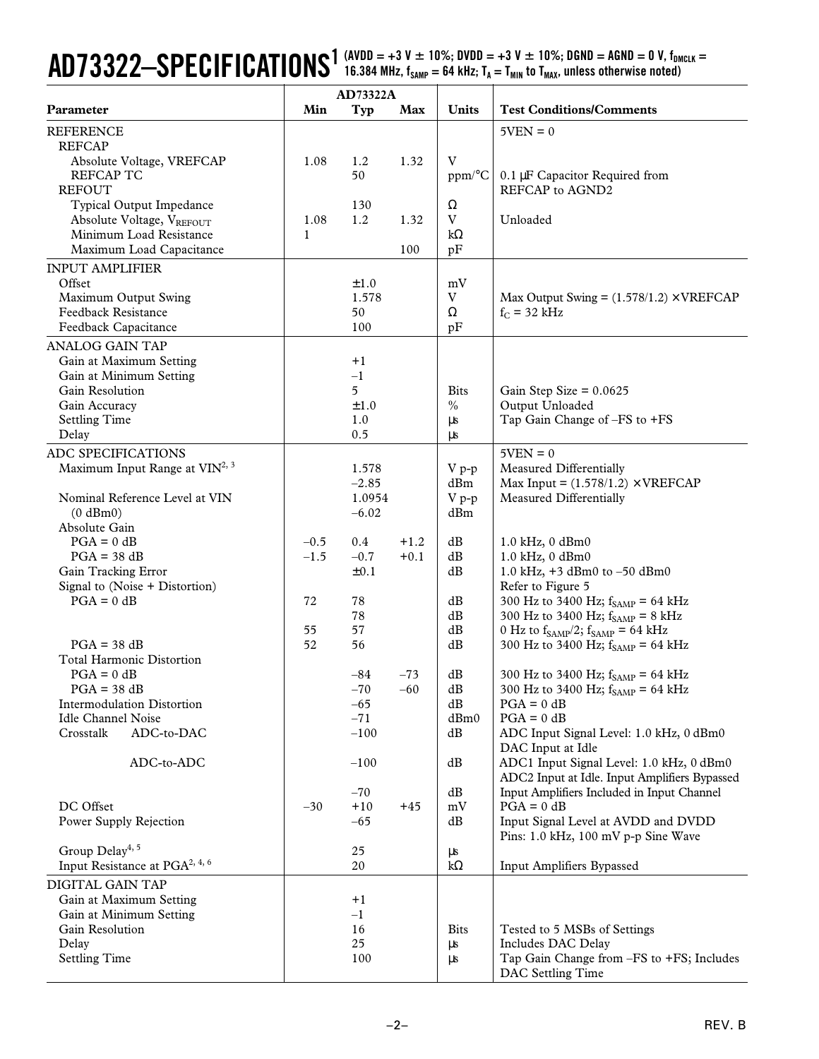### $AD73322-SPECIFICATIONS^{1 (AVDD = +3 V ± 10\%; DVD = +3 V ± 10\%; DGND = AGND = 0 V, f_{DMCLK} = 0.002787)$ 16.384 MHz,  $f_{SAMP} = 64$  kHz;  $T_A = T_{MIN}$  to  $T_{MAX}$ , unless otherwise noted)

|                                                                                  | AD73322A         |                   |                  |                               |                                                                                           |
|----------------------------------------------------------------------------------|------------------|-------------------|------------------|-------------------------------|-------------------------------------------------------------------------------------------|
| Parameter                                                                        | Min              | Typ               | Max              | Units                         | <b>Test Conditions/Comments</b>                                                           |
| <b>REFERENCE</b><br><b>REFCAP</b>                                                |                  |                   |                  |                               | $5VEN = 0$                                                                                |
| Absolute Voltage, VREFCAP<br><b>REFCAP TC</b><br><b>REFOUT</b>                   | 1.08             | 1.2<br>50         | 1.32             | $\mathbf V$<br>ppm/°C         | 0.1 µF Capacitor Required from<br>REFCAP to AGND2                                         |
| Typical Output Impedance<br>Absolute Voltage, VREFOUT<br>Minimum Load Resistance | 1.08<br>1        | 130<br>1.2        | 1.32             | Ω<br>$\mathbf V$<br>$k\Omega$ | Unloaded                                                                                  |
| Maximum Load Capacitance                                                         |                  |                   | 100              | pF                            |                                                                                           |
| <b>INPUT AMPLIFIER</b><br>Offset                                                 |                  | ±1.0              |                  | mV                            |                                                                                           |
| Maximum Output Swing<br><b>Feedback Resistance</b>                               |                  | 1.578<br>50       |                  | V<br>Ω                        | Max Output Swing = $(1.578/1.2) \times VREFCAP$<br>$f_C = 32$ kHz                         |
| Feedback Capacitance                                                             |                  | 100               |                  | pF                            |                                                                                           |
| <b>ANALOG GAIN TAP</b>                                                           |                  |                   |                  |                               |                                                                                           |
| Gain at Maximum Setting                                                          |                  | $+1$              |                  |                               |                                                                                           |
| Gain at Minimum Setting                                                          |                  | $-1$              |                  |                               |                                                                                           |
| Gain Resolution<br>Gain Accuracy                                                 |                  | 5<br>±1.0         |                  | <b>Bits</b><br>$\%$           | Gain Step Size = $0.0625$<br>Output Unloaded                                              |
| <b>Settling Time</b>                                                             |                  | 1.0               |                  | $\mu s$                       | Tap Gain Change of -FS to +FS                                                             |
| Delay                                                                            |                  | 0.5               |                  | $\mu s$                       |                                                                                           |
| ADC SPECIFICATIONS                                                               |                  |                   |                  |                               | $5VEN = 0$                                                                                |
| Maximum Input Range at VIN <sup>2, 3</sup>                                       |                  | 1.578             |                  | $V p-p$                       | Measured Differentially                                                                   |
|                                                                                  |                  | $-2.85$           |                  | dBm                           | Max Input = $(1.578/1.2) \times \text{VREFCAP}$                                           |
| Nominal Reference Level at VIN<br>(0 dBm0)                                       |                  | 1.0954<br>$-6.02$ |                  | $V p-p$<br>dBm                | Measured Differentially                                                                   |
| Absolute Gain                                                                    |                  |                   |                  |                               |                                                                                           |
| $PGA = 0$ dB<br>$PGA = 38 dB$                                                    | $-0.5$<br>$-1.5$ | 0.4<br>$-0.7$     | $+1.2$<br>$+0.1$ | dB<br>dB                      | 1.0 kHz, 0 dBm0<br>1.0 kHz, 0 dBm0                                                        |
| Gain Tracking Error                                                              |                  | $\pm 0.1$         |                  | dB                            | 1.0 kHz, +3 dBm0 to -50 dBm0                                                              |
| Signal to (Noise + Distortion)                                                   |                  |                   |                  |                               | Refer to Figure 5                                                                         |
| $PGA = 0 dB$                                                                     | 72               | 78                |                  | dB                            | 300 Hz to 3400 Hz; $f_{SAMP} = 64$ kHz                                                    |
|                                                                                  |                  | 78                |                  | dB                            | 300 Hz to 3400 Hz; $f_{SAMP} = 8$ kHz                                                     |
| $PGA = 38 dB$                                                                    | 55<br>52         | 57<br>56          |                  | $\mathrm{dB}$<br>dB           | 0 Hz to $f_{SAMP}/2$ ; $f_{SAMP} = 64$ kHz<br>300 Hz to 3400 Hz; $f_{SAMP} = 64$ kHz      |
| <b>Total Harmonic Distortion</b>                                                 |                  |                   |                  |                               |                                                                                           |
| $PGA = 0 dB$                                                                     |                  | $-84$             | $-73$            | dB                            | 300 Hz to 3400 Hz; $f_{SAMP} = 64$ kHz                                                    |
| $PGA = 38 dB$                                                                    |                  | $-70$             | $-60$            | dВ                            | 300 Hz to 3400 Hz; $t_{SAMP}$ = 64 kHz                                                    |
| Intermodulation Distortion                                                       |                  | $-65$             |                  | dB                            | $PGA = 0 dB$                                                                              |
| <b>Idle Channel Noise</b><br>Crosstalk<br>ADC-to-DAC                             |                  | $-71$<br>$-100$   |                  | dBm0<br>dB                    | $PGA = 0 dB$<br>ADC Input Signal Level: 1.0 kHz, 0 dBm0                                   |
|                                                                                  |                  |                   |                  |                               | DAC Input at Idle                                                                         |
| ADC-to-ADC                                                                       |                  | $-100$            |                  | dB                            | ADC1 Input Signal Level: 1.0 kHz, 0 dBm0<br>ADC2 Input at Idle. Input Amplifiers Bypassed |
|                                                                                  |                  | $-70$             |                  | dB                            | Input Amplifiers Included in Input Channel                                                |
| DC Offset                                                                        | $-30$            | $+10$             | $+45$            | $\rm mV$                      | $PGA = 0 dB$                                                                              |
| Power Supply Rejection                                                           |                  | $-65$             |                  | dB                            | Input Signal Level at AVDD and DVDD<br>Pins: 1.0 kHz, 100 mV p-p Sine Wave                |
| Group Delay <sup>4, 5</sup>                                                      |                  | 25                |                  | μs                            |                                                                                           |
| Input Resistance at PGA <sup>2, 4, 6</sup>                                       |                  | 20                |                  | $k\Omega$                     | Input Amplifiers Bypassed                                                                 |
| DIGITAL GAIN TAP                                                                 |                  |                   |                  |                               |                                                                                           |
| Gain at Maximum Setting                                                          |                  | $+1$              |                  |                               |                                                                                           |
| Gain at Minimum Setting<br>Gain Resolution                                       |                  | $-1$<br>16        |                  | <b>Bits</b>                   | Tested to 5 MSBs of Settings                                                              |
| Delay                                                                            |                  | 25                |                  | $\mu s$                       | Includes DAC Delay                                                                        |
| <b>Settling Time</b>                                                             |                  | 100               |                  | $\mu s$                       | Tap Gain Change from -FS to +FS; Includes<br>DAC Settling Time                            |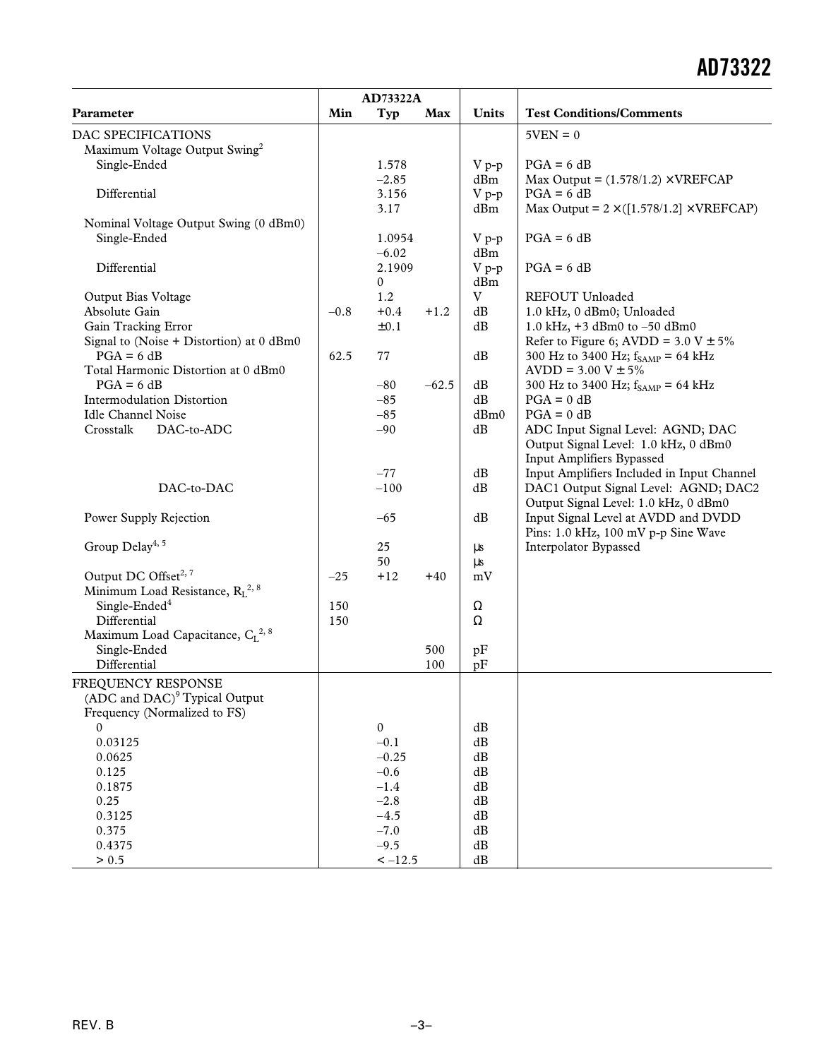|                                              | AD73322A |              |         |                                |                                                    |
|----------------------------------------------|----------|--------------|---------|--------------------------------|----------------------------------------------------|
| Parameter                                    | Min      | Typ          | Max     | <b>Units</b>                   | <b>Test Conditions/Comments</b>                    |
| DAC SPECIFICATIONS                           |          |              |         |                                | $5VEN = 0$                                         |
| Maximum Voltage Output Swing <sup>2</sup>    |          |              |         |                                |                                                    |
| Single-Ended                                 |          | 1.578        |         | $V p-p$                        | $PGA = 6 dB$                                       |
|                                              |          | $-2.85$      |         | dBm                            | Max Output = $(1.578/1.2) \times VREFCAP$          |
| Differential                                 |          | 3.156        |         | $V p-p$                        | $PGA = 6 dB$                                       |
|                                              |          | 3.17         |         | dBm                            | Max Output = $2 \times (1.578/1.2) \times VREFCAP$ |
| Nominal Voltage Output Swing (0 dBm0)        |          |              |         |                                |                                                    |
| Single-Ended                                 |          | 1.0954       |         | $V p-p$                        | $PGA = 6 dB$                                       |
|                                              |          | $-6.02$      |         | dBm                            |                                                    |
| Differential                                 |          | 2.1909       |         | $V p-p$                        | $PGA = 6 dB$                                       |
|                                              |          | 0            |         | dBm                            |                                                    |
| Output Bias Voltage                          |          | 1.2          |         | V                              | REFOUT Unloaded                                    |
| Absolute Gain                                | $-0.8$   | $+0.4$       | $+1.2$  | dB                             | 1.0 kHz, 0 dBm0; Unloaded                          |
| Gain Tracking Error                          |          | ±0.1         |         | dB                             | 1.0 kHz, $+3$ dBm0 to $-50$ dBm0                   |
| Signal to (Noise + Distortion) at 0 dBm0     |          |              |         |                                | Refer to Figure 6; AVDD = $3.0 V \pm 5\%$          |
| $PGA = 6 dB$                                 | 62.5     | 77           |         | dB                             | 300 Hz to 3400 Hz; $f_{SAMP} = 64$ kHz             |
| Total Harmonic Distortion at 0 dBm0          |          |              |         |                                | $AVDD = 3.00 V \pm 5\%$                            |
| $PGA = 6 dB$                                 |          | $-80$        | $-62.5$ | dB                             | 300 Hz to 3400 Hz; $f_{SAMP} = 64$ kHz             |
| <b>Intermodulation Distortion</b>            |          | $-85$        |         | dB                             | $PGA = 0 dB$                                       |
| <b>Idle Channel Noise</b>                    |          | $-85$        |         | dBm0                           | $PGA = 0 dB$                                       |
| Crosstalk<br>DAC-to-ADC                      |          | $-90$        |         | $\mathrm{dB}$                  | ADC Input Signal Level: AGND; DAC                  |
|                                              |          |              |         |                                | Output Signal Level: 1.0 kHz, 0 dBm0               |
|                                              |          |              |         |                                | <b>Input Amplifiers Bypassed</b>                   |
|                                              |          | $-77$        |         | dB                             | Input Amplifiers Included in Input Channel         |
| DAC-to-DAC                                   |          | $-100$       |         | dB                             | DAC1 Output Signal Level: AGND; DAC2               |
|                                              |          |              |         |                                | Output Signal Level: 1.0 kHz, 0 dBm0               |
| Power Supply Rejection                       |          | $-65$        |         | dB                             | Input Signal Level at AVDD and DVDD                |
|                                              |          |              |         |                                | Pins: 1.0 kHz, 100 mV p-p Sine Wave                |
| Group Delay <sup>4, 5</sup>                  |          | 25           |         | $\mu s$                        | Interpolator Bypassed                              |
|                                              |          | 50           |         | μs                             |                                                    |
| Output DC Offset <sup>2, 7</sup>             | $-25$    | $+12$        | $+40$   | mV                             |                                                    |
| Minimum Load Resistance, $R_L^{2, 8}$        |          |              |         |                                |                                                    |
| Single-Ended <sup>4</sup>                    | 150      |              |         | Ω                              |                                                    |
| Differential                                 | 150      |              |         | $\Omega$                       |                                                    |
| Maximum Load Capacitance, CL <sup>2, 8</sup> |          |              |         |                                |                                                    |
| Single-Ended                                 |          |              | 500     | pF                             |                                                    |
| Differential                                 |          |              | 100     | pF                             |                                                    |
| FREQUENCY RESPONSE                           |          |              |         |                                |                                                    |
| (ADC and DAC) <sup>9</sup> Typical Output    |          |              |         |                                |                                                    |
| Frequency (Normalized to FS)                 |          |              |         |                                |                                                    |
| $\mathbf{0}$                                 |          | $\mathbf{0}$ |         | $\mathrm{dB}$                  |                                                    |
| 0.03125                                      |          | $-0.1$       |         | $\mathrm{dB}$                  |                                                    |
| 0.0625                                       |          | $-0.25$      |         | $\mathrm{dB}$                  |                                                    |
| 0.125                                        |          | $-0.6$       |         | $\mathrm{dB}$                  |                                                    |
| 0.1875                                       |          | $-1.4$       |         | $\mathrm{dB}$                  |                                                    |
| 0.25                                         |          | $-2.8$       |         | $\mathrm{dB}$                  |                                                    |
| 0.3125                                       |          | $-4.5$       |         | $\mathrm{dB}$                  |                                                    |
| 0.375                                        |          | $-7.0$       |         | $\mathrm{dB}$                  |                                                    |
| 0.4375                                       |          | $-9.5$       |         | $\mathrm{dB}$<br>$\mathrm{dB}$ |                                                    |
| > 0.5                                        |          | $<-12.5$     |         |                                |                                                    |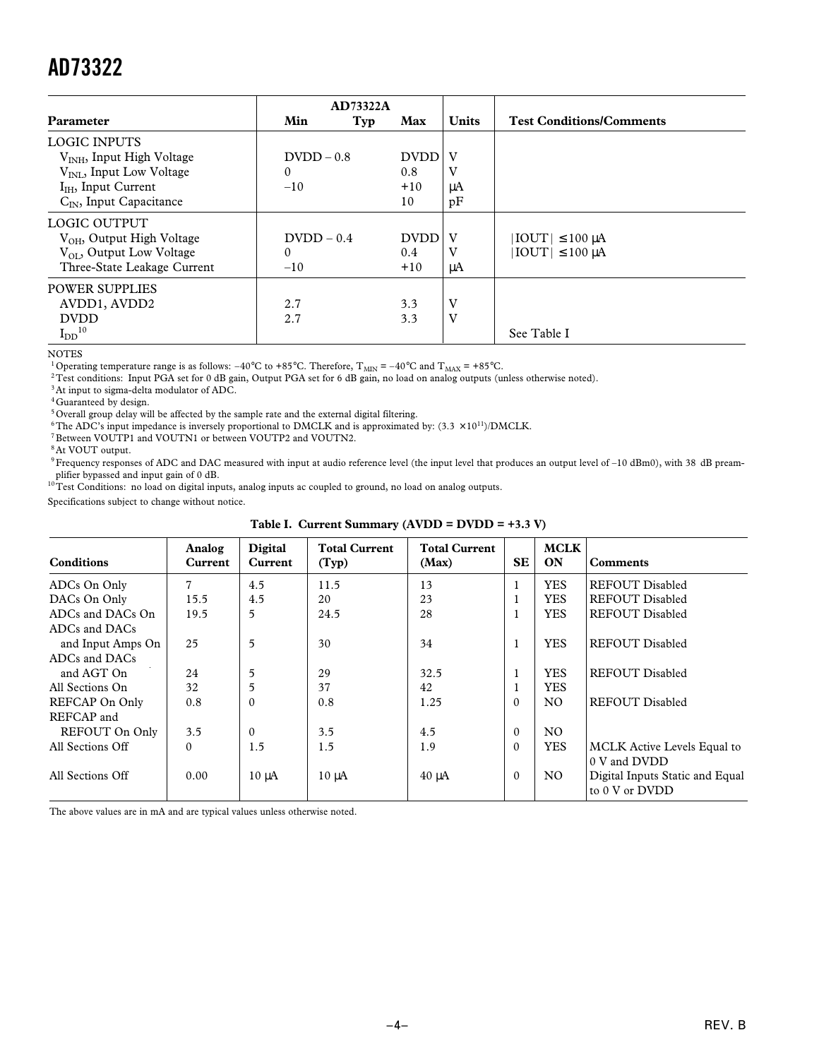| <b>Parameter</b>                      | Min           | <b>AD73322A</b><br>Typ | Max         | <b>Units</b> | <b>Test Conditions/Comments</b> |
|---------------------------------------|---------------|------------------------|-------------|--------------|---------------------------------|
| <b>LOGIC INPUTS</b>                   |               |                        |             |              |                                 |
| V <sub>INH</sub> , Input High Voltage | $D VDD - 0.8$ |                        | <b>DVDD</b> | V            |                                 |
| $V_{\text{INI}}$ , Input Low Voltage  | $\Omega$      |                        | 0.8         | v            |                                 |
| $I_{IH}$ , Input Current              | $-10$         |                        | $+10$       | μA           |                                 |
| $C_{IN}$ , Input Capacitance          |               |                        | 10          | pF           |                                 |
| <b>LOGIC OUTPUT</b>                   |               |                        |             |              |                                 |
| $V_{OH}$ , Output High Voltage        | $D VDD - 0.4$ |                        | <b>DVDD</b> | V            | $ IOUT  \leq 100 \mu A$         |
| $V_{\text{OL}}$ , Output Low Voltage  | $\Omega$      |                        | 0.4         | V            | $ IOUT  \leq 100 \mu A$         |
| Three-State Leakage Current           | $-10$         |                        | $+10$       | μA           |                                 |
| <b>POWER SUPPLIES</b>                 |               |                        |             |              |                                 |
| AVDD1, AVDD2                          | 2.7           |                        | 3.3         | V            |                                 |
| <b>DVDD</b>                           | 2.7           |                        | 3.3         | V            |                                 |
| $I_{DD}$ <sup>10</sup>                |               |                        |             |              | See Table I                     |

NOTES

<sup>1</sup> Operating temperature range is as follows:  $-40^{\circ}$ C to  $+85^{\circ}$ C. Therefore, T<sub>MIN</sub> =  $-40^{\circ}$ C and T<sub>MAX</sub> =  $+85^{\circ}$ C.

2Test conditions: Input PGA set for 0 dB gain, Output PGA set for 6 dB gain, no load on analog outputs (unless otherwise noted).

 $^3\mbox{At}$  input to sigma-delta modulator of ADC.

<sup>4</sup> Guaranteed by design.

<sup>5</sup> Overall group delay will be affected by the sample rate and the external digital filtering.

<sup>6</sup>The ADC's input impedance is inversely proportional to DMCLK and is approximated by:  $(3.3 \times 10^{11})$ /DMCLK.

7Between VOUTP1 and VOUTN1 or between VOUTP2 and VOUTN2.

<sup>8</sup> At VOUT output.

9 Frequency responses of ADC and DAC measured with input at audio reference level (the input level that produces an output level of -10 dBm0), with 38 dB pream-

plifier bypassed and input gain of 0 dB.<br><sup>10</sup>Test Conditions: no load on digital inputs, analog inputs ac coupled to ground, no load on analog outputs.

Specifications subject to change without notice.

| $\mathbf{u}$ . Our office of $\mathbf{u}$ |                   |                    |                               |                               |           |                   |                                                   |
|-------------------------------------------|-------------------|--------------------|-------------------------------|-------------------------------|-----------|-------------------|---------------------------------------------------|
| <b>Conditions</b>                         | Analog<br>Current | Digital<br>Current | <b>Total Current</b><br>(Typ) | <b>Total Current</b><br>(Max) | <b>SE</b> | <b>MCLK</b><br>ON | <b>Comments</b>                                   |
| ADCs On Only                              |                   | 4.5                | 11.5                          | 13                            | 1         | <b>YES</b>        | <b>REFOUT Disabled</b>                            |
| DACs On Only                              | 15.5              | 4.5                | 20                            | 23                            |           | <b>YES</b>        | <b>REFOUT Disabled</b>                            |
| ADCs and DACs On                          | 19.5              | 5                  | 24.5                          | 28                            | 1         | <b>YES</b>        | <b>REFOUT Disabled</b>                            |
| ADCs and DACs                             |                   |                    |                               |                               |           |                   |                                                   |
| and Input Amps On                         | 25                | 5                  | 30                            | 34                            | 1         | <b>YES</b>        | <b>REFOUT Disabled</b>                            |
| ADCs and DACs                             |                   |                    |                               |                               |           |                   |                                                   |
| and AGT On                                | 24                | 5                  | 29                            | 32.5                          | 1         | <b>YES</b>        | <b>REFOUT Disabled</b>                            |
| All Sections On                           | 32                | 5                  | 37                            | 42                            |           | <b>YES</b>        |                                                   |
| REFCAP On Only                            | 0.8               | $\Omega$           | 0.8                           | 1.25                          | $\Omega$  | N <sub>O</sub>    | <b>REFOUT Disabled</b>                            |
| REFCAP and                                |                   |                    |                               |                               |           |                   |                                                   |
| REFOUT On Only                            | 3.5               | $\theta$           | 3.5                           | 4.5                           | $\Omega$  | NO.               |                                                   |
| All Sections Off                          | $\Omega$          | 1.5                | 1.5                           | 1.9                           | $\Omega$  | <b>YES</b>        | <b>MCLK</b> Active Levels Equal to                |
|                                           |                   |                    |                               |                               |           |                   | 0 V and DVDD                                      |
| All Sections Off                          | 0.00              | $10 \mu A$         | $10 \mu A$                    | $40 \mu A$                    | $\Omega$  | NO.               | Digital Inputs Static and Equal<br>to 0 V or DVDD |

**Table I. Current Summary (AVDD = DVDD = +3.3 V)**

The above values are in mA and are typical values unless otherwise noted.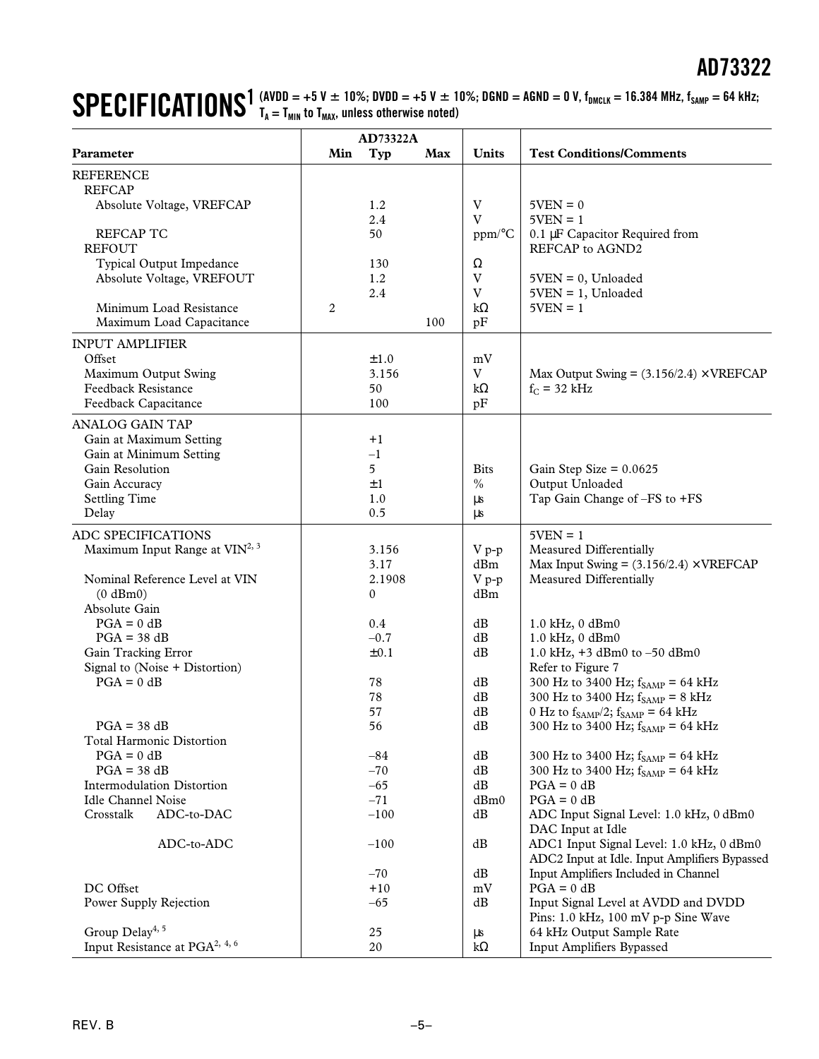#### $\textbf{SPECHFICATIONS}^{\textbf{1}}$  (AVDD = +5 V  $\pm$  10%; DVDD = +5 V  $\pm$  10%; DGND = AGND = 0 V, f<sub>DMCLK</sub> = 16.384 MHz, f<sub>SAMP</sub> = 64 kHz;<br> $\textbf{SPECHFICATIONS}^{\textbf{1}}$  (AVDD = +5 V  $\pm$  10%; DVDD = +5 V  $\pm$  10%; DGND = AGND = 0 V, f<sub>DMCLK</sub> **TA = TMIN to TMAX, unless otherwise noted)**

|                                                      | AD73322A |                 |     |                           |                                                              |
|------------------------------------------------------|----------|-----------------|-----|---------------------------|--------------------------------------------------------------|
| Parameter                                            | Min      | Typ             | Max | <b>Units</b>              | <b>Test Conditions/Comments</b>                              |
| <b>REFERENCE</b>                                     |          |                 |     |                           |                                                              |
| <b>REFCAP</b>                                        |          |                 |     |                           |                                                              |
| Absolute Voltage, VREFCAP                            |          | 1.2             |     | $\ensuremath{\mathbf{V}}$ | $5VEN = 0$                                                   |
|                                                      |          | 2.4             |     | V                         | $5VEN = 1$                                                   |
| <b>REFCAP TC</b>                                     |          | 50              |     | ppm/°C                    | 0.1 µF Capacitor Required from                               |
| <b>REFOUT</b>                                        |          |                 |     |                           | REFCAP to AGND2                                              |
| Typical Output Impedance                             |          | 130             |     | Ω                         |                                                              |
| Absolute Voltage, VREFOUT                            |          | 1.2             |     | V                         | $5VEN = 0$ , Unloaded                                        |
|                                                      |          | 2.4             |     | V                         | $5VEN = 1$ , Unloaded                                        |
| Minimum Load Resistance                              | 2        |                 |     | $k\Omega$                 | $5VEN = 1$                                                   |
| Maximum Load Capacitance                             |          |                 | 100 | pF                        |                                                              |
| <b>INPUT AMPLIFIER</b>                               |          |                 |     |                           |                                                              |
| Offset                                               |          | ±1.0            |     | mV                        |                                                              |
| Maximum Output Swing                                 |          | 3.156           |     | V                         | Max Output Swing = $(3.156/2.4) \times$ VREFCAP              |
| <b>Feedback Resistance</b>                           |          | 50              |     | $k\Omega$                 | $f_C = 32$ kHz                                               |
| Feedback Capacitance                                 |          | 100             |     | pF                        |                                                              |
| <b>ANALOG GAIN TAP</b>                               |          |                 |     |                           |                                                              |
| Gain at Maximum Setting                              |          | $+1$            |     |                           |                                                              |
| Gain at Minimum Setting                              |          | $-1$            |     |                           |                                                              |
| Gain Resolution                                      |          | 5               |     | <b>Bits</b>               | Gain Step Size = $0.0625$                                    |
| Gain Accuracy                                        |          | $\pm 1$         |     | $\%$                      | Output Unloaded                                              |
| <b>Settling Time</b>                                 |          | 1.0             |     | μs                        | Tap Gain Change of -FS to +FS                                |
| Delay                                                |          | 0.5             |     | μs                        |                                                              |
| ADC SPECIFICATIONS                                   |          |                 |     |                           | $5VEN = 1$                                                   |
| Maximum Input Range at VIN <sup>2, 3</sup>           |          | 3.156           |     | $V p-p$                   | Measured Differentially                                      |
|                                                      |          | 3.17            |     | dBm                       | Max Input Swing = $(3.156/2.4) \times$ VREFCAP               |
| Nominal Reference Level at VIN                       |          | 2.1908          |     | $V p-p$                   | Measured Differentially                                      |
| $(0 \text{ dBm0})$                                   |          | 0               |     | dBm                       |                                                              |
| Absolute Gain                                        |          |                 |     |                           |                                                              |
| $PGA = 0 dB$                                         |          | 0.4             |     | dB                        | 1.0 kHz, 0 dBm0                                              |
| $PGA = 38 dB$                                        |          | $-0.7$          |     | dB                        | 1.0 kHz, 0 dBm0                                              |
| Gain Tracking Error                                  |          | $\pm 0.1$       |     | dB                        | 1.0 kHz, $+3$ dBm0 to $-50$ dBm0                             |
| Signal to (Noise + Distortion)                       |          |                 |     |                           | Refer to Figure 7                                            |
| $PGA = 0 dB$                                         |          | 78              |     | dB                        | 300 Hz to 3400 Hz; $f_{\rm SAMP}$ = 64 kHz                   |
|                                                      |          | 78              |     | $\mathrm{dB}$             | 300 Hz to 3400 Hz; $f_{SAMP} = 8$ kHz                        |
|                                                      |          | 57              |     | dB                        | 0 Hz to $f_{SAMP}/2$ ; $f_{SAMP} = 64$ kHz                   |
| $PGA = 38 dB$                                        |          | 56              |     | $\mathrm{dB}$             | 300 Hz to 3400 Hz; $f_{\text{SAMP}} = 64 \text{ kHz}$        |
| <b>Total Harmonic Distortion</b>                     |          |                 |     |                           |                                                              |
| $PGA = 0 dB$                                         |          | $-84$           |     | dB                        | 300 Hz to 3400 Hz; $f_{\text{SAMP}} = 64 \text{ kHz}$        |
| $PGA = 38 dB$                                        |          | $-70$           |     | dB                        | 300 Hz to 3400 Hz; $f_{SAMP} = 64$ kHz                       |
| Intermodulation Distortion                           |          | $-65$           |     | $\mathrm{dB}$             | $PGA = 0 dB$                                                 |
| <b>Idle Channel Noise</b><br>Crosstalk<br>ADC-to-DAC |          | $-71$<br>$-100$ |     | dBm0<br>dB                | $PGA = 0 dB$                                                 |
|                                                      |          |                 |     |                           | ADC Input Signal Level: 1.0 kHz, 0 dBm0<br>DAC Input at Idle |
| ADC-to-ADC                                           |          | $-100$          |     | dB                        | ADC1 Input Signal Level: 1.0 kHz, 0 dBm0                     |
|                                                      |          |                 |     |                           | ADC2 Input at Idle. Input Amplifiers Bypassed                |
|                                                      |          | $-70$           |     | dB                        | Input Amplifiers Included in Channel                         |
| DC Offset                                            |          | $+10$           |     | $\rm mV$                  | $PGA = 0 dB$                                                 |
| Power Supply Rejection                               |          | $-65$           |     | dB                        | Input Signal Level at AVDD and DVDD                          |
|                                                      |          |                 |     |                           | Pins: 1.0 kHz, 100 mV p-p Sine Wave                          |
| Group Delay <sup>4, 5</sup>                          |          | 25              |     | $\mu s$                   | 64 kHz Output Sample Rate                                    |
| Input Resistance at PGA <sup>2, 4, 6</sup>           |          | 20              |     | $k\Omega$                 | Input Amplifiers Bypassed                                    |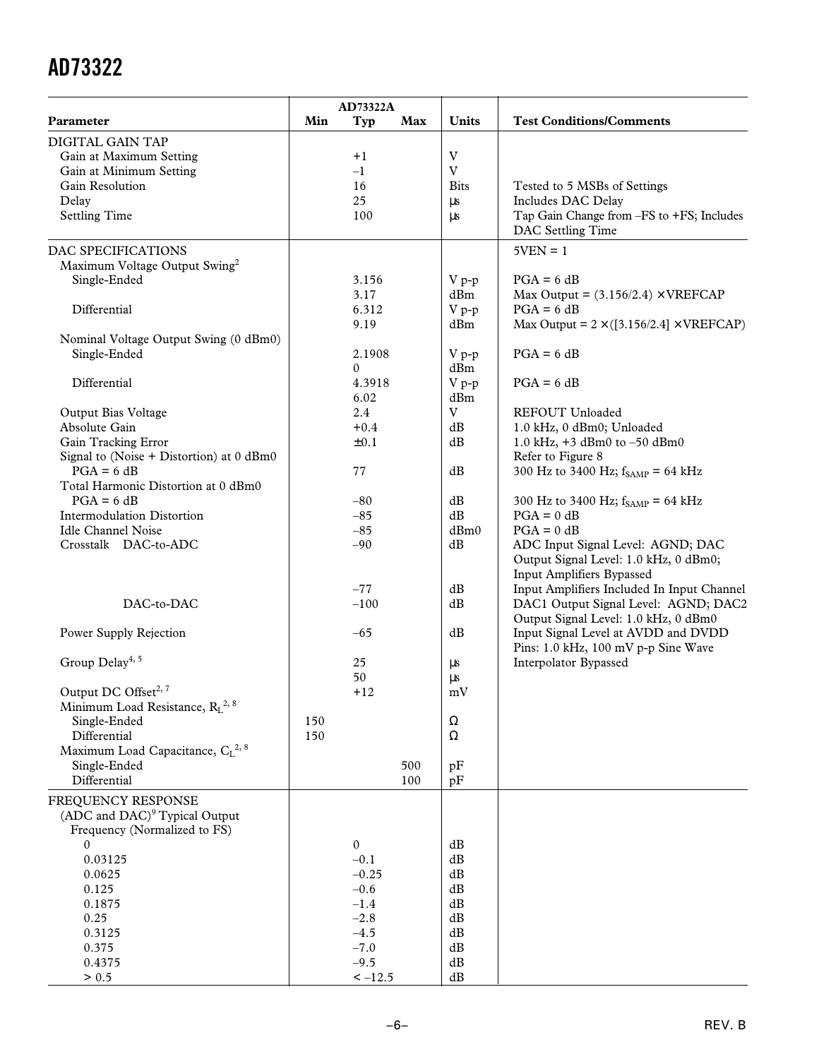|                                              |     | AD73322A     |            |                         |                                                                |
|----------------------------------------------|-----|--------------|------------|-------------------------|----------------------------------------------------------------|
| Parameter                                    | Min | Typ          | Max        | Units                   | <b>Test Conditions/Comments</b>                                |
| DIGITAL GAIN TAP                             |     |              |            |                         |                                                                |
| Gain at Maximum Setting                      |     | $+1$         |            | $\ensuremath{\text{V}}$ |                                                                |
| Gain at Minimum Setting                      |     | $-1$         |            | $\overline{V}$          |                                                                |
| Gain Resolution                              |     | 16           |            | <b>Bits</b>             | Tested to 5 MSBs of Settings                                   |
| Delay                                        |     | 25           |            | μs                      | Includes DAC Delay                                             |
| <b>Settling Time</b>                         |     | 100          |            | μs                      | Tap Gain Change from -FS to +FS; Includes<br>DAC Settling Time |
| DAC SPECIFICATIONS                           |     |              |            |                         | $5VEN = 1$                                                     |
| Maximum Voltage Output Swing <sup>2</sup>    |     |              |            |                         |                                                                |
| Single-Ended                                 |     | 3.156        |            | $V p-p$                 | $PGA = 6 dB$                                                   |
|                                              |     | 3.17         |            | dBm                     | Max Output = $(3.156/2.4) \times \text{VREFCAP}$               |
| Differential                                 |     | 6.312        |            | $V p-p$                 | $PGA = 6 dB$                                                   |
|                                              |     | 9.19         |            | dBm                     | Max Output = $2 \times (3.156/2.4) \times VREFCAP$             |
| Nominal Voltage Output Swing (0 dBm0)        |     |              |            |                         |                                                                |
| Single-Ended                                 |     | 2.1908       |            | $V p-p$                 | $PGA = 6 dB$                                                   |
|                                              |     | 0            |            | dBm                     |                                                                |
| Differential                                 |     | 4.3918       |            | $V p-p$                 | $PGA = 6 dB$                                                   |
|                                              |     | 6.02         |            | dBm                     |                                                                |
| Output Bias Voltage                          |     | 2.4          |            | $\mathbf V$             | REFOUT Unloaded                                                |
| Absolute Gain                                |     | $+0.4$       |            | dB                      | 1.0 kHz, 0 dBm0; Unloaded                                      |
| Gain Tracking Error                          |     | $\pm 0.1$    |            | dB                      | 1.0 kHz, +3 dBm0 to -50 dBm0                                   |
| Signal to (Noise + Distortion) at 0 dBm0     |     |              |            |                         | Refer to Figure 8                                              |
| $PGA = 6 dB$                                 |     | 77           |            | dB                      | 300 Hz to 3400 Hz; $f_{SAMP} = 64$ kHz                         |
| Total Harmonic Distortion at 0 dBm0          |     |              |            |                         |                                                                |
| $PGA = 6 dB$                                 |     | $-80$        |            | dB                      | 300 Hz to 3400 Hz; $f_{SAMP} = 64$ kHz                         |
| Intermodulation Distortion                   |     | $-85$        |            | dB                      | $PGA = 0 dB$                                                   |
| <b>Idle Channel Noise</b>                    |     | $-85$        |            | dBm0                    | $PGA = 0 dB$                                                   |
| Crosstalk DAC-to-ADC                         |     | $-90$        |            | dB                      | ADC Input Signal Level: AGND; DAC                              |
|                                              |     |              |            |                         | Output Signal Level: 1.0 kHz, 0 dBm0;                          |
|                                              |     |              |            |                         | Input Amplifiers Bypassed                                      |
|                                              |     | $-77$        |            | dB                      | Input Amplifiers Included In Input Channel                     |
| DAC-to-DAC                                   |     | $-100$       |            | dB                      | DAC1 Output Signal Level: AGND; DAC2                           |
|                                              |     |              |            |                         | Output Signal Level: 1.0 kHz, 0 dBm0                           |
| Power Supply Rejection                       |     | $-65$        |            | dB                      | Input Signal Level at AVDD and DVDD                            |
|                                              |     |              |            |                         | Pins: 1.0 kHz, 100 mV p-p Sine Wave                            |
| Group Delay <sup>4, 5</sup>                  |     | 25           |            | $\mu s$                 | Interpolator Bypassed                                          |
|                                              |     | 50           |            | μs                      |                                                                |
| Output DC Offset <sup>2, 7</sup>             |     | $+12$        |            | $\rm mV$                |                                                                |
| Minimum Load Resistance, $R_L^{2, 8}$        |     |              |            |                         |                                                                |
| Single-Ended                                 | 150 |              |            | Ω                       |                                                                |
| Differential                                 | 150 |              |            | Ω                       |                                                                |
| Maximum Load Capacitance, CL <sup>2, 8</sup> |     |              |            |                         |                                                                |
| Single-Ended<br>Differential                 |     |              | 500<br>100 | pF                      |                                                                |
|                                              |     |              |            | pF                      |                                                                |
| FREQUENCY RESPONSE                           |     |              |            |                         |                                                                |
| (ADC and DAC) <sup>9</sup> Typical Output    |     |              |            |                         |                                                                |
| Frequency (Normalized to FS)                 |     |              |            |                         |                                                                |
| $\mathbf{0}$                                 |     | $\mathbf{0}$ |            | dB                      |                                                                |
| 0.03125                                      |     | $-0.1$       |            | dB                      |                                                                |
| 0.0625                                       |     | $-0.25$      |            | dB                      |                                                                |
| 0.125                                        |     | $-0.6$       |            | dB                      |                                                                |
| 0.1875                                       |     | $-1.4$       |            | dB                      |                                                                |
| 0.25                                         |     | $-2.8$       |            | dB                      |                                                                |
| 0.3125                                       |     | $-4.5$       |            | dB                      |                                                                |
| 0.375                                        |     | $-7.0$       |            | dB                      |                                                                |
| 0.4375                                       |     | $-9.5$       |            | dB                      |                                                                |
| > 0.5                                        |     | $<-12.5$     |            | $\mathrm{dB}$           |                                                                |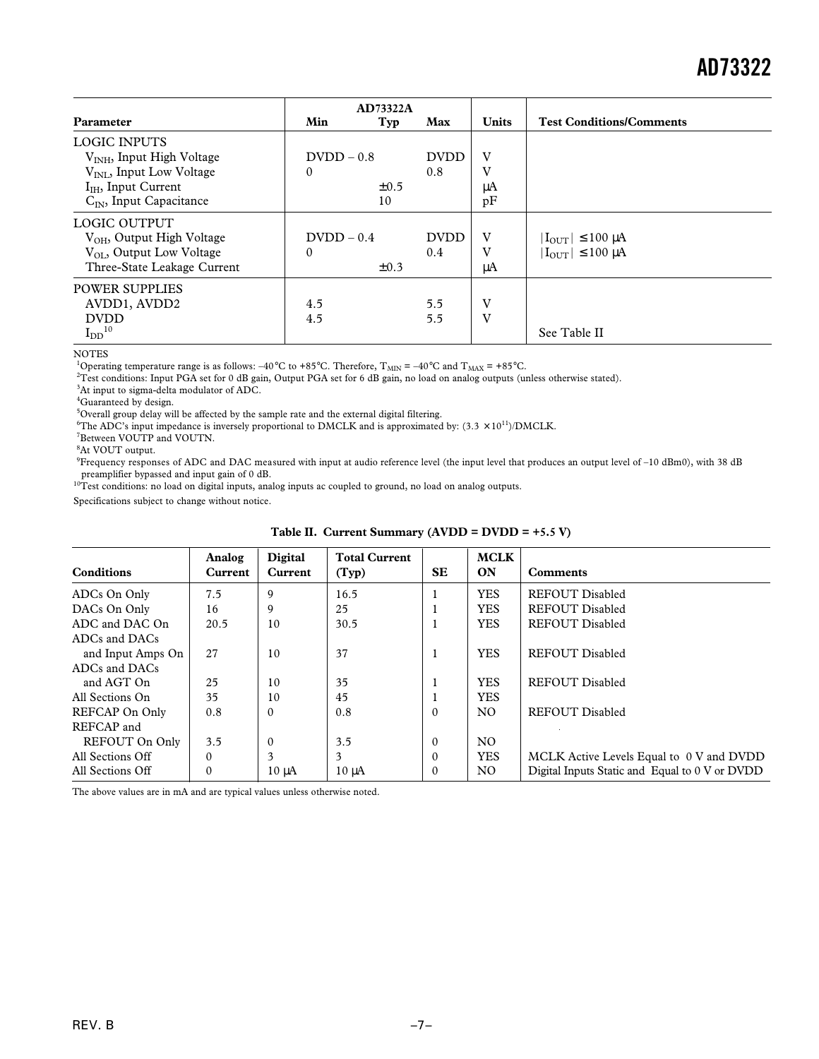|                                       |               | <b>AD73322A</b> |             |              |                                   |
|---------------------------------------|---------------|-----------------|-------------|--------------|-----------------------------------|
| Parameter                             | Min           | Typ             | Max         | <b>Units</b> | <b>Test Conditions/Comments</b>   |
| <b>LOGIC INPUTS</b>                   |               |                 |             |              |                                   |
| $VNH$ , Input High Voltage            | $D VDD - 0.8$ |                 | <b>DVDD</b> | V            |                                   |
| V <sub>INL</sub> , Input Low Voltage  | $\Omega$      |                 | 0.8         | V            |                                   |
| $I_{IH}$ , Input Current              |               | $\pm 0.5$       |             | μA           |                                   |
| $C_{IN}$ , Input Capacitance          |               | 10              |             | pF           |                                   |
| LOGIC OUTPUT                          |               |                 |             |              |                                   |
| V <sub>OH</sub> , Output High Voltage | $D VDD - 0.4$ |                 | <b>DVDD</b> | V            | $ I_{OUT}  \leq 100 \mu A$        |
| $V_{OL}$ , Output Low Voltage         | 0             |                 | 0.4         | V            | $ I_{\text{OUT}}  \leq 100 \mu A$ |
| Three-State Leakage Current           |               | $\pm 0.3$       |             | μA           |                                   |
| <b>POWER SUPPLIES</b>                 |               |                 |             |              |                                   |
| AVDD1, AVDD2                          | 4.5           |                 | 5.5         | V            |                                   |
| <b>DVDD</b>                           | 4.5           |                 | 5.5         | V            |                                   |
| $I_{DD}$ <sup>10</sup>                |               |                 |             |              | See Table II                      |

NOTES

<sup>1</sup>Operating temperature range is as follows: –40°C to +85°C. Therefore,  $T_{\text{MIN}} = -40^{\circ}C$  and  $T_{\text{MAX}} = +85^{\circ}C$ .

<sup>2</sup> Test conditions: Input PGA set for 0 dB gain, Output PGA set for 6 dB gain, no load on analog outputs (unless otherwise stated).

<sup>3</sup>At input to sigma-delta modulator of ADC.

<sup>4</sup>Guaranteed by design.

<sup>5</sup>Overall group delay will be affected by the sample rate and the external digital filtering.

<sup>6</sup>The ADC's input impedance is inversely proportional to DMCLK and is approximated by:  $(3.3 \times 10^{11})$ /DMCLK.

7 Between VOUTP and VOUTN.

8 At VOUT output.

 $9$ Frequency responses of ADC and DAC measured with input at audio reference level (the input level that produces an output level of  $-10$  dBm0), with 38 dB

preamplifier bypassed and input gain of 0 dB.<br><sup>10</sup>Test conditions: no load on digital inputs, analog inputs ac coupled to ground, no load on analog outputs.

Specifications subject to change without notice.

| <b>Conditions</b> | Analog<br>Current | <b>Digital</b><br>Current | <b>Total Current</b><br>(Typ) | <b>SE</b> | <b>MCLK</b><br>ON | <b>Comments</b>                                |
|-------------------|-------------------|---------------------------|-------------------------------|-----------|-------------------|------------------------------------------------|
| ADCs On Only      | 7.5               | 9                         | 16.5                          |           | <b>YES</b>        | <b>REFOUT Disabled</b>                         |
| DACs On Only      | 16                | 9                         | 25                            |           | <b>YES</b>        | <b>REFOUT Disabled</b>                         |
| ADC and DAC On    | 20.5              | 10                        | 30.5                          |           | <b>YES</b>        | <b>REFOUT Disabled</b>                         |
| ADCs and DACs     |                   |                           |                               |           |                   |                                                |
| and Input Amps On | 27                | 10                        | 37                            |           | <b>YES</b>        | <b>REFOUT Disabled</b>                         |
| ADCs and DACs     |                   |                           |                               |           |                   |                                                |
| and AGT On        | 25                | 10                        | 35                            |           | <b>YES</b>        | <b>REFOUT Disabled</b>                         |
| All Sections On   | 35                | 10                        | 45                            |           | <b>YES</b>        |                                                |
| REFCAP On Only    | 0.8               | $\mathbf{0}$              | 0.8                           | $\Omega$  | N <sub>O</sub>    | REFOUT Disabled                                |
| REFCAP and        |                   |                           |                               |           |                   |                                                |
| REFOUT On Only    | 3.5               | $\Omega$                  | 3.5                           | $\Omega$  | N <sub>O</sub>    |                                                |
| All Sections Off  | $\Omega$          | 3                         | 3                             | $\Omega$  | <b>YES</b>        | MCLK Active Levels Equal to 0 V and DVDD       |
| All Sections Off  | $\Omega$          | $10 \mu A$                | $10 \mu A$                    | $\theta$  | N <sub>O</sub>    | Digital Inputs Static and Equal to 0 V or DVDD |

**Table II. Current Summary (AVDD = DVDD = +5.5 V)**

The above values are in mA and are typical values unless otherwise noted.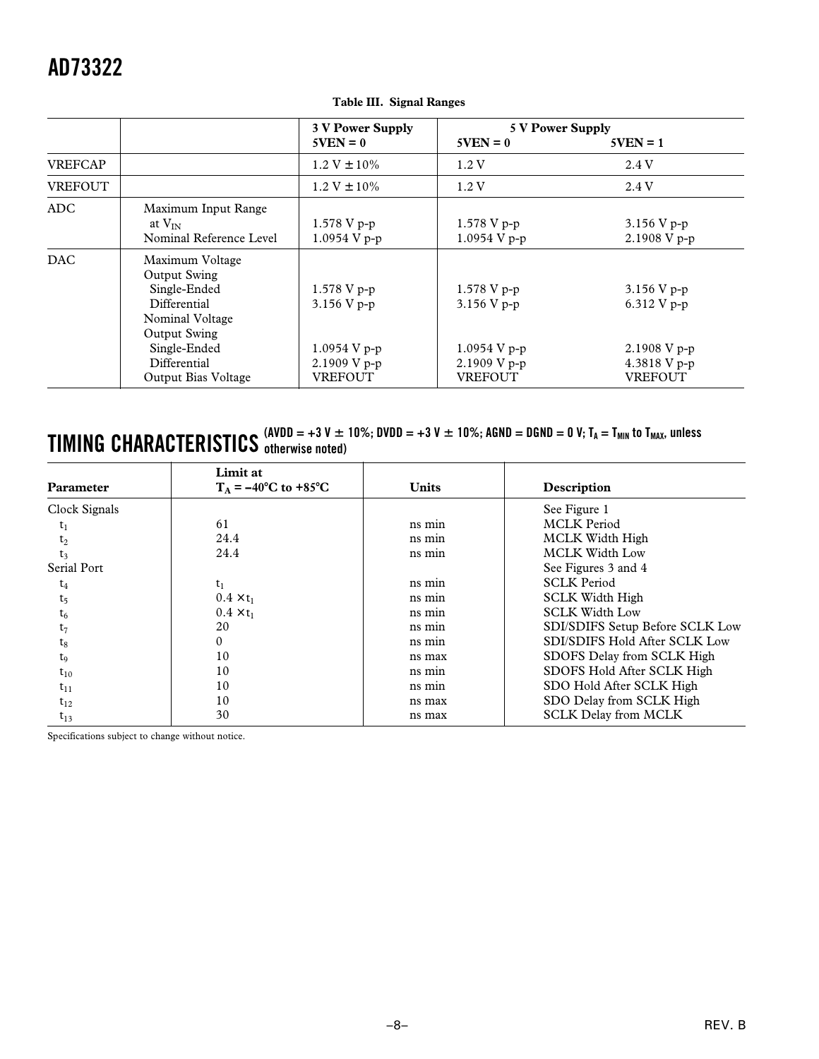|                |                                                                                                                                                                  | <b>3 V Power Supply</b>                                                          | 5 V Power Supply                                                                     |                                                                                    |
|----------------|------------------------------------------------------------------------------------------------------------------------------------------------------------------|----------------------------------------------------------------------------------|--------------------------------------------------------------------------------------|------------------------------------------------------------------------------------|
|                |                                                                                                                                                                  | $5VEN = 0$                                                                       | $5VEN = 0$                                                                           | $5VEN = 1$                                                                         |
| <b>VREFCAP</b> |                                                                                                                                                                  | $1.2 V \pm 10\%$                                                                 | 1.2V                                                                                 | 2.4 V                                                                              |
| <b>VREFOUT</b> |                                                                                                                                                                  | $1.2 V \pm 10\%$                                                                 | 1.2V                                                                                 | 2.4 V                                                                              |
| ADC.           | Maximum Input Range<br>at $V_{IN}$<br>Nominal Reference Level                                                                                                    | $1.578 V p-p$<br>$1.0954$ V p-p                                                  | $1.578 V p-p$<br>1.0954 V p-p                                                        | 3.156 V p-p<br>2.1908 V p-p                                                        |
| DAC.           | Maximum Voltage<br>Output Swing<br>Single-Ended<br>Differential<br>Nominal Voltage<br><b>Output Swing</b><br>Single-Ended<br>Differential<br>Output Bias Voltage | $1.578 V p-p$<br>$3.156 V p-p$<br>1.0954 V p-p<br>2.1909 V p-p<br><b>VREFOUT</b> | $1.578$ V p-p<br>$3.156 V p-p$<br>$1.0954$ V p-p<br>$2.1909$ V p-p<br><b>VREFOUT</b> | 3.156 V $p-p$<br>$6.312$ V p-p<br>$2.1908$ V p-p<br>4.3818 V p-p<br><b>VREFOUT</b> |

#### **Table III. Signal Ranges**

#### $\bf{TIMING}$   $\bf{CHARACTERISTICS}$  (AVDD = +3 V  $\pm$  10%; DVDD = +3 V  $\pm$  10%; AGND = DGND = 0 V; T<sub>A</sub> = T<sub>MIN</sub> to T<sub>MAX</sub>, unless **otherwise noted)**

| Parameter                     | Limit at<br>$T_A = -40^{\circ}$ C to +85 <sup>o</sup> C | <b>Units</b> | Description                     |
|-------------------------------|---------------------------------------------------------|--------------|---------------------------------|
| Clock Signals                 |                                                         |              | See Figure 1                    |
| $t_1$                         | 61                                                      | ns min       | <b>MCLK</b> Period              |
| $t_2$                         | 24.4                                                    | ns min       | MCLK Width High                 |
| $t_3$                         | 24.4                                                    | ns min       | <b>MCLK Width Low</b>           |
| Serial Port                   |                                                         |              | See Figures 3 and 4             |
| $t_4$                         | $t_1$                                                   | ns min       | <b>SCLK Period</b>              |
| t <sub>5</sub>                | $0.4 \times t_1$                                        | ns min       | <b>SCLK Width High</b>          |
| $\operatorname{\mathsf{t}}_6$ | $0.4 \times t_1$                                        | ns min       | <b>SCLK Width Low</b>           |
| $t_7$                         | 20                                                      | ns min       | SDI/SDIFS Setup Before SCLK Low |
| $t_8$                         | $\Omega$                                                | ns min       | SDI/SDIFS Hold After SCLK Low   |
| $t_{0}$                       | 10                                                      | ns max       | SDOFS Delay from SCLK High      |
| $t_{10}$                      | 10                                                      | ns min       | SDOFS Hold After SCLK High      |
| $t_{11}$                      | 10                                                      | ns min       | SDO Hold After SCLK High        |
| $t_{12}$                      | 10                                                      | ns max       | SDO Delay from SCLK High        |
| $t_{13}$                      | 30                                                      | ns max       | <b>SCLK Delay from MCLK</b>     |

Specifications subject to change without notice.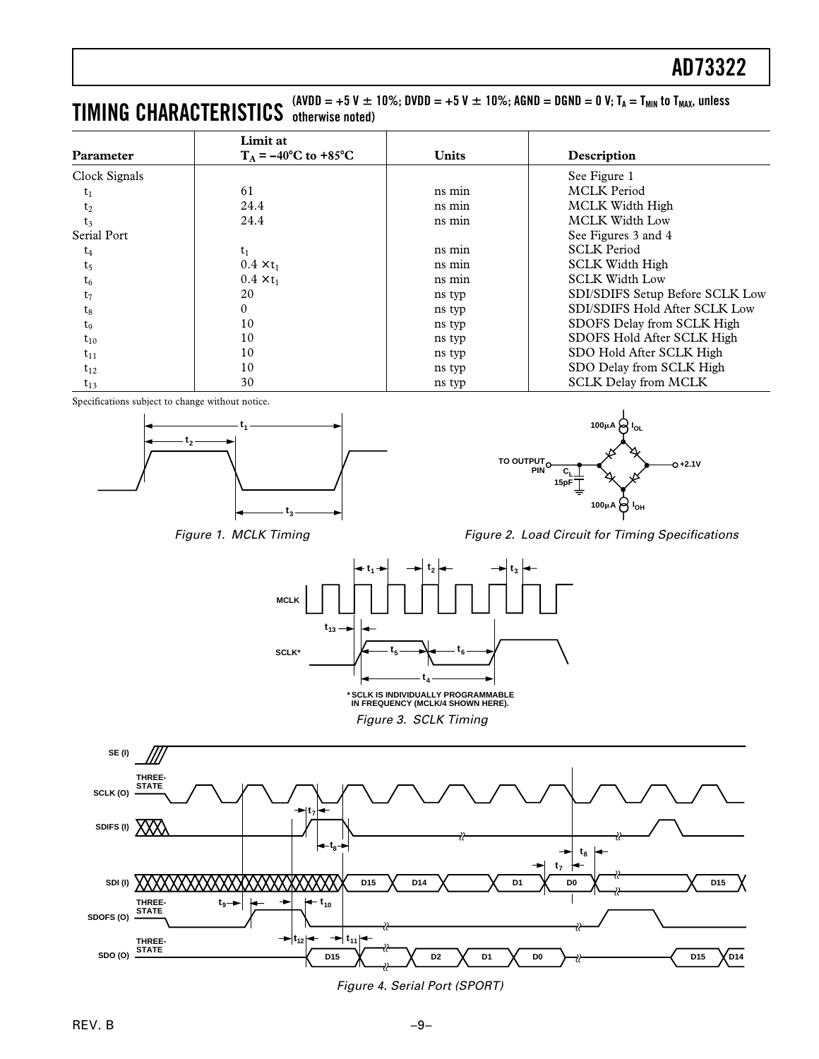#### $\bf{TIMING}$   $\bf{CHARACTERISTICS}$  (avdd = +5 V  $\pm$  10%; DVDD = +5 V  $\pm$  10%; AGND = DGND = 0 V; T<sub>A</sub> = T<sub>MIN</sub> to T<sub>MAX</sub>, unless **otherwise noted)**

| Parameter        | Limit at<br>$T_A = -40^{\circ}C$ to $+85^{\circ}C$ | <b>Units</b> | Description                     |
|------------------|----------------------------------------------------|--------------|---------------------------------|
| Clock Signals    |                                                    |              | See Figure 1                    |
| $\mathfrak{r}_1$ | 61                                                 | ns min       | <b>MCLK</b> Period              |
| $t_2$            | 24.4                                               | ns min       | MCLK Width High                 |
| t <sub>3</sub>   | 24.4                                               | ns min       | <b>MCLK Width Low</b>           |
| Serial Port      |                                                    |              | See Figures 3 and 4             |
| $\mathsf{t}_4$   | $t_1$                                              | ns min       | <b>SCLK Period</b>              |
| $t_5$            | $0.4 \times t_1$                                   | ns min       | <b>SCLK Width High</b>          |
| $t_6$            | $0.4 \times t_1$                                   | ns min       | <b>SCLK Width Low</b>           |
| $t_7$            | 20                                                 | ns typ       | SDI/SDIFS Setup Before SCLK Low |
| $t_8$            | 0                                                  | ns typ       | SDI/SDIFS Hold After SCLK Low   |
| $t_{9}$          | 10                                                 | ns typ       | SDOFS Delay from SCLK High      |
| $t_{10}$         | 10                                                 | ns typ       | SDOFS Hold After SCLK High      |
| $t_{11}$         | 10                                                 | ns typ       | SDO Hold After SCLK High        |
| $t_{12}$         | 10                                                 | ns typ       | SDO Delay from SCLK High        |
| $t_{13}$         | 30                                                 | ns typ       | <b>SCLK Delay from MCLK</b>     |

Specifications subject to change without notice.



Figure 1. MCLK Timing











Figure 4. Serial Port (SPORT)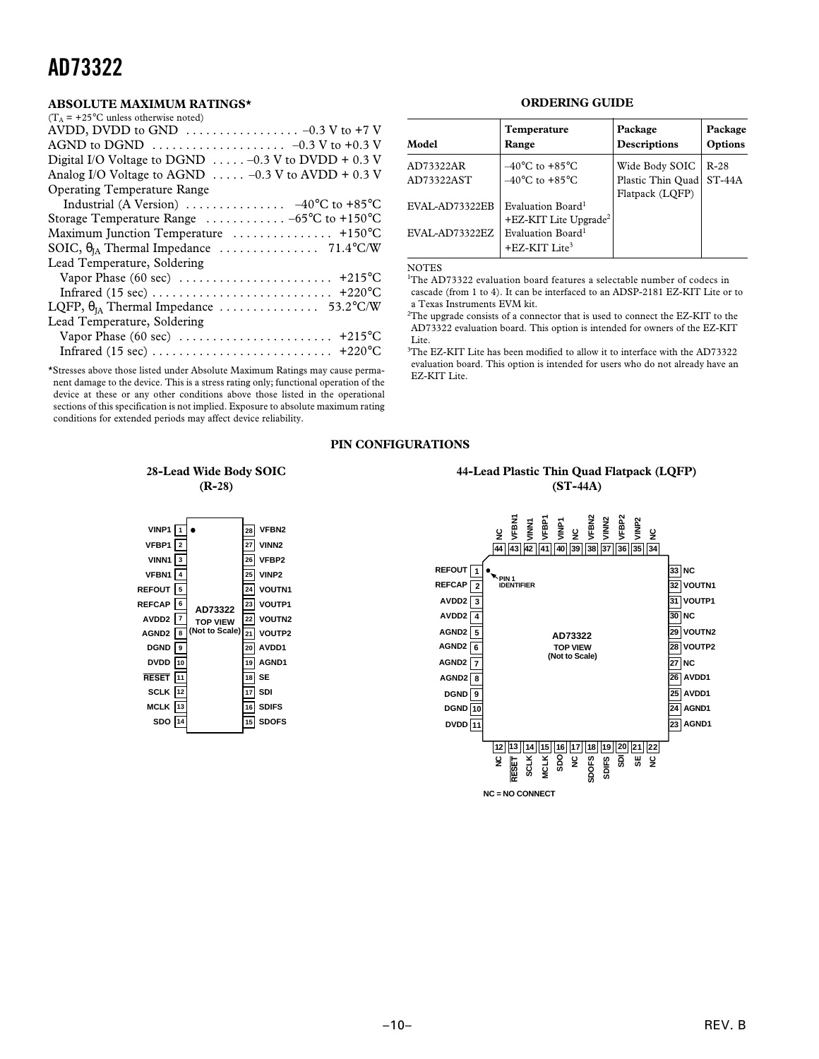#### **ABSOLUTE MAXIMUM RATINGS\***

| $(T_A = +25$ °C unless otherwise noted)                                    |
|----------------------------------------------------------------------------|
|                                                                            |
|                                                                            |
| Digital I/O Voltage to DGND $\ldots$ . $-0.3$ V to DVDD + 0.3 V            |
| Analog I/O Voltage to AGND $\ldots$ -0.3 V to AVDD + 0.3 V                 |
| <b>Operating Temperature Range</b>                                         |
| Industrial (A Version) $\ldots \ldots \ldots \ldots -40^{\circ}C$ to +85°C |
| Storage Temperature Range $\ldots \ldots \ldots \ldots -65$ °C to +150°C   |
| Maximum Junction Temperature  +150°C                                       |
|                                                                            |
| Lead Temperature, Soldering                                                |
|                                                                            |
|                                                                            |
|                                                                            |
| Lead Temperature, Soldering                                                |
|                                                                            |
|                                                                            |

\*Stresses above those listed under Absolute Maximum Ratings may cause permanent damage to the device. This is a stress rating only; functional operation of the device at these or any other conditions above those listed in the operational sections of this specification is not implied. Exposure to absolute maximum rating conditions for extended periods may affect device reliability.

#### **ORDERING GUIDE**

| Model          | Temperature<br>Range                                       | Package<br><b>Descriptions</b> | Package<br>Options |
|----------------|------------------------------------------------------------|--------------------------------|--------------------|
| AD73322AR      | $-40^{\circ}$ C to $+85^{\circ}$ C                         | Wide Body SOIC                 | $R-28$             |
| AD73322AST     | $-40^{\circ}$ C to $+85^{\circ}$ C                         | Plastic Thin Quad              | $ST-44A$           |
|                |                                                            | Flatpack (LOFP)                |                    |
| EVAL-AD73322EB | Evaluation Board <sup>1</sup>                              |                                |                    |
|                | $+EZ-KIT$ Lite Upgrade <sup>2</sup>                        |                                |                    |
| EVAL-AD73322EZ | Evaluation Board <sup>1</sup><br>+EZ-KIT Lite <sup>3</sup> |                                |                    |

#### NOTES

<sup>1</sup>The AD73322 evaluation board features a selectable number of codecs in cascade (from 1 to 4). It can be interfaced to an ADSP-2181 EZ-KIT Lite or to a Texas Instruments EVM kit.

 $^{2}$ The upgrade consists of a connector that is used to connect the EZ-KIT to the AD73322 evaluation board. This option is intended for owners of the EZ-KIT Lite.

<sup>3</sup>The EZ-KIT Lite has been modified to allow it to interface with the AD73322 evaluation board. This option is intended for users who do not already have an EZ-KIT Lite.

#### **PIN CONFIGURATIONS**

#### **28-Lead Wide Body SOIC (R-28)**

| 2<br>3<br>5                          |                                             | 28<br>27<br>26<br>25<br>24 | VFBN2<br>VINN <sub>2</sub><br>VFBP2<br>VINP <sub>2</sub><br><b>VOUTN1</b> |
|--------------------------------------|---------------------------------------------|----------------------------|---------------------------------------------------------------------------|
| 6                                    | AD73322                                     | 23                         | <b>VOUTP1</b>                                                             |
| $\overline{7}$                       | <b>TOP VIEW</b>                             | 22                         | VOUTN2                                                                    |
| 8                                    | (Not to Scale)                              | 21                         | VOUTP2                                                                    |
| 9                                    |                                             | 20                         | AVDD1                                                                     |
| 10                                   |                                             | 19                         | AGND1                                                                     |
| 11                                   |                                             | 18                         | <b>SE</b>                                                                 |
| 12                                   |                                             | 17                         | SDI                                                                       |
| 13                                   |                                             | 16                         | <b>SDIFS</b>                                                              |
| 14                                   |                                             | 15                         | <b>DOFS</b>                                                               |
| VINN1<br><b>VFBN1</b><br><b>DVDD</b> | <b>VINP1</b><br><b>VFBP1</b><br><b>MCLK</b> |                            |                                                                           |

#### **44-Lead Plastic Thin Quad Flatpack (LQFP) (ST-44A)**

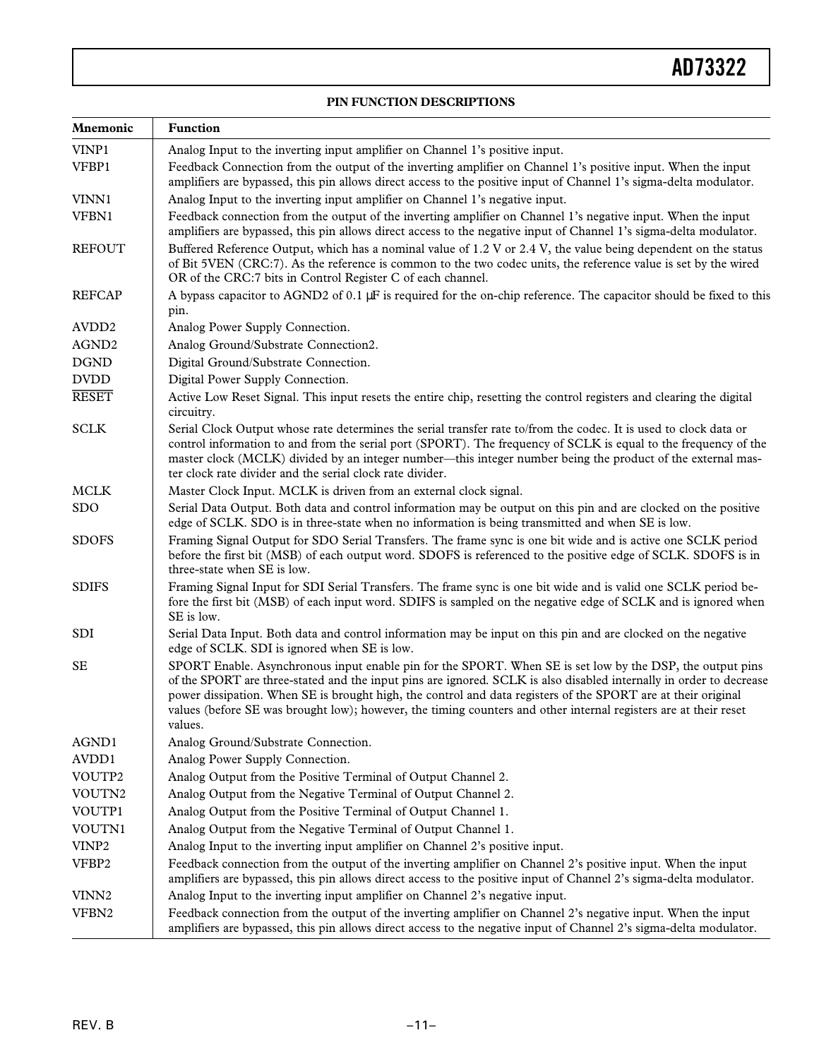#### **PIN FUNCTION DESCRIPTIONS**

| Mnemonic                     | <b>Function</b>                                                                                                                                                                                                                                                                                                                                                                                                                                                                  |
|------------------------------|----------------------------------------------------------------------------------------------------------------------------------------------------------------------------------------------------------------------------------------------------------------------------------------------------------------------------------------------------------------------------------------------------------------------------------------------------------------------------------|
| VINP1                        | Analog Input to the inverting input amplifier on Channel 1's positive input.                                                                                                                                                                                                                                                                                                                                                                                                     |
| VFBP1                        | Feedback Connection from the output of the inverting amplifier on Channel 1's positive input. When the input<br>amplifiers are bypassed, this pin allows direct access to the positive input of Channel 1's sigma-delta modulator.                                                                                                                                                                                                                                               |
| VINN1                        | Analog Input to the inverting input amplifier on Channel 1's negative input.                                                                                                                                                                                                                                                                                                                                                                                                     |
| VFBN1                        | Feedback connection from the output of the inverting amplifier on Channel 1's negative input. When the input                                                                                                                                                                                                                                                                                                                                                                     |
| <b>REFOUT</b>                | amplifiers are bypassed, this pin allows direct access to the negative input of Channel 1's sigma-delta modulator.<br>Buffered Reference Output, which has a nominal value of 1.2 V or 2.4 V, the value being dependent on the status<br>of Bit 5VEN (CRC:7). As the reference is common to the two codec units, the reference value is set by the wired<br>OR of the CRC:7 bits in Control Register C of each channel.                                                          |
| <b>REFCAP</b>                | A bypass capacitor to AGND2 of 0.1 µF is required for the on-chip reference. The capacitor should be fixed to this                                                                                                                                                                                                                                                                                                                                                               |
|                              | pin.                                                                                                                                                                                                                                                                                                                                                                                                                                                                             |
| AVDD <sub>2</sub>            | Analog Power Supply Connection.                                                                                                                                                                                                                                                                                                                                                                                                                                                  |
| AGND <sub>2</sub>            | Analog Ground/Substrate Connection2.                                                                                                                                                                                                                                                                                                                                                                                                                                             |
| <b>DGND</b>                  | Digital Ground/Substrate Connection.                                                                                                                                                                                                                                                                                                                                                                                                                                             |
| $\ensuremath{\mathrm{DVDD}}$ | Digital Power Supply Connection.                                                                                                                                                                                                                                                                                                                                                                                                                                                 |
| <b>RESET</b>                 | Active Low Reset Signal. This input resets the entire chip, resetting the control registers and clearing the digital<br>circuitry.                                                                                                                                                                                                                                                                                                                                               |
| <b>SCLK</b>                  | Serial Clock Output whose rate determines the serial transfer rate to/from the codec. It is used to clock data or<br>control information to and from the serial port (SPORT). The frequency of SCLK is equal to the frequency of the<br>master clock (MCLK) divided by an integer number—this integer number being the product of the external mas-<br>ter clock rate divider and the serial clock rate divider.                                                                 |
| <b>MCLK</b>                  | Master Clock Input. MCLK is driven from an external clock signal.                                                                                                                                                                                                                                                                                                                                                                                                                |
| <b>SDO</b>                   | Serial Data Output. Both data and control information may be output on this pin and are clocked on the positive<br>edge of SCLK. SDO is in three-state when no information is being transmitted and when SE is low.                                                                                                                                                                                                                                                              |
| <b>SDOFS</b>                 | Framing Signal Output for SDO Serial Transfers. The frame sync is one bit wide and is active one SCLK period<br>before the first bit (MSB) of each output word. SDOFS is referenced to the positive edge of SCLK. SDOFS is in<br>three-state when SE is low.                                                                                                                                                                                                                     |
| <b>SDIFS</b>                 | Framing Signal Input for SDI Serial Transfers. The frame sync is one bit wide and is valid one SCLK period be-<br>fore the first bit (MSB) of each input word. SDIFS is sampled on the negative edge of SCLK and is ignored when<br>SE is low.                                                                                                                                                                                                                                   |
| SDI                          | Serial Data Input. Both data and control information may be input on this pin and are clocked on the negative<br>edge of SCLK. SDI is ignored when SE is low.                                                                                                                                                                                                                                                                                                                    |
| <b>SE</b>                    | SPORT Enable. Asynchronous input enable pin for the SPORT. When SE is set low by the DSP, the output pins<br>of the SPORT are three-stated and the input pins are ignored. SCLK is also disabled internally in order to decrease<br>power dissipation. When SE is brought high, the control and data registers of the SPORT are at their original<br>values (before SE was brought low); however, the timing counters and other internal registers are at their reset<br>values. |
| AGND1                        | Analog Ground/Substrate Connection.                                                                                                                                                                                                                                                                                                                                                                                                                                              |
| AVDD1                        | Analog Power Supply Connection.                                                                                                                                                                                                                                                                                                                                                                                                                                                  |
| VOUTP2                       | Analog Output from the Positive Terminal of Output Channel 2.                                                                                                                                                                                                                                                                                                                                                                                                                    |
| VOUTN2                       | Analog Output from the Negative Terminal of Output Channel 2.                                                                                                                                                                                                                                                                                                                                                                                                                    |
| VOUTP1                       | Analog Output from the Positive Terminal of Output Channel 1.                                                                                                                                                                                                                                                                                                                                                                                                                    |
| VOUTN1                       | Analog Output from the Negative Terminal of Output Channel 1.                                                                                                                                                                                                                                                                                                                                                                                                                    |
| VINP <sub>2</sub>            | Analog Input to the inverting input amplifier on Channel 2's positive input.                                                                                                                                                                                                                                                                                                                                                                                                     |
| VFBP2                        | Feedback connection from the output of the inverting amplifier on Channel 2's positive input. When the input<br>amplifiers are bypassed, this pin allows direct access to the positive input of Channel 2's sigma-delta modulator.                                                                                                                                                                                                                                               |
| VINN <sub>2</sub>            | Analog Input to the inverting input amplifier on Channel 2's negative input.                                                                                                                                                                                                                                                                                                                                                                                                     |
| VFBN2                        | Feedback connection from the output of the inverting amplifier on Channel 2's negative input. When the input<br>amplifiers are bypassed, this pin allows direct access to the negative input of Channel 2's sigma-delta modulator.                                                                                                                                                                                                                                               |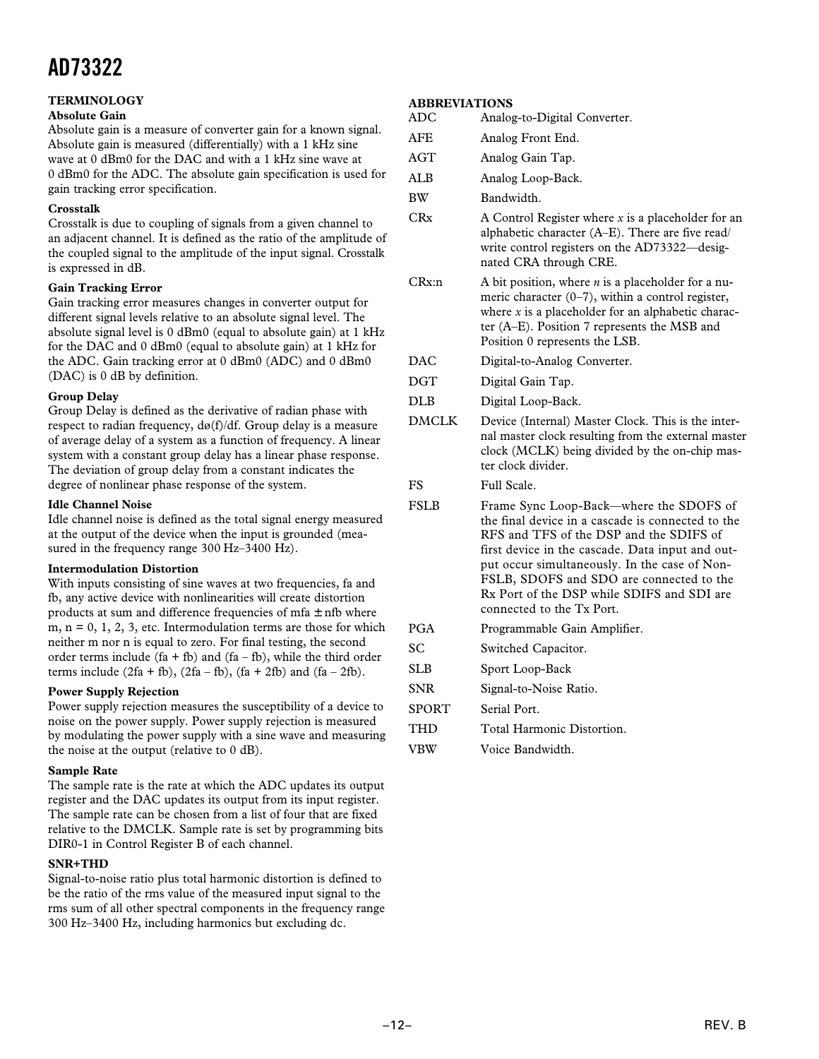#### **TERMINOLOGY**

#### **Absolute Gain**

Absolute gain is a measure of converter gain for a known signal. Absolute gain is measured (differentially) with a 1 kHz sine wave at 0 dBm0 for the DAC and with a 1 kHz sine wave at 0 dBm0 for the ADC. The absolute gain specification is used for gain tracking error specification.

#### **Crosstalk**

Crosstalk is due to coupling of signals from a given channel to an adjacent channel. It is defined as the ratio of the amplitude of the coupled signal to the amplitude of the input signal. Crosstalk is expressed in dB.

#### **Gain Tracking Error**

Gain tracking error measures changes in converter output for different signal levels relative to an absolute signal level. The absolute signal level is 0 dBm0 (equal to absolute gain) at 1 kHz for the DAC and 0 dBm0 (equal to absolute gain) at 1 kHz for the ADC. Gain tracking error at 0 dBm0 (ADC) and 0 dBm0 (DAC) is 0 dB by definition.

#### **Group Delay**

Group Delay is defined as the derivative of radian phase with respect to radian frequency,  $d\omega(f)/df$ . Group delay is a measure of average delay of a system as a function of frequency. A linear system with a constant group delay has a linear phase response. The deviation of group delay from a constant indicates the degree of nonlinear phase response of the system.

#### **Idle Channel Noise**

Idle channel noise is defined as the total signal energy measured at the output of the device when the input is grounded (measured in the frequency range 300 Hz–3400 Hz).

#### **Intermodulation Distortion**

With inputs consisting of sine waves at two frequencies, fa and fb, any active device with nonlinearities will create distortion products at sum and difference frequencies of  $mfa \pm nfb$  where m,  $n = 0, 1, 2, 3$ , etc. Intermodulation terms are those for which neither m nor n is equal to zero. For final testing, the second order terms include  $(fa + fb)$  and  $(fa - fb)$ , while the third order terms include  $(2fa + fb)$ ,  $(2fa - fb)$ ,  $(fa + 2fb)$  and  $(fa - 2fb)$ .

#### **Power Supply Rejection**

Power supply rejection measures the susceptibility of a device to noise on the power supply. Power supply rejection is measured by modulating the power supply with a sine wave and measuring the noise at the output (relative to 0 dB).

#### **Sample Rate**

The sample rate is the rate at which the ADC updates its output register and the DAC updates its output from its input register. The sample rate can be chosen from a list of four that are fixed relative to the DMCLK. Sample rate is set by programming bits DIR0-1 in Control Register B of each channel.

#### **SNR+THD**

Signal-to-noise ratio plus total harmonic distortion is defined to be the ratio of the rms value of the measured input signal to the rms sum of all other spectral components in the frequency range 300 Hz–3400 Hz, including harmonics but excluding dc.

#### **ABBREVIATIONS**

| ADC | Analog-to-Digital Converter. |  |
|-----|------------------------------|--|
|     |                              |  |

- AFE Analog Front End.
- AGT Analog Gain Tap.
- ALB Analog Loop-Back.
- BW Bandwidth.
- CRx A Control Register where *x* is a placeholder for an alphabetic character (A–E). There are five read/ write control registers on the AD73322—designated CRA through CRE.
- CRx:n A bit position, where *n* is a placeholder for a numeric character (0–7), within a control register, where  $x$  is a placeholder for an alphabetic character (A–E). Position 7 represents the MSB and Position 0 represents the LSB.
- DAC Digital-to-Analog Converter.
- DGT Digital Gain Tap.
- DLB Digital Loop-Back.
- DMCLK Device (Internal) Master Clock. This is the internal master clock resulting from the external master clock (MCLK) being divided by the on-chip master clock divider.

FS Full Scale.

- FSLB Frame Sync Loop-Back—where the SDOFS of the final device in a cascade is connected to the RFS and TFS of the DSP and the SDIFS of first device in the cascade. Data input and output occur simultaneously. In the case of Non-FSLB, SDOFS and SDO are connected to the Rx Port of the DSP while SDIFS and SDI are connected to the Tx Port.
- PGA Programmable Gain Amplifier.
- SC Switched Capacitor.
- SLB Sport Loop-Back
- SNR Signal-to-Noise Ratio.
- SPORT Serial Port.
- THD Total Harmonic Distortion.
- VBW Voice Bandwidth.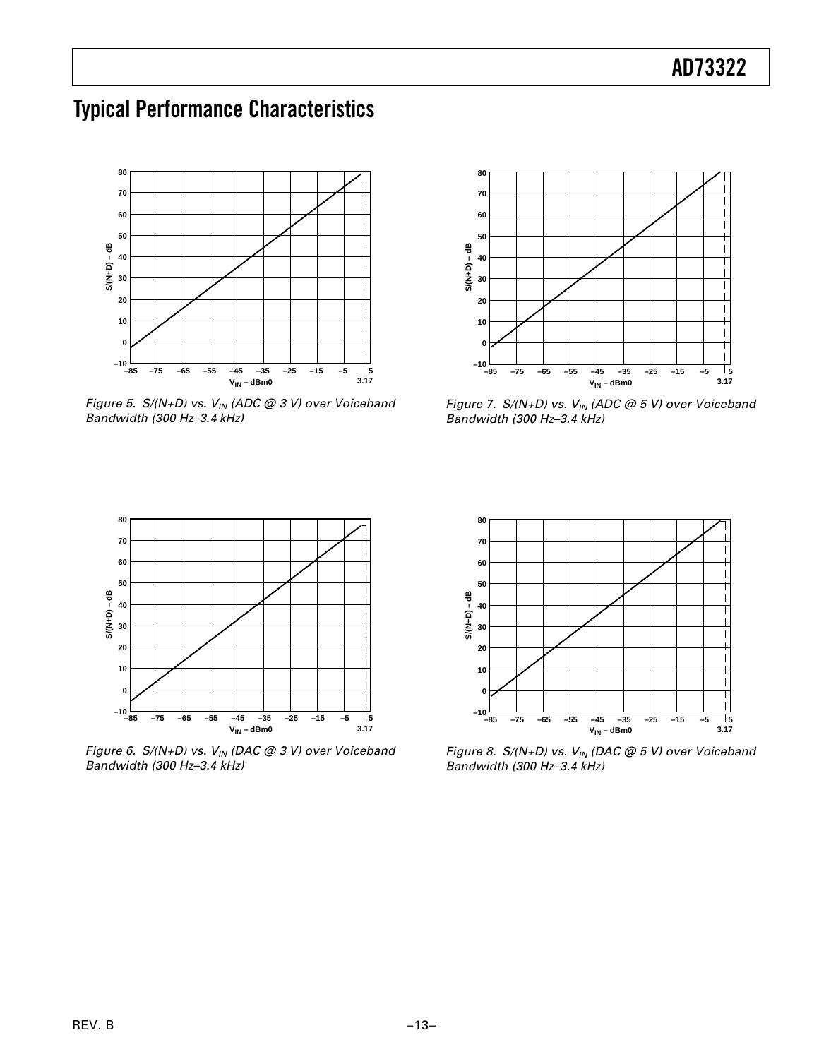### **Typical Performance Characteristics**



Figure 5.  $S/(N+D)$  vs.  $V_{IN}$  (ADC @ 3 V) over Voiceband Bandwidth (300 Hz–3.4 kHz)



Figure 7.  $S/(N+D)$  vs.  $V_{1N}$  (ADC @ 5 V) over Voiceband Bandwidth (300 Hz–3.4 kHz)



Figure 6. S/(N+D) vs.  $V_{IN}$  (DAC @ 3 V) over Voiceband Bandwidth (300 Hz–3.4 kHz)



Figure 8.  $S/(N+D)$  vs.  $V_{IN}$  (DAC @ 5 V) over Voiceband Bandwidth (300 Hz–3.4 kHz)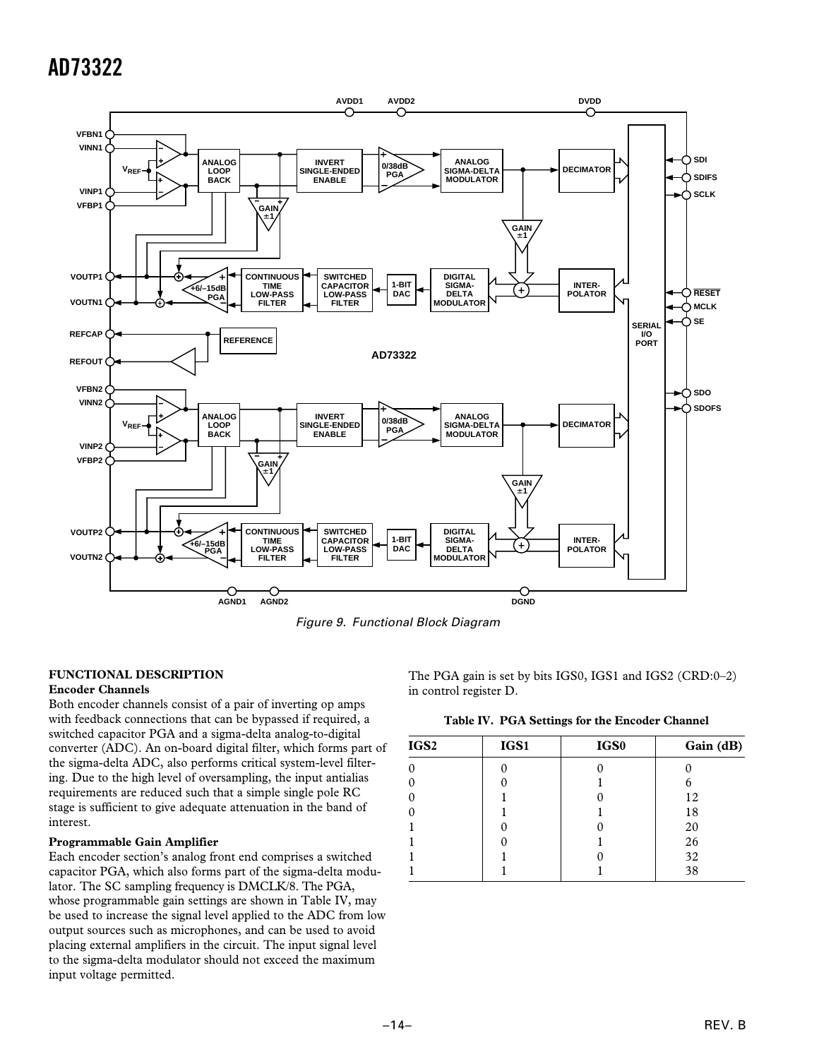

Figure 9. Functional Block Diagram

#### **FUNCTIONAL DESCRIPTION**

#### **Encoder Channels**

Both encoder channels consist of a pair of inverting op amps with feedback connections that can be bypassed if required, a switched capacitor PGA and a sigma-delta analog-to-digital converter (ADC). An on-board digital filter, which forms part of the sigma-delta ADC, also performs critical system-level filtering. Due to the high level of oversampling, the input antialias requirements are reduced such that a simple single pole RC stage is sufficient to give adequate attenuation in the band of interest.

#### **Programmable Gain Amplifier**

Each encoder section's analog front end comprises a switched capacitor PGA, which also forms part of the sigma-delta modulator. The SC sampling frequency is DMCLK/8. The PGA, whose programmable gain settings are shown in Table IV, may be used to increase the signal level applied to the ADC from low output sources such as microphones, and can be used to avoid placing external amplifiers in the circuit. The input signal level to the sigma-delta modulator should not exceed the maximum input voltage permitted.

The PGA gain is set by bits IGS0, IGS1 and IGS2 (CRD:0–2) in control register D.

| Table IV. PGA Settings for the Encoder Channel |  |  |  |
|------------------------------------------------|--|--|--|
|                                                |  |  |  |

| IGS <sub>2</sub> | IGS1 | IGS0 | Gain (dB) |
|------------------|------|------|-----------|
| $\Omega$         |      |      |           |
| $\Omega$         |      |      |           |
| $\Omega$         |      |      | 12        |
| $\Omega$         |      |      | 18        |
|                  |      |      | 20        |
|                  |      |      | 26        |
|                  |      |      | 32        |
|                  |      |      | 38        |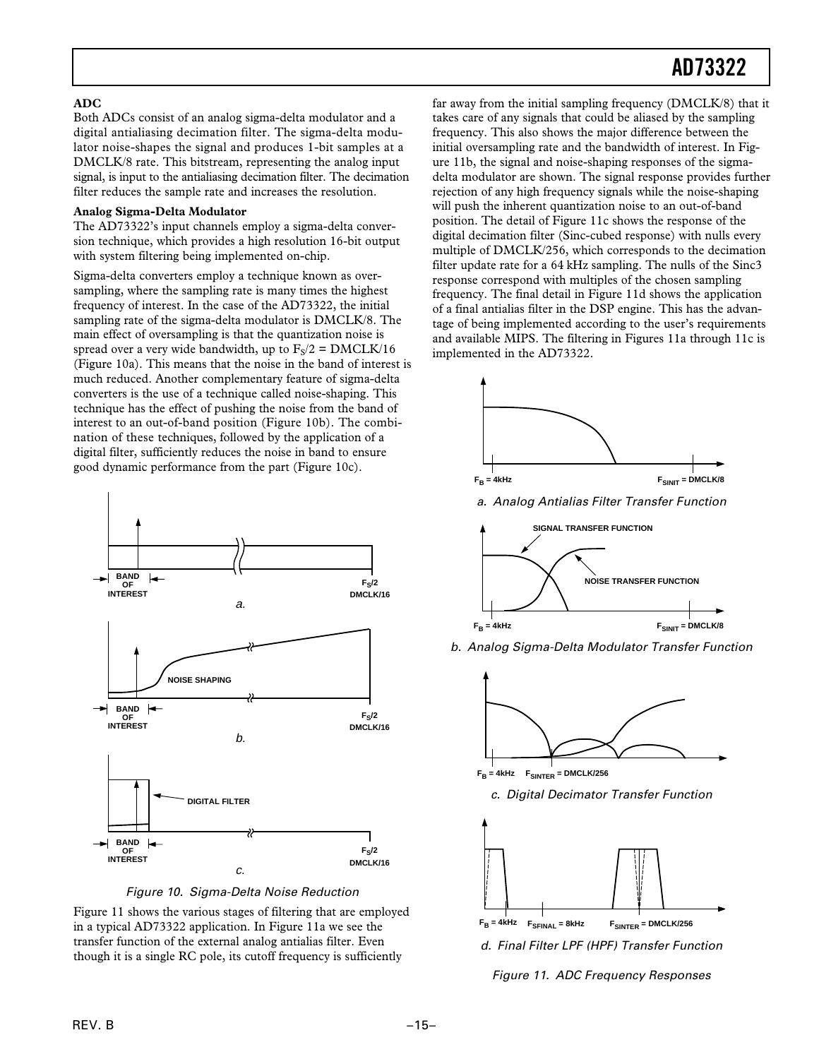#### **ADC**

Both ADCs consist of an analog sigma-delta modulator and a digital antialiasing decimation filter. The sigma-delta modulator noise-shapes the signal and produces 1-bit samples at a DMCLK/8 rate. This bitstream, representing the analog input signal, is input to the antialiasing decimation filter. The decimation filter reduces the sample rate and increases the resolution.

#### **Analog Sigma-Delta Modulator**

The AD73322's input channels employ a sigma-delta conversion technique, which provides a high resolution 16-bit output with system filtering being implemented on-chip.

Sigma-delta converters employ a technique known as oversampling, where the sampling rate is many times the highest frequency of interest. In the case of the AD73322, the initial sampling rate of the sigma-delta modulator is DMCLK/8. The main effect of oversampling is that the quantization noise is spread over a very wide bandwidth, up to  $F<sub>s</sub>/2 = DMCLK/16$ (Figure 10a). This means that the noise in the band of interest is much reduced. Another complementary feature of sigma-delta converters is the use of a technique called noise-shaping. This technique has the effect of pushing the noise from the band of interest to an out-of-band position (Figure 10b). The combination of these techniques, followed by the application of a digital filter, sufficiently reduces the noise in band to ensure good dynamic performance from the part (Figure 10c).



Figure 10. Sigma-Delta Noise Reduction

Figure 11 shows the various stages of filtering that are employed in a typical AD73322 application. In Figure 11a we see the transfer function of the external analog antialias filter. Even though it is a single RC pole, its cutoff frequency is sufficiently

far away from the initial sampling frequency (DMCLK/8) that it takes care of any signals that could be aliased by the sampling frequency. This also shows the major difference between the initial oversampling rate and the bandwidth of interest. In Figure 11b, the signal and noise-shaping responses of the sigmadelta modulator are shown. The signal response provides further rejection of any high frequency signals while the noise-shaping will push the inherent quantization noise to an out-of-band position. The detail of Figure 11c shows the response of the digital decimation filter (Sinc-cubed response) with nulls every multiple of DMCLK/256, which corresponds to the decimation filter update rate for a 64 kHz sampling. The nulls of the Sinc3 response correspond with multiples of the chosen sampling frequency. The final detail in Figure 11d shows the application of a final antialias filter in the DSP engine. This has the advantage of being implemented according to the user's requirements and available MIPS. The filtering in Figures 11a through 11c is implemented in the AD73322.



a. Analog Antialias Filter Transfer Function



b. Analog Sigma-Delta Modulator Transfer Function



 $F_B = 4kHz$  **F**SINTER = DMCLK/256

c. Digital Decimator Transfer Function



d. Final Filter LPF (HPF) Transfer Function

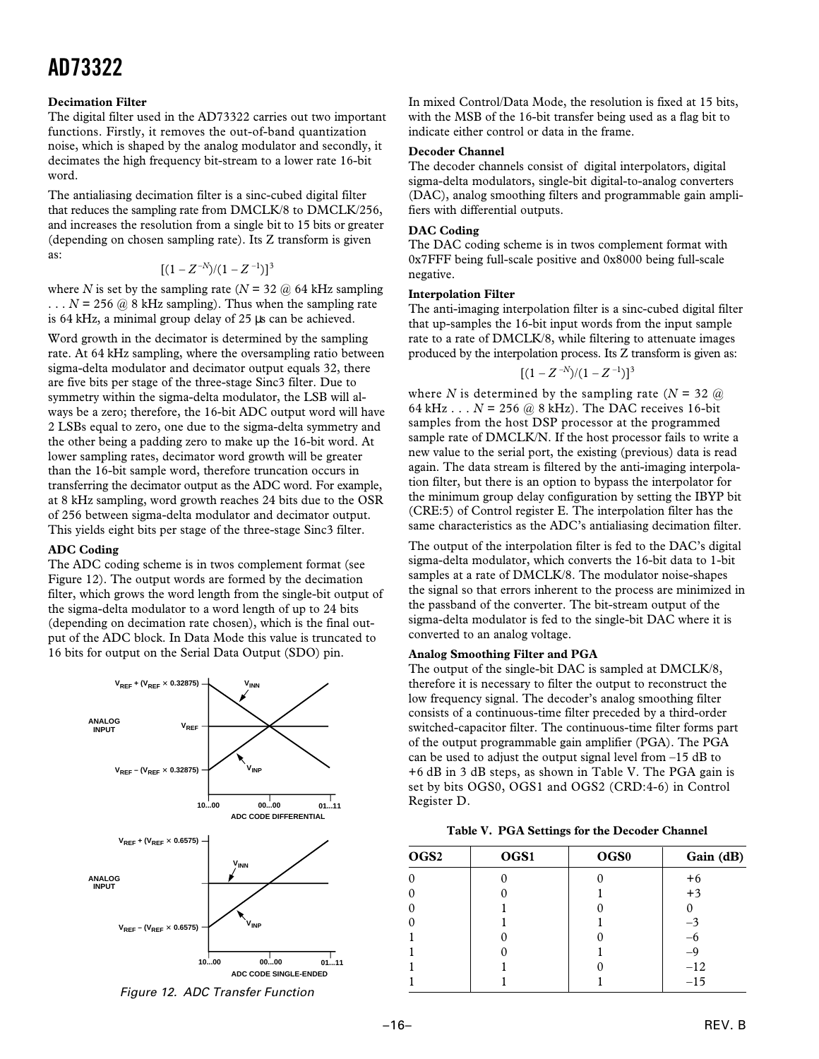#### **Decimation Filter**

The digital filter used in the AD73322 carries out two important functions. Firstly, it removes the out-of-band quantization noise, which is shaped by the analog modulator and secondly, it decimates the high frequency bit-stream to a lower rate 16-bit word.

The antialiasing decimation filter is a sinc-cubed digital filter that reduces the sampling rate from DMCLK/8 to DMCLK/256, and increases the resolution from a single bit to 15 bits or greater (depending on chosen sampling rate). Its Z transform is given as:

$$
[(1-Z^{-N})/(1-Z^{-1})]^3
$$

where *N* is set by the sampling rate ( $N = 32$  @ 64 kHz sampling  $\ldots$  *N* = 256 @ 8 kHz sampling). Thus when the sampling rate is 64 kHz, a minimal group delay of 25 µs can be achieved.

Word growth in the decimator is determined by the sampling rate. At 64 kHz sampling, where the oversampling ratio between sigma-delta modulator and decimator output equals 32, there are five bits per stage of the three-stage Sinc3 filter. Due to symmetry within the sigma-delta modulator, the LSB will always be a zero; therefore, the 16-bit ADC output word will have 2 LSBs equal to zero, one due to the sigma-delta symmetry and the other being a padding zero to make up the 16-bit word. At lower sampling rates, decimator word growth will be greater than the 16-bit sample word, therefore truncation occurs in transferring the decimator output as the ADC word. For example, at 8 kHz sampling, word growth reaches 24 bits due to the OSR of 256 between sigma-delta modulator and decimator output. This yields eight bits per stage of the three-stage Sinc3 filter.

#### **ADC Coding**

The ADC coding scheme is in twos complement format (see Figure 12). The output words are formed by the decimation filter, which grows the word length from the single-bit output of the sigma-delta modulator to a word length of up to 24 bits (depending on decimation rate chosen), which is the final output of the ADC block. In Data Mode this value is truncated to 16 bits for output on the Serial Data Output (SDO) pin.



Figure 12. ADC Transfer Function

In mixed Control/Data Mode, the resolution is fixed at 15 bits, with the MSB of the 16-bit transfer being used as a flag bit to indicate either control or data in the frame.

#### **Decoder Channel**

The decoder channels consist of digital interpolators, digital sigma-delta modulators, single-bit digital-to-analog converters (DAC), analog smoothing filters and programmable gain amplifiers with differential outputs.

#### **DAC Coding**

The DAC coding scheme is in twos complement format with 0x7FFF being full-scale positive and 0x8000 being full-scale negative.

#### **Interpolation Filter**

The anti-imaging interpolation filter is a sinc-cubed digital filter that up-samples the 16-bit input words from the input sample rate to a rate of DMCLK/8, while filtering to attenuate images produced by the interpolation process. Its Z transform is given as:

$$
[(1-Z^{-N})/(1-Z^{-1})]^3
$$

where *N* is determined by the sampling rate  $(N = 32 \omega)$ 64 kHz  $\ldots$  *N* = 256 @ 8 kHz). The DAC receives 16-bit samples from the host DSP processor at the programmed sample rate of DMCLK/N. If the host processor fails to write a new value to the serial port, the existing (previous) data is read again. The data stream is filtered by the anti-imaging interpolation filter, but there is an option to bypass the interpolator for the minimum group delay configuration by setting the IBYP bit (CRE:5) of Control register E. The interpolation filter has the same characteristics as the ADC's antialiasing decimation filter.

The output of the interpolation filter is fed to the DAC's digital sigma-delta modulator, which converts the 16-bit data to 1-bit samples at a rate of DMCLK/8. The modulator noise-shapes the signal so that errors inherent to the process are minimized in the passband of the converter. The bit-stream output of the sigma-delta modulator is fed to the single-bit DAC where it is converted to an analog voltage.

#### **Analog Smoothing Filter and PGA**

The output of the single-bit DAC is sampled at DMCLK/8, therefore it is necessary to filter the output to reconstruct the low frequency signal. The decoder's analog smoothing filter consists of a continuous-time filter preceded by a third-order switched-capacitor filter. The continuous-time filter forms part of the output programmable gain amplifier (PGA). The PGA can be used to adjust the output signal level from –15 dB to +6 dB in 3 dB steps, as shown in Table V. The PGA gain is set by bits OGS0, OGS1 and OGS2 (CRD:4-6) in Control Register D.

|  |  | Table V. PGA Settings for the Decoder Channel |  |
|--|--|-----------------------------------------------|--|
|--|--|-----------------------------------------------|--|

| OGS <sub>2</sub> | OGS1 | OGS <sub>0</sub> | Gain (dB) |
|------------------|------|------------------|-----------|
| $\theta$         |      |                  | $+6$      |
| $\Omega$         |      |                  | $+3$      |
| $\Omega$         |      |                  |           |
| $\Omega$         |      |                  | $-3$      |
|                  |      |                  |           |
|                  |      |                  | $-9$      |
|                  |      |                  | $-12$     |
|                  |      |                  | $-15$     |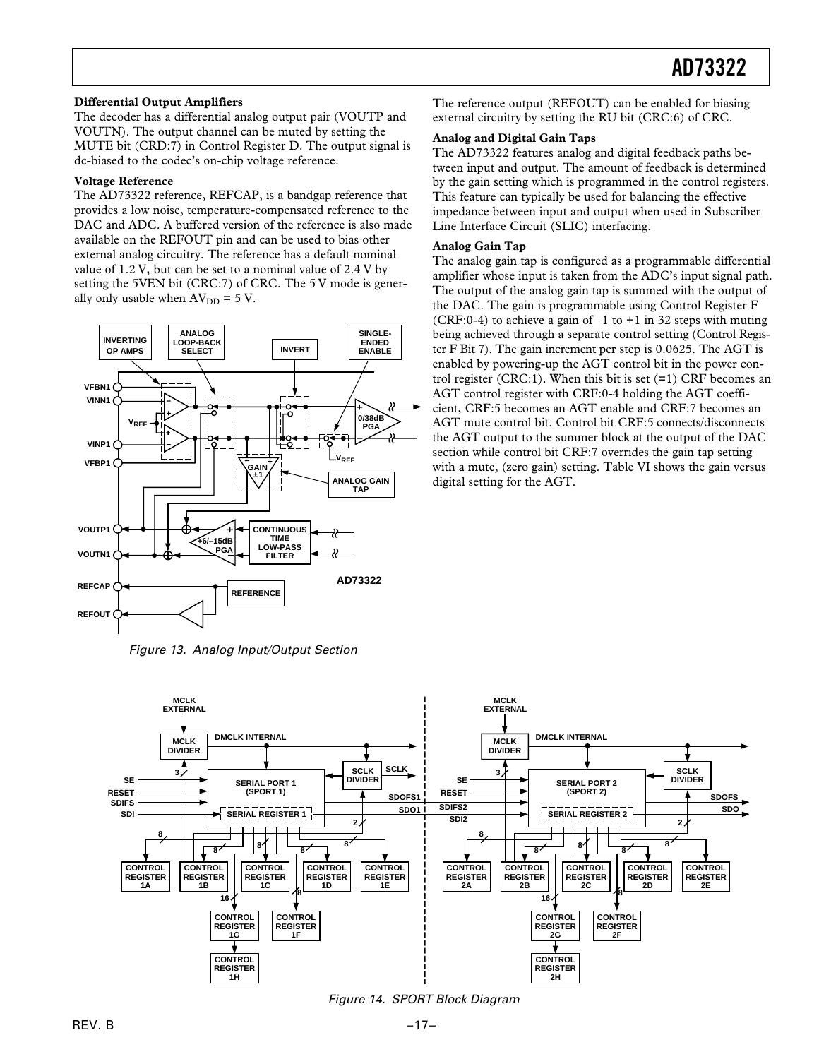#### **Differential Output Amplifiers**

The decoder has a differential analog output pair (VOUTP and VOUTN). The output channel can be muted by setting the MUTE bit (CRD:7) in Control Register D. The output signal is dc-biased to the codec's on-chip voltage reference.

#### **Voltage Reference**

The AD73322 reference, REFCAP, is a bandgap reference that provides a low noise, temperature-compensated reference to the DAC and ADC. A buffered version of the reference is also made available on the REFOUT pin and can be used to bias other external analog circuitry. The reference has a default nominal value of 1.2 V, but can be set to a nominal value of 2.4 V by setting the 5VEN bit (CRC:7) of CRC. The 5 V mode is generally only usable when  $AV_{DD} = 5 V$ .



Figure 13. Analog Input/Output Section

The reference output (REFOUT) can be enabled for biasing external circuitry by setting the RU bit (CRC:6) of CRC.

#### **Analog and Digital Gain Taps**

The AD73322 features analog and digital feedback paths between input and output. The amount of feedback is determined by the gain setting which is programmed in the control registers. This feature can typically be used for balancing the effective impedance between input and output when used in Subscriber Line Interface Circuit (SLIC) interfacing.

#### **Analog Gain Tap**

The analog gain tap is configured as a programmable differential amplifier whose input is taken from the ADC's input signal path. The output of the analog gain tap is summed with the output of the DAC. The gain is programmable using Control Register F (CRF:0-4) to achieve a gain of  $-1$  to  $+1$  in 32 steps with muting being achieved through a separate control setting (Control Register F Bit 7). The gain increment per step is 0.0625. The AGT is enabled by powering-up the AGT control bit in the power control register (CRC:1). When this bit is set  $(=1)$  CRF becomes an AGT control register with CRF:0-4 holding the AGT coefficient, CRF:5 becomes an AGT enable and CRF:7 becomes an AGT mute control bit. Control bit CRF:5 connects/disconnects the AGT output to the summer block at the output of the DAC section while control bit CRF:7 overrides the gain tap setting with a mute, (zero gain) setting. Table VI shows the gain versus digital setting for the AGT.



Figure 14. SPORT Block Diagram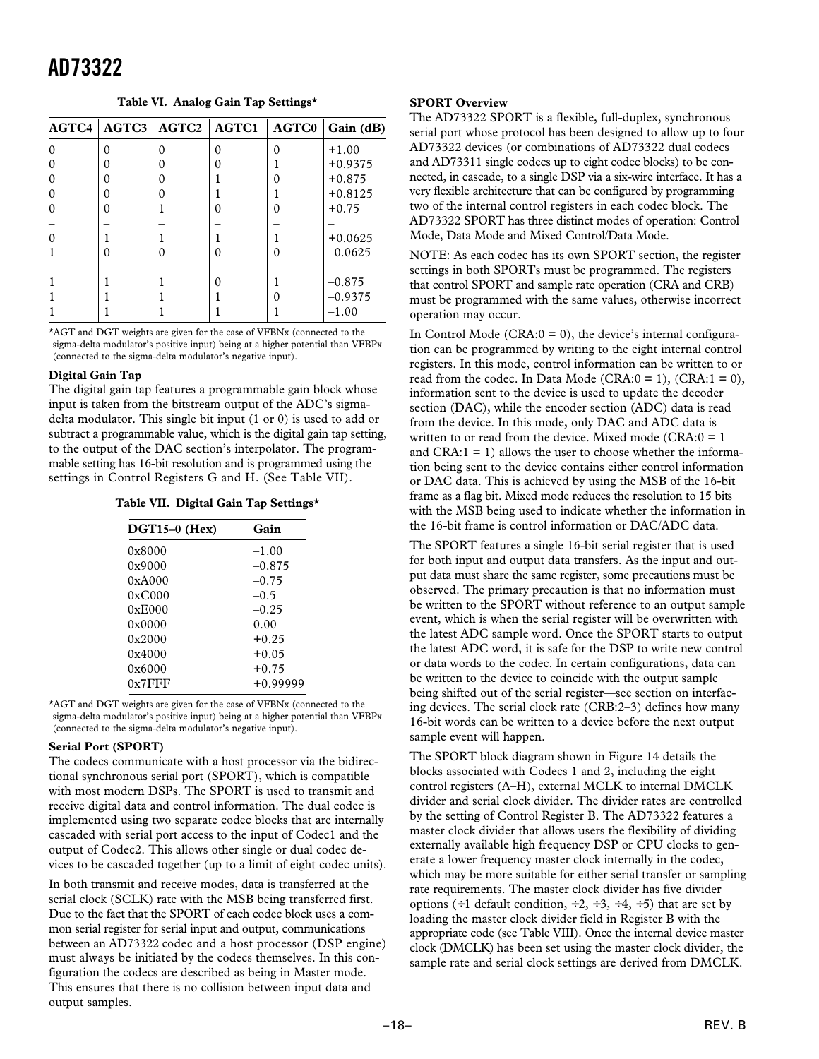**Table VI. Analog Gain Tap Settings\***

| AGTC4 | AGTC3 | <b>AGTC2</b> | AGTC1 | <b>AGTC0</b> | Gain (dB) |
|-------|-------|--------------|-------|--------------|-----------|
| ∩     | O     | O            | O     |              | $+1.00$   |
|       |       |              | Ω     |              | $+0.9375$ |
|       |       |              |       |              | $+0.875$  |
|       |       |              |       |              | $+0.8125$ |
|       | 0     |              |       |              | $+0.75$   |
|       |       |              |       |              |           |
|       |       |              |       |              | $+0.0625$ |
|       |       |              |       |              | $-0.0625$ |
|       |       |              |       |              |           |
|       |       |              |       |              | $-0.875$  |
|       |       |              |       |              | $-0.9375$ |
|       |       |              |       |              | $-1.00$   |

\*AGT and DGT weights are given for the case of VFBNx (connected to the sigma-delta modulator's positive input) being at a higher potential than VFBPx (connected to the sigma-delta modulator's negative input).

#### **Digital Gain Tap**

The digital gain tap features a programmable gain block whose input is taken from the bitstream output of the ADC's sigmadelta modulator. This single bit input (1 or 0) is used to add or subtract a programmable value, which is the digital gain tap setting, to the output of the DAC section's interpolator. The programmable setting has 16-bit resolution and is programmed using the settings in Control Registers G and H. (See Table VII).

**Table VII. Digital Gain Tap Settings\***

| $DGT15-0$ (Hex) | Gain       |
|-----------------|------------|
| 0x8000          | $-1.00$    |
| 0x9000          | $-0.875$   |
| 0xA000          | $-0.75$    |
| 0xC000          | $-0.5$     |
| 0xE000          | $-0.25$    |
| 0x0000          | 0.00       |
| 0x2000          | $+0.25$    |
| 0x4000          | $+0.05$    |
| 0x6000          | $+0.75$    |
| $0x7$ FFF       | $+0.99999$ |

\*AGT and DGT weights are given for the case of VFBNx (connected to the sigma-delta modulator's positive input) being at a higher potential than VFBPx (connected to the sigma-delta modulator's negative input).

#### **Serial Port (SPORT)**

The codecs communicate with a host processor via the bidirectional synchronous serial port (SPORT), which is compatible with most modern DSPs. The SPORT is used to transmit and receive digital data and control information. The dual codec is implemented using two separate codec blocks that are internally cascaded with serial port access to the input of Codec1 and the output of Codec2. This allows other single or dual codec devices to be cascaded together (up to a limit of eight codec units).

In both transmit and receive modes, data is transferred at the serial clock (SCLK) rate with the MSB being transferred first. Due to the fact that the SPORT of each codec block uses a common serial register for serial input and output, communications between an AD73322 codec and a host processor (DSP engine) must always be initiated by the codecs themselves. In this configuration the codecs are described as being in Master mode. This ensures that there is no collision between input data and output samples.

#### **SPORT Overview**

The AD73322 SPORT is a flexible, full-duplex, synchronous serial port whose protocol has been designed to allow up to four AD73322 devices (or combinations of AD73322 dual codecs and AD73311 single codecs up to eight codec blocks) to be connected, in cascade, to a single DSP via a six-wire interface. It has a very flexible architecture that can be configured by programming two of the internal control registers in each codec block. The AD73322 SPORT has three distinct modes of operation: Control Mode, Data Mode and Mixed Control/Data Mode.

NOTE: As each codec has its own SPORT section, the register settings in both SPORTs must be programmed. The registers that control SPORT and sample rate operation (CRA and CRB) must be programmed with the same values, otherwise incorrect operation may occur.

In Control Mode (CRA: $0 = 0$ ), the device's internal configuration can be programmed by writing to the eight internal control registers. In this mode, control information can be written to or read from the codec. In Data Mode (CRA: $0 = 1$ ), (CRA: $1 = 0$ ), information sent to the device is used to update the decoder section (DAC), while the encoder section (ADC) data is read from the device. In this mode, only DAC and ADC data is written to or read from the device. Mixed mode  $(CRA:0 = 1$ and  $CRA:1 = 1$ ) allows the user to choose whether the information being sent to the device contains either control information or DAC data. This is achieved by using the MSB of the 16-bit frame as a flag bit. Mixed mode reduces the resolution to 15 bits with the MSB being used to indicate whether the information in the 16-bit frame is control information or DAC/ADC data.

The SPORT features a single 16-bit serial register that is used for both input and output data transfers. As the input and output data must share the same register, some precautions must be observed. The primary precaution is that no information must be written to the SPORT without reference to an output sample event, which is when the serial register will be overwritten with the latest ADC sample word. Once the SPORT starts to output the latest ADC word, it is safe for the DSP to write new control or data words to the codec. In certain configurations, data can be written to the device to coincide with the output sample being shifted out of the serial register—see section on interfacing devices. The serial clock rate (CRB:2–3) defines how many 16-bit words can be written to a device before the next output sample event will happen.

The SPORT block diagram shown in Figure 14 details the blocks associated with Codecs 1 and 2, including the eight control registers (A–H), external MCLK to internal DMCLK divider and serial clock divider. The divider rates are controlled by the setting of Control Register B. The AD73322 features a master clock divider that allows users the flexibility of dividing externally available high frequency DSP or CPU clocks to generate a lower frequency master clock internally in the codec, which may be more suitable for either serial transfer or sampling rate requirements. The master clock divider has five divider options  $(4 1$  default condition,  $(42, 42, 42, 42)$  that are set by loading the master clock divider field in Register B with the appropriate code (see Table VIII). Once the internal device master clock (DMCLK) has been set using the master clock divider, the sample rate and serial clock settings are derived from DMCLK.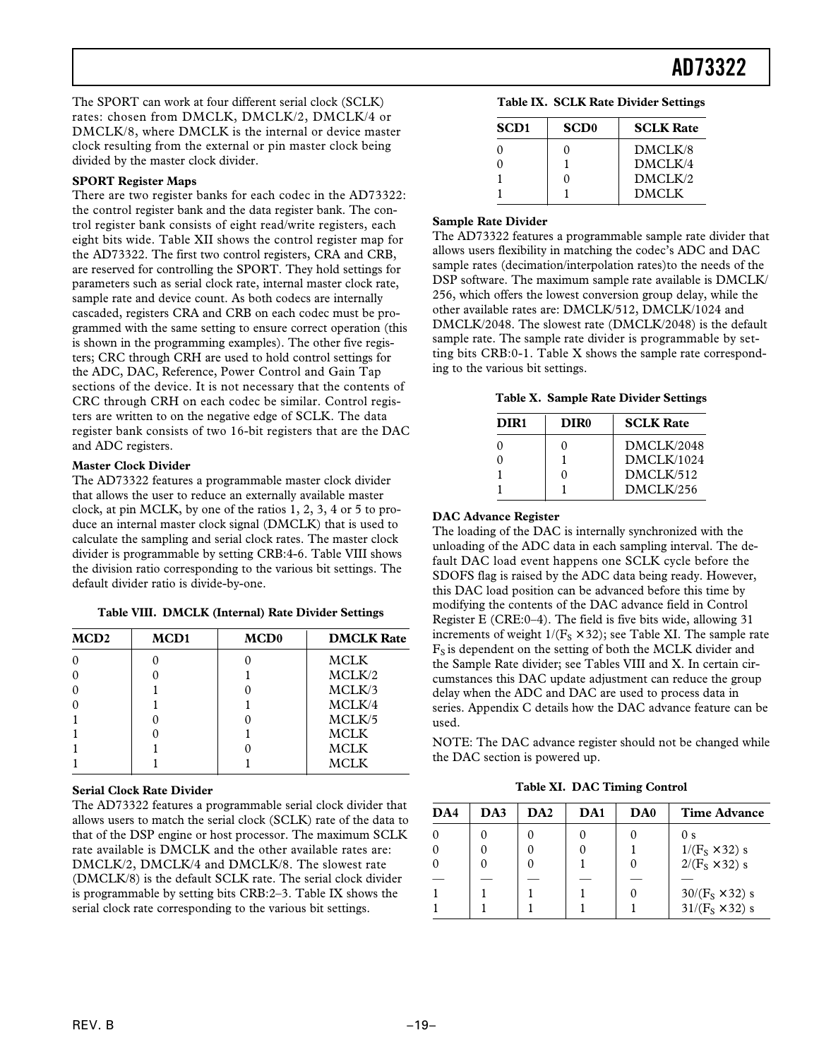The SPORT can work at four different serial clock (SCLK) rates: chosen from DMCLK, DMCLK/2, DMCLK/4 or DMCLK/8, where DMCLK is the internal or device master clock resulting from the external or pin master clock being divided by the master clock divider.

#### **SPORT Register Maps**

There are two register banks for each codec in the AD73322: the control register bank and the data register bank. The control register bank consists of eight read/write registers, each eight bits wide. Table XII shows the control register map for the AD73322. The first two control registers, CRA and CRB, are reserved for controlling the SPORT. They hold settings for parameters such as serial clock rate, internal master clock rate, sample rate and device count. As both codecs are internally cascaded, registers CRA and CRB on each codec must be programmed with the same setting to ensure correct operation (this is shown in the programming examples). The other five registers; CRC through CRH are used to hold control settings for the ADC, DAC, Reference, Power Control and Gain Tap sections of the device. It is not necessary that the contents of CRC through CRH on each codec be similar. Control registers are written to on the negative edge of SCLK. The data register bank consists of two 16-bit registers that are the DAC and ADC registers.

#### **Master Clock Divider**

The AD73322 features a programmable master clock divider that allows the user to reduce an externally available master clock, at pin MCLK, by one of the ratios 1, 2, 3, 4 or 5 to produce an internal master clock signal (DMCLK) that is used to calculate the sampling and serial clock rates. The master clock divider is programmable by setting CRB:4-6. Table VIII shows the division ratio corresponding to the various bit settings. The default divider ratio is divide-by-one.

| Table VIII. DMCLK (Internal) Rate Divider Settings |      |                  |                   |
|----------------------------------------------------|------|------------------|-------------------|
| <b>MCD2</b>                                        | MCD1 | MCD <sub>0</sub> | <b>DMCLK Rate</b> |
|                                                    |      |                  |                   |

0 0 0 0 MCLK 0 | 0 | 1 | MCLK/2 0 | 1 | 0 | MCLK/3 0 1 1 1 MCLK/4 1 0 0 MCLK/5 1 0 1 1 MCLK 1 1 0 MCLK 1 1 1 1 MCLK

#### **Serial Clock Rate Divider**

The AD73322 features a programmable serial clock divider that allows users to match the serial clock (SCLK) rate of the data to that of the DSP engine or host processor. The maximum SCLK rate available is DMCLK and the other available rates are: DMCLK/2, DMCLK/4 and DMCLK/8. The slowest rate (DMCLK/8) is the default SCLK rate. The serial clock divider is programmable by setting bits CRB:2–3. Table IX shows the serial clock rate corresponding to the various bit settings.

| Table IX. SCLK Rate Divider Settings |  |  |
|--------------------------------------|--|--|
|--------------------------------------|--|--|

| <b>SCD1</b> | <b>SCD0</b> | <b>SCLK Rate</b> |
|-------------|-------------|------------------|
|             | 0           | DMCLK/8          |
|             |             | DMCI K/4         |
|             | 0           | DMCLK/2          |
|             |             | <b>DMCLK</b>     |

#### **Sample Rate Divider**

The AD73322 features a programmable sample rate divider that allows users flexibility in matching the codec's ADC and DAC sample rates (decimation/interpolation rates)to the needs of the DSP software. The maximum sample rate available is DMCLK/ 256, which offers the lowest conversion group delay, while the other available rates are: DMCLK/512, DMCLK/1024 and DMCLK/2048. The slowest rate (DMCLK/2048) is the default sample rate. The sample rate divider is programmable by setting bits CRB:0-1. Table X shows the sample rate corresponding to the various bit settings.

**Table X. Sample Rate Divider Settings**

| DIR <sub>1</sub> | DIR <sub>0</sub> | <b>SCLK Rate</b> |
|------------------|------------------|------------------|
|                  |                  | DMCI K/2048      |
|                  |                  | DMCI K/1024      |
|                  |                  | DMCI K/512       |
|                  |                  | DMCLK/256        |

#### **DAC Advance Register**

The loading of the DAC is internally synchronized with the unloading of the ADC data in each sampling interval. The default DAC load event happens one SCLK cycle before the SDOFS flag is raised by the ADC data being ready. However, this DAC load position can be advanced before this time by modifying the contents of the DAC advance field in Control Register E (CRE:0–4). The field is five bits wide, allowing 31 increments of weight  $1/(F_s \times 32)$ ; see Table XI. The sample rate  $F<sub>S</sub>$  is dependent on the setting of both the MCLK divider and the Sample Rate divider; see Tables VIII and X. In certain circumstances this DAC update adjustment can reduce the group delay when the ADC and DAC are used to process data in series. Appendix C details how the DAC advance feature can be used.

NOTE: The DAC advance register should not be changed while the DAC section is powered up.

**Table XI. DAC Timing Control**

| DA4 | DA3 | DA2 | DA <sub>1</sub> | DA <sub>0</sub> | <b>Time Advance</b>    |
|-----|-----|-----|-----------------|-----------------|------------------------|
|     |     |     |                 |                 | 0 <sub>s</sub>         |
|     |     |     |                 |                 | $1/(F_s \times 32)$ s  |
|     |     |     |                 |                 | $2/(F_s \times 32)$ s  |
|     |     |     |                 |                 |                        |
|     |     |     |                 |                 | $30/(F_s \times 32)$ s |
|     |     |     |                 |                 | $31/(F_S \times 32)$ s |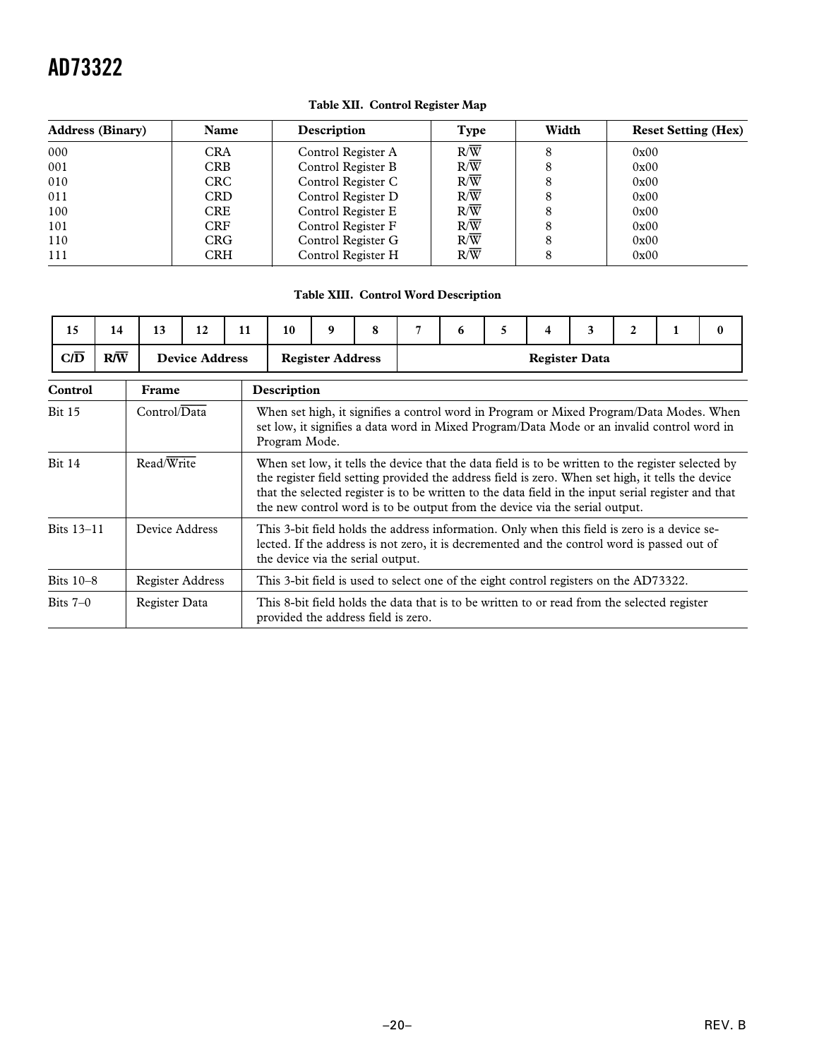| <b>Address (Binary)</b> | <b>Name</b> | Description        | Type             | Width | <b>Reset Setting (Hex)</b> |
|-------------------------|-------------|--------------------|------------------|-------|----------------------------|
| 000                     | <b>CRA</b>  | Control Register A | $R/\overline{W}$ | 8     | 0x00                       |
| 001                     | <b>CRB</b>  | Control Register B | $R/\overline{W}$ | 8     | 0x00                       |
| 010                     | <b>CRC</b>  | Control Register C | $R/\overline{W}$ |       | 0x00                       |
| 011                     | <b>CRD</b>  | Control Register D | $R/\overline{W}$ | 8     | 0x00                       |
| 100                     | <b>CRE</b>  | Control Register E | $R/\overline{W}$ | 8     | 0x00                       |
| 101                     | <b>CRF</b>  | Control Register F | $R/\overline{W}$ | 8     | 0x00                       |
| 110                     | <b>CRG</b>  | Control Register G | R/W              | 8     | 0x00                       |
| 111                     | <b>CRH</b>  | Control Register H | R/W              | 8     | 0x00                       |

#### **Table XII. Control Register Map**

#### **Table XIII. Control Word Description**

| 15               | 14           | 13                      | 12 | 11 | 10                                                                                                                                                                                                                                                                                                                                                                                            | 9                                                                                     | 8 | 7 | 6 | 5 | 4 | 3                    | $\mathbf{2}$ | $\mathbf{0}$ |
|------------------|--------------|-------------------------|----|----|-----------------------------------------------------------------------------------------------------------------------------------------------------------------------------------------------------------------------------------------------------------------------------------------------------------------------------------------------------------------------------------------------|---------------------------------------------------------------------------------------|---|---|---|---|---|----------------------|--------------|--------------|
| $CI\overline{D}$ | $R/\sqrt{W}$ | <b>Device Address</b>   |    |    |                                                                                                                                                                                                                                                                                                                                                                                               | <b>Register Address</b>                                                               |   |   |   |   |   | <b>Register Data</b> |              |              |
| Control          |              | Frame                   |    |    | Description                                                                                                                                                                                                                                                                                                                                                                                   |                                                                                       |   |   |   |   |   |                      |              |              |
| <b>Bit 15</b>    |              | Control/Data            |    |    | When set high, it signifies a control word in Program or Mixed Program/Data Modes. When<br>set low, it signifies a data word in Mixed Program/Data Mode or an invalid control word in<br>Program Mode.                                                                                                                                                                                        |                                                                                       |   |   |   |   |   |                      |              |              |
| <b>Bit 14</b>    |              | Read/Write              |    |    | When set low, it tells the device that the data field is to be written to the register selected by<br>the register field setting provided the address field is zero. When set high, it tells the device<br>that the selected register is to be written to the data field in the input serial register and that<br>the new control word is to be output from the device via the serial output. |                                                                                       |   |   |   |   |   |                      |              |              |
| Bits 13-11       |              | Device Address          |    |    | This 3-bit field holds the address information. Only when this field is zero is a device se-<br>lected. If the address is not zero, it is decremented and the control word is passed out of<br>the device via the serial output.                                                                                                                                                              |                                                                                       |   |   |   |   |   |                      |              |              |
| Bits $10-8$      |              | <b>Register Address</b> |    |    |                                                                                                                                                                                                                                                                                                                                                                                               | This 3-bit field is used to select one of the eight control registers on the AD73322. |   |   |   |   |   |                      |              |              |
| Bits $7-0$       |              | Register Data           |    |    | This 8-bit field holds the data that is to be written to or read from the selected register<br>provided the address field is zero.                                                                                                                                                                                                                                                            |                                                                                       |   |   |   |   |   |                      |              |              |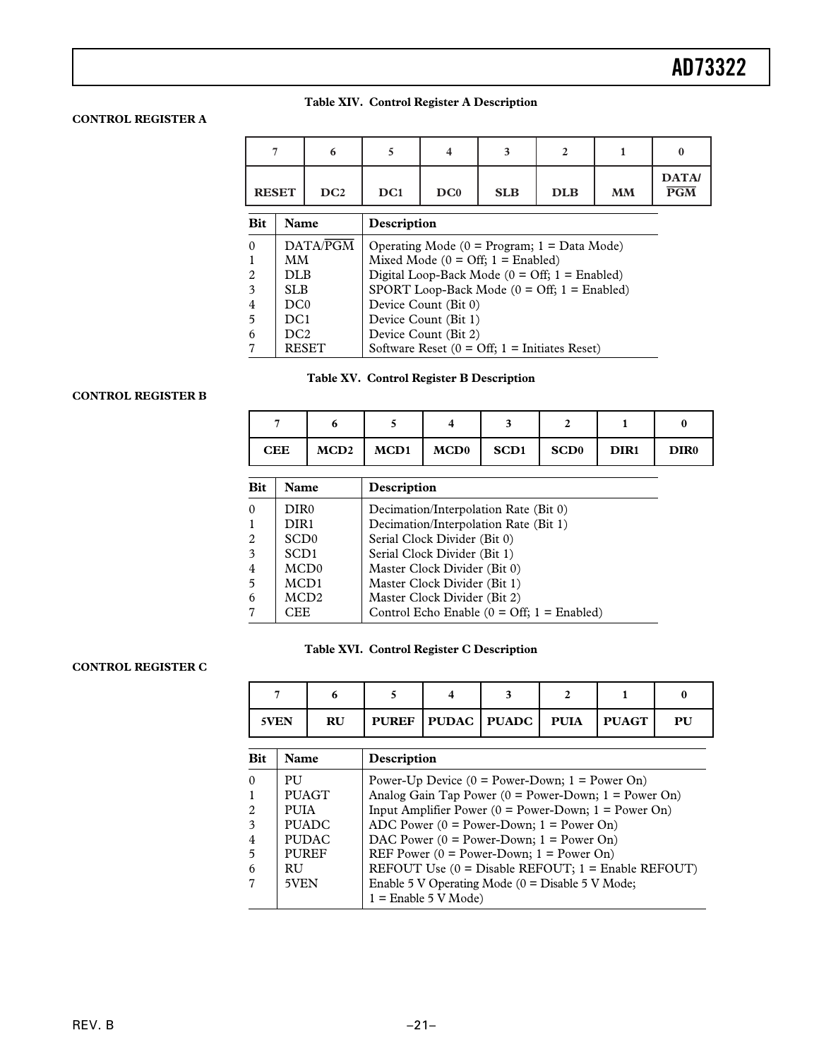#### **Table XIV. Control Register A Description**

#### **CONTROL REGISTER A**

|                | 7                                                                        | 6        | 5                                                        |                      | 3                                                  | $\mathbf{2}$                                                 |           | $\bf{0}$                                 |  |
|----------------|--------------------------------------------------------------------------|----------|----------------------------------------------------------|----------------------|----------------------------------------------------|--------------------------------------------------------------|-----------|------------------------------------------|--|
|                | DC2<br><b>RESET</b>                                                      |          | DC <sub>1</sub>                                          | DC0                  | <b>SLB</b>                                         | <b>DLB</b>                                                   | <b>MM</b> | <b>DATA</b><br>$\overline{\mathbf{PGM}}$ |  |
| <b>Bit</b>     | Name<br>Description                                                      |          |                                                          |                      |                                                    |                                                              |           |                                          |  |
| $\Omega$       |                                                                          | DATA/PGM |                                                          |                      |                                                    | Operating Mode $(0 = Program; 1 = Data Mode)$                |           |                                          |  |
|                | MМ                                                                       |          |                                                          |                      | Mixed Mode $(0 = \text{Off}; 1 = \text{Enabeled})$ |                                                              |           |                                          |  |
| 2              | DLB.                                                                     |          | Digital Loop-Back Mode ( $0 = \text{Off}$ ; 1 = Enabled) |                      |                                                    |                                                              |           |                                          |  |
| 3              | SLB.                                                                     |          |                                                          |                      |                                                    | SPORT Loop-Back Mode $(0 = \text{Off}; 1 = \text{Enabeled})$ |           |                                          |  |
| $\overline{4}$ | DC0                                                                      |          |                                                          | Device Count (Bit 0) |                                                    |                                                              |           |                                          |  |
| 5              | DC <sub>1</sub>                                                          |          | Device Count (Bit 1)                                     |                      |                                                    |                                                              |           |                                          |  |
| 6              | DC2                                                                      |          |                                                          | Device Count (Bit 2) |                                                    |                                                              |           |                                          |  |
|                | Software Reset ( $0 = \text{Off}$ ; 1 = Initiates Reset)<br><b>RESET</b> |          |                                                          |                      |                                                    |                                                              |           |                                          |  |

| <b>Table XV. Control Register B Description</b> |  |  |  |
|-------------------------------------------------|--|--|--|
|                                                 |  |  |  |

#### **CONTROL REGISTER B**

| <b>CEE</b> |  | $MCD2$   $MCD1$   $MCD0$   $SCD1$   $SCD0$ | DIR <sub>1</sub> | DIR0 |
|------------|--|--------------------------------------------|------------------|------|

| <b>Bit</b>     | Name             | Description                                                 |
|----------------|------------------|-------------------------------------------------------------|
| $\theta$       | DIR <sub>0</sub> | Decimation/Interpolation Rate (Bit 0)                       |
|                | DIR <sub>1</sub> | Decimation/Interpolation Rate (Bit 1)                       |
| 2              | SCD <sub>0</sub> | Serial Clock Divider (Bit 0)                                |
| 3              | SCD <sub>1</sub> | Serial Clock Divider (Bit 1)                                |
| $\overline{4}$ | MCD <sub>0</sub> | Master Clock Divider (Bit 0)                                |
| 5              | MCD1             | Master Clock Divider (Bit 1)                                |
| 6              | MCD <sub>2</sub> | Master Clock Divider (Bit 2)                                |
|                | CEE              | Control Echo Enable $(0 = \text{Off}; 1 = \text{Enabeled})$ |
|                |                  |                                                             |

#### **Table XVI. Control Register C Description**

#### **CONTROL REGISTER C**

| 5VEN | <b>RU</b> |  | PUREF   PUDAC   PUADC   PUIA   PUAGT |  | PU |
|------|-----------|--|--------------------------------------|--|----|

| Bit      | Name         | Description                                                |
|----------|--------------|------------------------------------------------------------|
| $\theta$ | <b>PU</b>    | Power-Up Device $(0 = Power-Down; 1 = Power On)$           |
| 1        | <b>PUAGT</b> | Analog Gain Tap Power ( $0 = Power$ -Down; $1 = Power$ On) |
| 2        | <b>PUIA</b>  | Input Amplifier Power ( $0 = Power$ -Down; 1 = Power On)   |
| 3        | <b>PUADC</b> | ADC Power $(0 = Power-Down; 1 = Power On)$                 |
| 4        | <b>PUDAC</b> | DAC Power $(0 = Power-Down; 1 = Power On)$                 |
| 5        | <b>PUREF</b> | REF Power ( $0 = Power-Down$ ; 1 = Power On)               |
| 6        | RU.          | REFOUT Use $(0 = Disable REFOUT; 1 = Enable REFOUT)$       |
| 7        | 5VEN         | Enable 5 V Operating Mode ( $0 =$ Disable 5 V Mode;        |
|          |              | $1 =$ Enable 5 V Mode)                                     |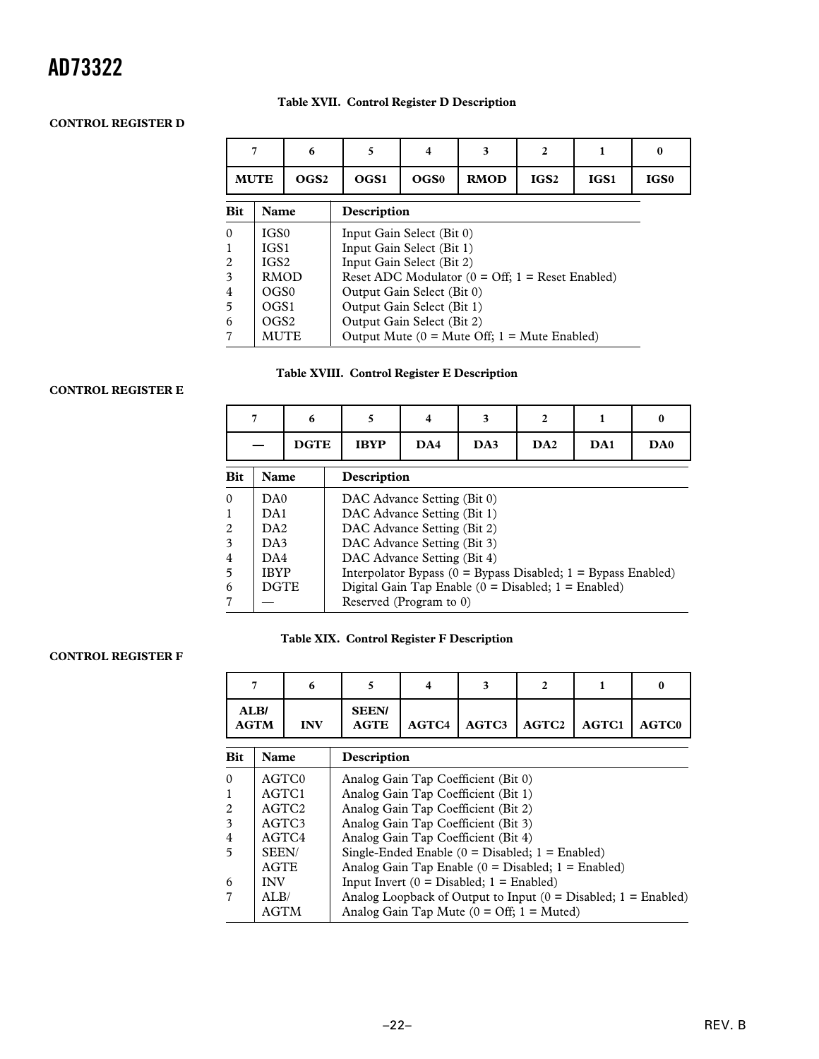#### **Table XVII. Control Register D Description**

#### **CONTROL REGISTER D**

|            | 6                   |                  | 5<br>4                                           |                            | 3<br>2                                                            |                  |      | $\bf{0}$         |  |  |  |
|------------|---------------------|------------------|--------------------------------------------------|----------------------------|-------------------------------------------------------------------|------------------|------|------------------|--|--|--|
|            | <b>MUTE</b>         | OGS <sub>2</sub> | OGS1                                             | OGS0                       | <b>RMOD</b>                                                       | IGS <sub>2</sub> | IGS1 | IGS <sub>0</sub> |  |  |  |
| <b>Bit</b> | Name<br>Description |                  |                                                  |                            |                                                                   |                  |      |                  |  |  |  |
| $\Omega$   | IGS <sub>0</sub>    |                  |                                                  | Input Gain Select (Bit 0)  |                                                                   |                  |      |                  |  |  |  |
| 1          | IGS1                |                  | Input Gain Select (Bit 1)                        |                            |                                                                   |                  |      |                  |  |  |  |
| 2          | IGS <sub>2</sub>    |                  | Input Gain Select (Bit 2)                        |                            |                                                                   |                  |      |                  |  |  |  |
| 3          | <b>RMOD</b>         |                  |                                                  |                            | Reset ADC Modulator $(0 = \text{Off}; 1 = \text{Reset Enabeled})$ |                  |      |                  |  |  |  |
| 4          | OG <sub>S0</sub>    |                  |                                                  | Output Gain Select (Bit 0) |                                                                   |                  |      |                  |  |  |  |
| 5          | OGS1                |                  | Output Gain Select (Bit 1)                       |                            |                                                                   |                  |      |                  |  |  |  |
| 6          | OGS <sub>2</sub>    |                  | Output Gain Select (Bit 2)                       |                            |                                                                   |                  |      |                  |  |  |  |
| 7          | <b>MUTE</b>         |                  | Output Mute $(0 =$ Mute Off; $1 =$ Mute Enabled) |                            |                                                                   |                  |      |                  |  |  |  |

#### **Table XVIII. Control Register E Description**

#### **CONTROL REGISTER E**

|            |                            | 6           | 5<br>4                                                            | 3   | 2   |                 | $\mathbf{0}$ |     |  |  |
|------------|----------------------------|-------------|-------------------------------------------------------------------|-----|-----|-----------------|--------------|-----|--|--|
|            |                            | <b>DGTE</b> | <b>IBYP</b>                                                       | DA4 | DA3 | DA <sub>2</sub> | DA1          | DA0 |  |  |
| <b>Bit</b> | <b>Name</b><br>Description |             |                                                                   |     |     |                 |              |     |  |  |
| $\Omega$   | D <sub>A0</sub>            |             | DAC Advance Setting (Bit 0)                                       |     |     |                 |              |     |  |  |
| 1          | DA1                        |             | DAC Advance Setting (Bit 1)                                       |     |     |                 |              |     |  |  |
| 2          | DA2                        |             | DAC Advance Setting (Bit 2)                                       |     |     |                 |              |     |  |  |
| 3          | DA3                        |             | DAC Advance Setting (Bit 3)                                       |     |     |                 |              |     |  |  |
| 4          | DA4                        |             | DAC Advance Setting (Bit 4)                                       |     |     |                 |              |     |  |  |
| 5          | <b>IBYP</b>                |             | Interpolator Bypass $(0 = Bypass Disabeled; 1 = Bypass Enabeled)$ |     |     |                 |              |     |  |  |
| 6          | <b>DGTE</b>                |             | Digital Gain Tap Enable $(0 = Disabeled; 1 = Enabeled)$           |     |     |                 |              |     |  |  |
| 7          |                            |             | Reserved (Program to 0)                                           |     |     |                 |              |     |  |  |

#### **Table XIX. Control Register F Description**

#### **CONTROL REGISTER F**

| <b>ALB</b><br><b>AGTM</b> | <b>INV</b> | <b>SEEN/</b> | AGTE   AGTC4   AGTC3   AGTC2   AGTC1   AGTC0 |  |  |
|---------------------------|------------|--------------|----------------------------------------------|--|--|

| <b>Bit</b>     | <b>Name</b>       | Description                                                        |
|----------------|-------------------|--------------------------------------------------------------------|
| $\Omega$       | AGTC0             | Analog Gain Tap Coefficient (Bit 0)                                |
|                | AGTC1             | Analog Gain Tap Coefficient (Bit 1)                                |
| 2              | AGTC <sub>2</sub> | Analog Gain Tap Coefficient (Bit 2)                                |
| 3              | AGTC3             | Analog Gain Tap Coefficient (Bit 3)                                |
| $\overline{4}$ | AGTC4             | Analog Gain Tap Coefficient (Bit 4)                                |
| -5             | SEEN/             | Single-Ended Enable $(0 = Disabeled; 1 = Enabeled)$                |
|                | <b>AGTE</b>       | Analog Gain Tap Enable $(0 = Disabeled; 1 = Enabeled)$             |
| 6              | <b>INV</b>        | Input Invert $(0 = Disabeled; 1 = Enabeled)$                       |
|                | AT.B/             | Analog Loopback of Output to Input $(0 = Disabeled; 1 = Enabeled)$ |
|                | <b>AGTM</b>       | Analog Gain Tap Mute $(0 = \text{Off}; 1 = \text{Muted})$          |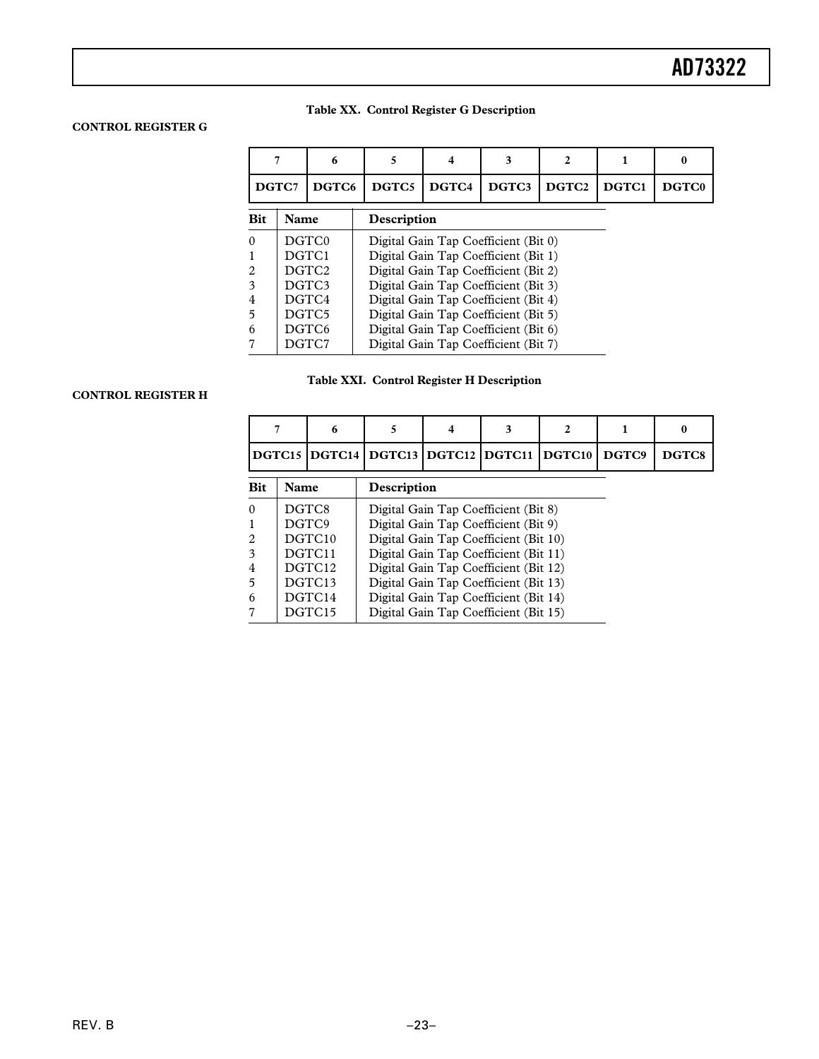#### **Table XX. Control Register G Description**

#### **CONTROL REGISTER G**

|                |                   | 6     |                                      |                                      | 3                                    |                   |       | 0                 |
|----------------|-------------------|-------|--------------------------------------|--------------------------------------|--------------------------------------|-------------------|-------|-------------------|
| DGTC7          |                   | DGTC6 | DGTC5                                | DGTC4                                | DGTC3                                | DGTC <sub>2</sub> | DGTC1 | DGTC <sub>0</sub> |
| <b>Bit</b>     | Name              |       |                                      | Description                          |                                      |                   |       |                   |
| $\Omega$       | DGTC0             |       |                                      | Digital Gain Tap Coefficient (Bit 0) |                                      |                   |       |                   |
|                |                   | DGTC1 | Digital Gain Tap Coefficient (Bit 1) |                                      |                                      |                   |       |                   |
| 2              | DGTC <sub>2</sub> |       | Digital Gain Tap Coefficient (Bit 2) |                                      |                                      |                   |       |                   |
| 3              | DGTC3             |       |                                      | Digital Gain Tap Coefficient (Bit 3) |                                      |                   |       |                   |
| $\overline{4}$ | DGTC4             |       | Digital Gain Tap Coefficient (Bit 4) |                                      |                                      |                   |       |                   |
| 5              | DGTC5             |       | Digital Gain Tap Coefficient (Bit 5) |                                      |                                      |                   |       |                   |
| 6              | DGTC <sub>6</sub> |       | Digital Gain Tap Coefficient (Bit 6) |                                      |                                      |                   |       |                   |
|                |                   | DGTC7 |                                      |                                      | Digital Gain Tap Coefficient (Bit 7) |                   |       |                   |

#### **Table XXI. Control Register H Description**

#### **CONTROL REGISTER H**

|            |                    | 6                   |                                       |                                                     | 3                                     | 2     |                   | 0 |
|------------|--------------------|---------------------|---------------------------------------|-----------------------------------------------------|---------------------------------------|-------|-------------------|---|
|            |                    |                     |                                       | DGTC15   DGTC14   DGTC13   DGTC12   DGTC11   DGTC10 |                                       | DGTC9 | DGTC <sub>8</sub> |   |
| <b>Bit</b> |                    | Name<br>Description |                                       |                                                     |                                       |       |                   |   |
| 0          | DGTC8              |                     | Digital Gain Tap Coefficient (Bit 8)  |                                                     |                                       |       |                   |   |
|            |                    | DGTC9               | Digital Gain Tap Coefficient (Bit 9)  |                                                     |                                       |       |                   |   |
| 2          | DGTC <sub>10</sub> |                     | Digital Gain Tap Coefficient (Bit 10) |                                                     |                                       |       |                   |   |
| 3          | DGTC <sub>11</sub> |                     |                                       | Digital Gain Tap Coefficient (Bit 11)               |                                       |       |                   |   |
| 4          | DGTC <sub>12</sub> |                     | Digital Gain Tap Coefficient (Bit 12) |                                                     |                                       |       |                   |   |
| 5          | DGTC13             |                     | Digital Gain Tap Coefficient (Bit 13) |                                                     |                                       |       |                   |   |
| 6          | DGTC <sub>14</sub> |                     | Digital Gain Tap Coefficient (Bit 14) |                                                     |                                       |       |                   |   |
|            |                    | DGTC15              |                                       |                                                     | Digital Gain Tap Coefficient (Bit 15) |       |                   |   |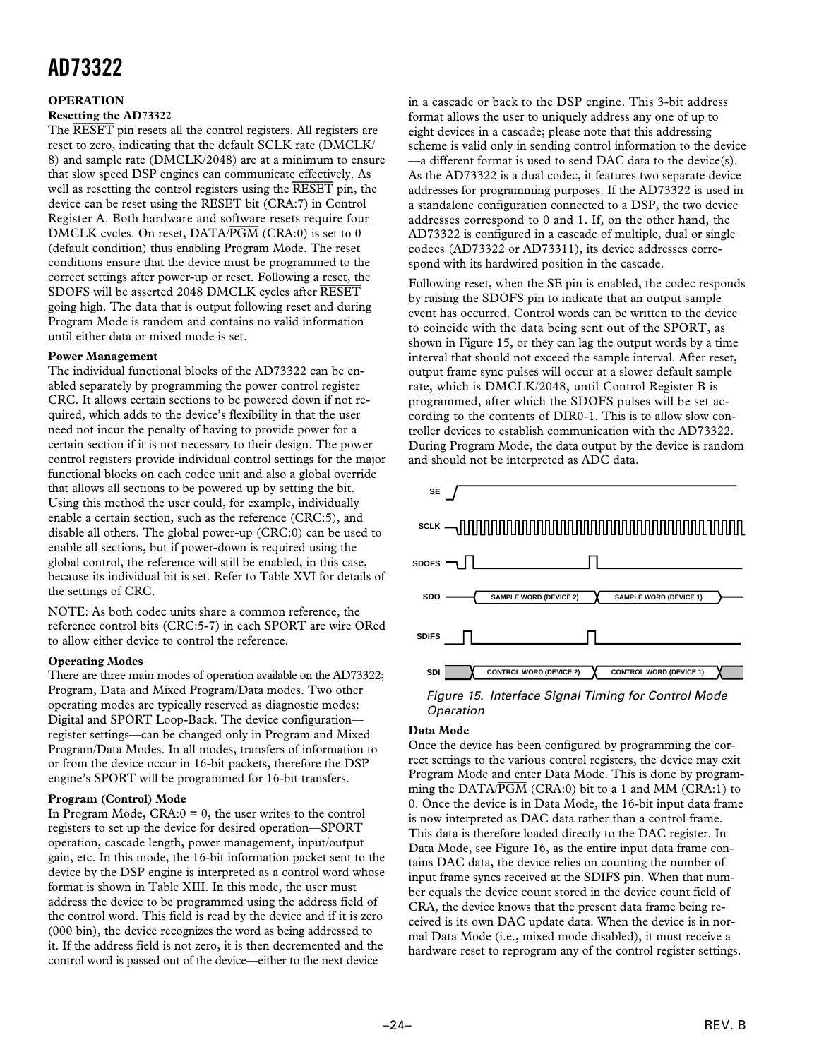#### **OPERATION**

#### **Resetting the AD73322**

The *RESET* pin resets all the control registers. All registers are reset to zero, indicating that the default SCLK rate (DMCLK/ 8) and sample rate (DMCLK/2048) are at a minimum to ensure that slow speed DSP engines can communicate effectively. As well as resetting the control registers using the *RESET* pin, the device can be reset using the RESET bit (CRA:7) in Control Register A. Both hardware and software resets require four DMCLK cycles. On reset, DATA/*PGM* (CRA:0) is set to 0 (default condition) thus enabling Program Mode. The reset conditions ensure that the device must be programmed to the correct settings after power-up or reset. Following a reset, the SDOFS will be asserted 2048 DMCLK cycles after *RESET* going high. The data that is output following reset and during Program Mode is random and contains no valid information until either data or mixed mode is set.

#### **Power Management**

The individual functional blocks of the AD73322 can be enabled separately by programming the power control register CRC. It allows certain sections to be powered down if not required, which adds to the device's flexibility in that the user need not incur the penalty of having to provide power for a certain section if it is not necessary to their design. The power control registers provide individual control settings for the major functional blocks on each codec unit and also a global override that allows all sections to be powered up by setting the bit. Using this method the user could, for example, individually enable a certain section, such as the reference (CRC:5), and disable all others. The global power-up (CRC:0) can be used to enable all sections, but if power-down is required using the global control, the reference will still be enabled, in this case, because its individual bit is set. Refer to Table XVI for details of the settings of CRC.

NOTE: As both codec units share a common reference, the reference control bits (CRC:5-7) in each SPORT are wire ORed to allow either device to control the reference.

#### **Operating Modes**

There are three main modes of operation available on the AD73322; Program, Data and Mixed Program/Data modes. Two other operating modes are typically reserved as diagnostic modes: Digital and SPORT Loop-Back. The device configuration register settings—can be changed only in Program and Mixed Program/Data Modes. In all modes, transfers of information to or from the device occur in 16-bit packets, therefore the DSP engine's SPORT will be programmed for 16-bit transfers.

#### **Program (Control) Mode**

In Program Mode,  $CRA:0 = 0$ , the user writes to the control registers to set up the device for desired operation—SPORT operation, cascade length, power management, input/output gain, etc. In this mode, the 16-bit information packet sent to the device by the DSP engine is interpreted as a control word whose format is shown in Table XIII. In this mode, the user must address the device to be programmed using the address field of the control word. This field is read by the device and if it is zero (000 bin), the device recognizes the word as being addressed to it. If the address field is not zero, it is then decremented and the control word is passed out of the device—either to the next device

in a cascade or back to the DSP engine. This 3-bit address format allows the user to uniquely address any one of up to eight devices in a cascade; please note that this addressing scheme is valid only in sending control information to the device —a different format is used to send DAC data to the device(s). As the AD73322 is a dual codec, it features two separate device addresses for programming purposes. If the AD73322 is used in a standalone configuration connected to a DSP, the two device addresses correspond to 0 and 1. If, on the other hand, the AD73322 is configured in a cascade of multiple, dual or single codecs (AD73322 or AD73311), its device addresses correspond with its hardwired position in the cascade.

Following reset, when the SE pin is enabled, the codec responds by raising the SDOFS pin to indicate that an output sample event has occurred. Control words can be written to the device to coincide with the data being sent out of the SPORT, as shown in Figure 15, or they can lag the output words by a time interval that should not exceed the sample interval. After reset, output frame sync pulses will occur at a slower default sample rate, which is DMCLK/2048, until Control Register B is programmed, after which the SDOFS pulses will be set according to the contents of DIR0-1. This is to allow slow controller devices to establish communication with the AD73322. During Program Mode, the data output by the device is random and should not be interpreted as ADC data.



Figure 15. Interface Signal Timing for Control Mode Operation

#### **Data Mode**

Once the device has been configured by programming the correct settings to the various control registers, the device may exit Program Mode and enter Data Mode. This is done by programming the DATA/*PGM* (CRA:0) bit to a 1 and MM (CRA:1) to 0. Once the device is in Data Mode, the 16-bit input data frame is now interpreted as DAC data rather than a control frame. This data is therefore loaded directly to the DAC register. In Data Mode, see Figure 16, as the entire input data frame contains DAC data, the device relies on counting the number of input frame syncs received at the SDIFS pin. When that number equals the device count stored in the device count field of CRA, the device knows that the present data frame being received is its own DAC update data. When the device is in normal Data Mode (i.e., mixed mode disabled), it must receive a hardware reset to reprogram any of the control register settings.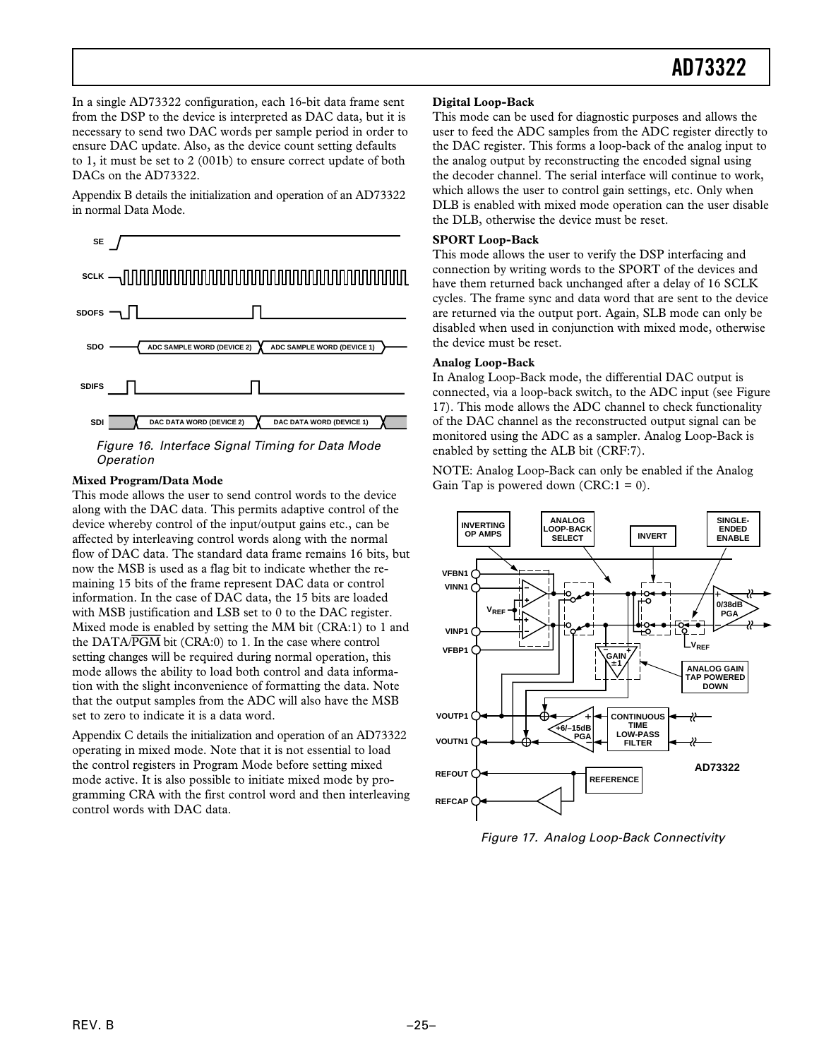In a single AD73322 configuration, each 16-bit data frame sent from the DSP to the device is interpreted as DAC data, but it is necessary to send two DAC words per sample period in order to ensure DAC update. Also, as the device count setting defaults to 1, it must be set to 2 (001b) to ensure correct update of both DACs on the AD73322.

Appendix B details the initialization and operation of an AD73322 in normal Data Mode.



#### **Mixed Program/Data Mode**

This mode allows the user to send control words to the device along with the DAC data. This permits adaptive control of the device whereby control of the input/output gains etc., can be affected by interleaving control words along with the normal flow of DAC data. The standard data frame remains 16 bits, but now the MSB is used as a flag bit to indicate whether the remaining 15 bits of the frame represent DAC data or control information. In the case of DAC data, the 15 bits are loaded with MSB justification and LSB set to 0 to the DAC register. Mixed mode is enabled by setting the MM bit (CRA:1) to 1 and the DATA/*PGM* bit (CRA:0) to 1. In the case where control setting changes will be required during normal operation, this mode allows the ability to load both control and data information with the slight inconvenience of formatting the data. Note that the output samples from the ADC will also have the MSB set to zero to indicate it is a data word.

Appendix C details the initialization and operation of an AD73322 operating in mixed mode. Note that it is not essential to load the control registers in Program Mode before setting mixed mode active. It is also possible to initiate mixed mode by programming CRA with the first control word and then interleaving control words with DAC data.

#### **Digital Loop-Back**

This mode can be used for diagnostic purposes and allows the user to feed the ADC samples from the ADC register directly to the DAC register. This forms a loop-back of the analog input to the analog output by reconstructing the encoded signal using the decoder channel. The serial interface will continue to work, which allows the user to control gain settings, etc. Only when DLB is enabled with mixed mode operation can the user disable the DLB, otherwise the device must be reset.

#### **SPORT Loop-Back**

This mode allows the user to verify the DSP interfacing and connection by writing words to the SPORT of the devices and have them returned back unchanged after a delay of 16 SCLK cycles. The frame sync and data word that are sent to the device are returned via the output port. Again, SLB mode can only be disabled when used in conjunction with mixed mode, otherwise the device must be reset.

#### **Analog Loop-Back**

In Analog Loop-Back mode, the differential DAC output is connected, via a loop-back switch, to the ADC input (see Figure 17). This mode allows the ADC channel to check functionality of the DAC channel as the reconstructed output signal can be monitored using the ADC as a sampler. Analog Loop-Back is enabled by setting the ALB bit (CRF:7).

NOTE: Analog Loop-Back can only be enabled if the Analog Gain Tap is powered down  $(CRC:1 = 0)$ .



Figure 17. Analog Loop-Back Connectivity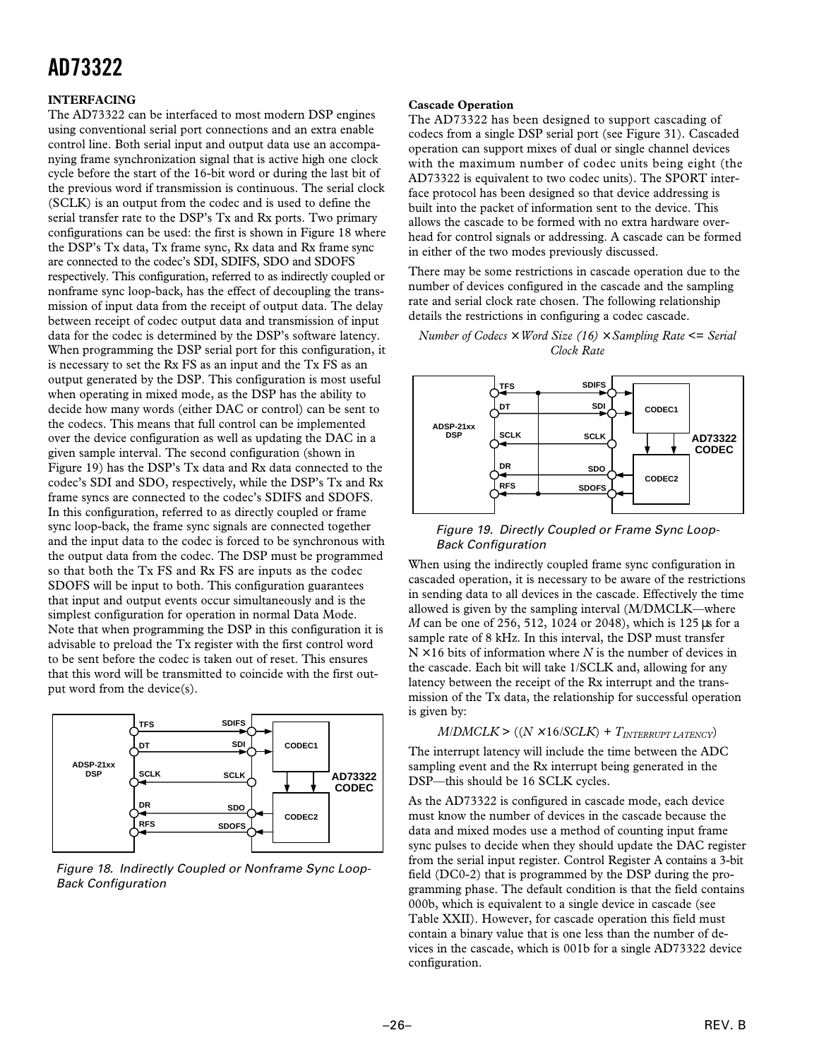#### **INTERFACING**

The AD73322 can be interfaced to most modern DSP engines using conventional serial port connections and an extra enable control line. Both serial input and output data use an accompanying frame synchronization signal that is active high one clock cycle before the start of the 16-bit word or during the last bit of the previous word if transmission is continuous. The serial clock (SCLK) is an output from the codec and is used to define the serial transfer rate to the DSP's Tx and Rx ports. Two primary configurations can be used: the first is shown in Figure 18 where the DSP's Tx data, Tx frame sync, Rx data and Rx frame sync are connected to the codec's SDI, SDIFS, SDO and SDOFS respectively. This configuration, referred to as indirectly coupled or nonframe sync loop-back, has the effect of decoupling the transmission of input data from the receipt of output data. The delay between receipt of codec output data and transmission of input data for the codec is determined by the DSP's software latency. When programming the DSP serial port for this configuration, it is necessary to set the Rx FS as an input and the Tx FS as an output generated by the DSP. This configuration is most useful when operating in mixed mode, as the DSP has the ability to decide how many words (either DAC or control) can be sent to the codecs. This means that full control can be implemented over the device configuration as well as updating the DAC in a given sample interval. The second configuration (shown in Figure 19) has the DSP's Tx data and Rx data connected to the codec's SDI and SDO, respectively, while the DSP's Tx and Rx frame syncs are connected to the codec's SDIFS and SDOFS. In this configuration, referred to as directly coupled or frame sync loop-back, the frame sync signals are connected together and the input data to the codec is forced to be synchronous with the output data from the codec. The DSP must be programmed so that both the Tx FS and Rx FS are inputs as the codec SDOFS will be input to both. This configuration guarantees that input and output events occur simultaneously and is the simplest configuration for operation in normal Data Mode. Note that when programming the DSP in this configuration it is advisable to preload the Tx register with the first control word to be sent before the codec is taken out of reset. This ensures that this word will be transmitted to coincide with the first output word from the device(s).



Figure 18. Indirectly Coupled or Nonframe Sync Loop-Back Configuration

#### **Cascade Operation**

The AD73322 has been designed to support cascading of codecs from a single DSP serial port (see Figure 31). Cascaded operation can support mixes of dual or single channel devices with the maximum number of codec units being eight (the AD73322 is equivalent to two codec units). The SPORT interface protocol has been designed so that device addressing is built into the packet of information sent to the device. This allows the cascade to be formed with no extra hardware overhead for control signals or addressing. A cascade can be formed in either of the two modes previously discussed.

There may be some restrictions in cascade operation due to the number of devices configured in the cascade and the sampling rate and serial clock rate chosen. The following relationship details the restrictions in configuring a codec cascade.

#### *Number of Codecs* × *Word Size (16)* × *Sampling Rate* <= *Serial Clock Rate*



 Figure 19. Directly Coupled or Frame Sync Loop- Back Configuration

When using the indirectly coupled frame sync configuration in cascaded operation, it is necessary to be aware of the restrictions in sending data to all devices in the cascade. Effectively the time allowed is given by the sampling interval (M/DMCLK—where *M* can be one of 256, 512, 1024 or 2048), which is 125 µs for a sample rate of 8 kHz. In this interval, the DSP must transfer  $N \times 16$  bits of information where *N* is the number of devices in the cascade. Each bit will take 1/SCLK and, allowing for any latency between the receipt of the Rx interrupt and the transmission of the Tx data, the relationship for successful operation is given by:

#### $M/DMCLK$  >  $((N \times 16/SCLK) + T_{INTERRUT LATENCY})$

The interrupt latency will include the time between the ADC sampling event and the Rx interrupt being generated in the DSP—this should be 16 SCLK cycles.

As the AD73322 is configured in cascade mode, each device must know the number of devices in the cascade because the data and mixed modes use a method of counting input frame sync pulses to decide when they should update the DAC register from the serial input register. Control Register A contains a 3-bit field (DC0-2) that is programmed by the DSP during the programming phase. The default condition is that the field contains 000b, which is equivalent to a single device in cascade (see Table XXII). However, for cascade operation this field must contain a binary value that is one less than the number of devices in the cascade, which is 001b for a single AD73322 device configuration.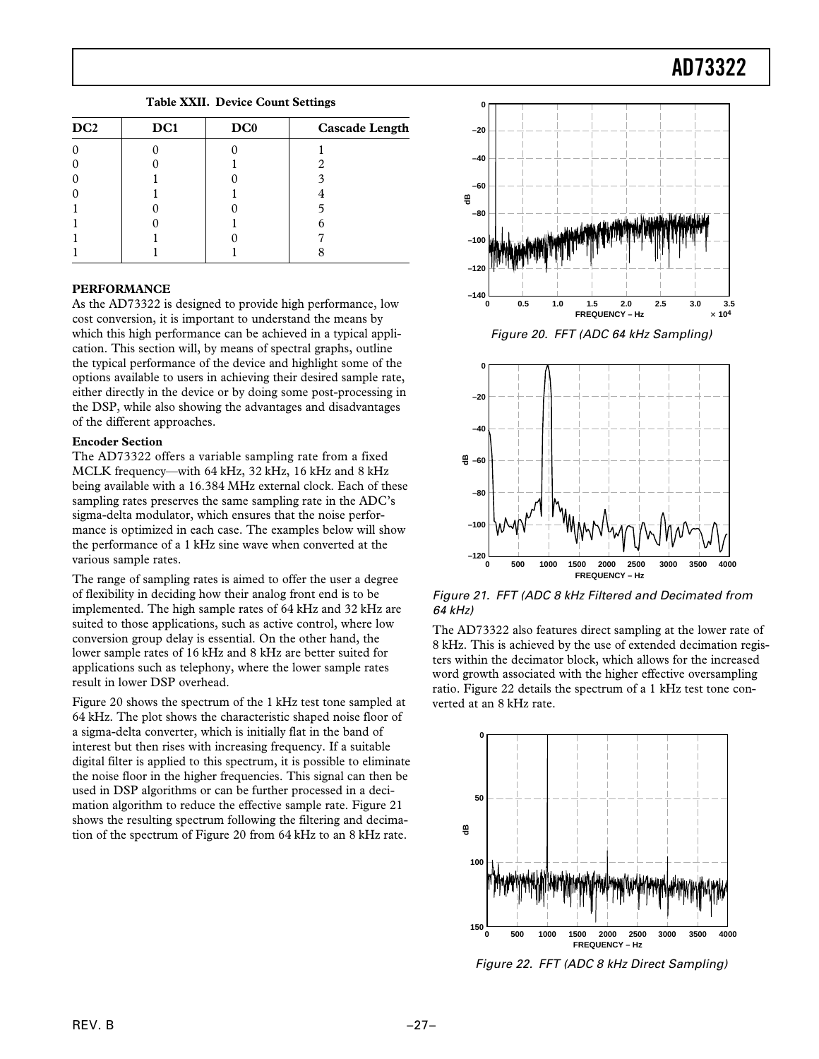**Table XXII. Device Count Settings**

| DC <sub>2</sub> | DC1 | DC0 | <b>Cascade Length</b> |
|-----------------|-----|-----|-----------------------|
|                 |     |     |                       |
|                 |     |     |                       |
| ſ               |     |     |                       |
| C               |     |     |                       |
|                 |     |     |                       |
|                 |     |     |                       |
|                 |     |     |                       |
|                 |     |     |                       |

#### **PERFORMANCE**

As the AD73322 is designed to provide high performance, low cost conversion, it is important to understand the means by which this high performance can be achieved in a typical application. This section will, by means of spectral graphs, outline the typical performance of the device and highlight some of the options available to users in achieving their desired sample rate, either directly in the device or by doing some post-processing in the DSP, while also showing the advantages and disadvantages of the different approaches.

#### **Encoder Section**

The AD73322 offers a variable sampling rate from a fixed MCLK frequency—with 64 kHz, 32 kHz, 16 kHz and 8 kHz being available with a 16.384 MHz external clock. Each of these sampling rates preserves the same sampling rate in the ADC's sigma-delta modulator, which ensures that the noise performance is optimized in each case. The examples below will show the performance of a 1 kHz sine wave when converted at the various sample rates.

The range of sampling rates is aimed to offer the user a degree of flexibility in deciding how their analog front end is to be implemented. The high sample rates of 64 kHz and 32 kHz are suited to those applications, such as active control, where low conversion group delay is essential. On the other hand, the lower sample rates of 16 kHz and 8 kHz are better suited for applications such as telephony, where the lower sample rates result in lower DSP overhead.

Figure 20 shows the spectrum of the 1 kHz test tone sampled at 64 kHz. The plot shows the characteristic shaped noise floor of a sigma-delta converter, which is initially flat in the band of interest but then rises with increasing frequency. If a suitable digital filter is applied to this spectrum, it is possible to eliminate the noise floor in the higher frequencies. This signal can then be used in DSP algorithms or can be further processed in a decimation algorithm to reduce the effective sample rate. Figure 21 shows the resulting spectrum following the filtering and decimation of the spectrum of Figure 20 from 64 kHz to an 8 kHz rate.



Figure 20. FFT (ADC 64 kHz Sampling)



Figure 21. FFT (ADC 8 kHz Filtered and Decimated from 64 kHz)

The AD73322 also features direct sampling at the lower rate of 8 kHz. This is achieved by the use of extended decimation registers within the decimator block, which allows for the increased word growth associated with the higher effective oversampling ratio. Figure 22 details the spectrum of a 1 kHz test tone converted at an 8 kHz rate.



Figure 22. FFT (ADC 8 kHz Direct Sampling)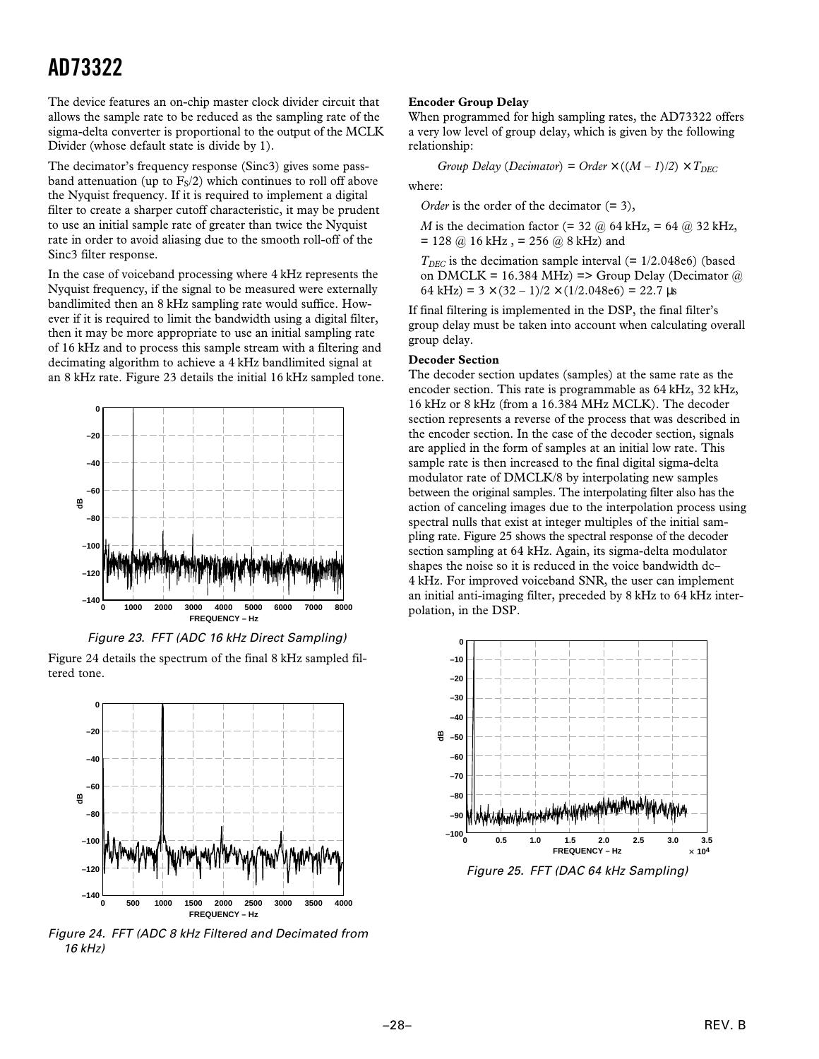The device features an on-chip master clock divider circuit that allows the sample rate to be reduced as the sampling rate of the sigma-delta converter is proportional to the output of the MCLK Divider (whose default state is divide by 1).

The decimator's frequency response (Sinc3) gives some passband attenuation (up to  $F_S/2$ ) which continues to roll off above the Nyquist frequency. If it is required to implement a digital filter to create a sharper cutoff characteristic, it may be prudent to use an initial sample rate of greater than twice the Nyquist rate in order to avoid aliasing due to the smooth roll-off of the Sinc3 filter response.

In the case of voiceband processing where 4 kHz represents the Nyquist frequency, if the signal to be measured were externally bandlimited then an 8 kHz sampling rate would suffice. However if it is required to limit the bandwidth using a digital filter, then it may be more appropriate to use an initial sampling rate of 16 kHz and to process this sample stream with a filtering and decimating algorithm to achieve a 4 kHz bandlimited signal at an 8 kHz rate. Figure 23 details the initial 16 kHz sampled tone.





Figure 24 details the spectrum of the final 8 kHz sampled filtered tone.



Figure 24. FFT (ADC 8 kHz Filtered and Decimated from 16 kHz)

#### **Encoder Group Delay**

When programmed for high sampling rates, the AD73322 offers a very low level of group delay, which is given by the following relationship:

Group Delay (Decimator) = Order 
$$
\times
$$
 ((M – 1)/2)  $\times$  T<sub>DEC</sub>

where:

*Order* is the order of the decimator (= 3),

*M* is the decimation factor (=  $32 \text{ (a)} 64 \text{ kHz}$ , =  $64 \text{ (a)} 32 \text{ kHz}$ ,  $= 128 \omega$  16 kHz,  $= 256 \omega$  8 kHz) and

 $T_{DEC}$  is the decimation sample interval (=  $1/2.048e6$ ) (based on DMCLK = 16.384 MHz) => Group Delay (Decimator  $@$ 64 kHz) =  $3 \times (32 - 1)/2 \times (1/2.048e6) = 22.7 \text{ }\mu\text{s}$ 

If final filtering is implemented in the DSP, the final filter's group delay must be taken into account when calculating overall group delay.

#### **Decoder Section**

The decoder section updates (samples) at the same rate as the encoder section. This rate is programmable as 64 kHz, 32 kHz, 16 kHz or 8 kHz (from a 16.384 MHz MCLK). The decoder section represents a reverse of the process that was described in the encoder section. In the case of the decoder section, signals are applied in the form of samples at an initial low rate. This sample rate is then increased to the final digital sigma-delta modulator rate of DMCLK/8 by interpolating new samples between the original samples. The interpolating filter also has the action of canceling images due to the interpolation process using spectral nulls that exist at integer multiples of the initial sampling rate. Figure 25 shows the spectral response of the decoder section sampling at 64 kHz. Again, its sigma-delta modulator shapes the noise so it is reduced in the voice bandwidth dc– 4 kHz. For improved voiceband SNR, the user can implement an initial anti-imaging filter, preceded by 8 kHz to 64 kHz interpolation, in the DSP.



Figure 25. FFT (DAC 64 kHz Sampling)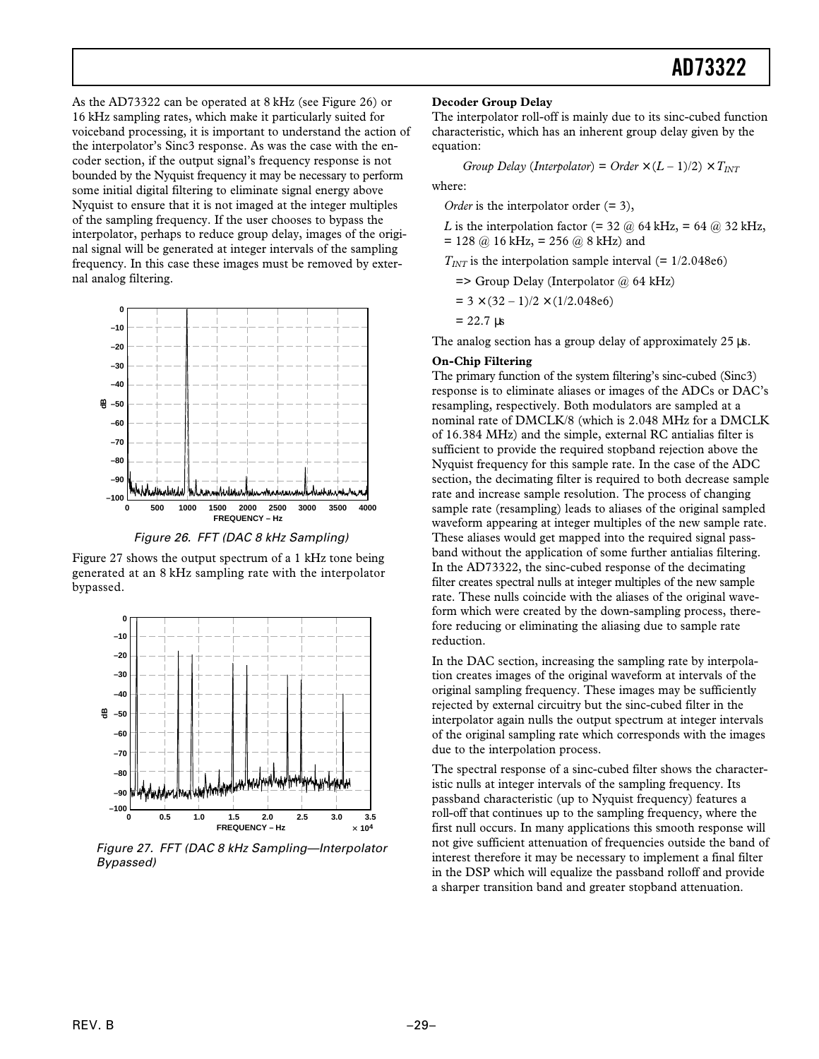As the AD73322 can be operated at 8 kHz (see Figure 26) or 16 kHz sampling rates, which make it particularly suited for voiceband processing, it is important to understand the action of the interpolator's Sinc3 response. As was the case with the encoder section, if the output signal's frequency response is not bounded by the Nyquist frequency it may be necessary to perform some initial digital filtering to eliminate signal energy above Nyquist to ensure that it is not imaged at the integer multiples of the sampling frequency. If the user chooses to bypass the interpolator, perhaps to reduce group delay, images of the original signal will be generated at integer intervals of the sampling frequency. In this case these images must be removed by external analog filtering.



Figure 26. FFT (DAC 8 kHz Sampling)

Figure 27 shows the output spectrum of a 1 kHz tone being generated at an 8 kHz sampling rate with the interpolator bypassed.



Figure 27. FFT (DAC 8 kHz Sampling—Interpolator Bypassed)

#### **Decoder Group Delay**

The interpolator roll-off is mainly due to its sinc-cubed function characteristic, which has an inherent group delay given by the equation:

*Group Delay (Interpolator)* = *Order*  $\times$  (*L* – 1)/2)  $\times$   $T_{INT}$ 

where:

*Order* is the interpolator order (= 3),

*L* is the interpolation factor (= 32  $\omega$  64 kHz, = 64  $\omega$  32 kHz,  $= 128$  @ 16 kHz,  $= 256$  @ 8 kHz) and

 $T_{INT}$  is the interpolation sample interval (=  $1/2.048e6$ )

 $\Rightarrow$  Group Delay (Interpolator @ 64 kHz)

 $= 3 \times (32 - 1)/2 \times (1/2.048e6)$ 

 $= 22.7$  us

The analog section has a group delay of approximately 25  $\mu$ s.

#### **On-Chip Filtering**

The primary function of the system filtering's sinc-cubed (Sinc3) response is to eliminate aliases or images of the ADCs or DAC's resampling, respectively. Both modulators are sampled at a nominal rate of DMCLK/8 (which is 2.048 MHz for a DMCLK of 16.384 MHz) and the simple, external RC antialias filter is sufficient to provide the required stopband rejection above the Nyquist frequency for this sample rate. In the case of the ADC section, the decimating filter is required to both decrease sample rate and increase sample resolution. The process of changing sample rate (resampling) leads to aliases of the original sampled waveform appearing at integer multiples of the new sample rate. These aliases would get mapped into the required signal passband without the application of some further antialias filtering. In the AD73322, the sinc-cubed response of the decimating filter creates spectral nulls at integer multiples of the new sample rate. These nulls coincide with the aliases of the original waveform which were created by the down-sampling process, therefore reducing or eliminating the aliasing due to sample rate reduction.

In the DAC section, increasing the sampling rate by interpolation creates images of the original waveform at intervals of the original sampling frequency. These images may be sufficiently rejected by external circuitry but the sinc-cubed filter in the interpolator again nulls the output spectrum at integer intervals of the original sampling rate which corresponds with the images due to the interpolation process.

The spectral response of a sinc-cubed filter shows the characteristic nulls at integer intervals of the sampling frequency. Its passband characteristic (up to Nyquist frequency) features a roll-off that continues up to the sampling frequency, where the first null occurs. In many applications this smooth response will not give sufficient attenuation of frequencies outside the band of interest therefore it may be necessary to implement a final filter in the DSP which will equalize the passband rolloff and provide a sharper transition band and greater stopband attenuation.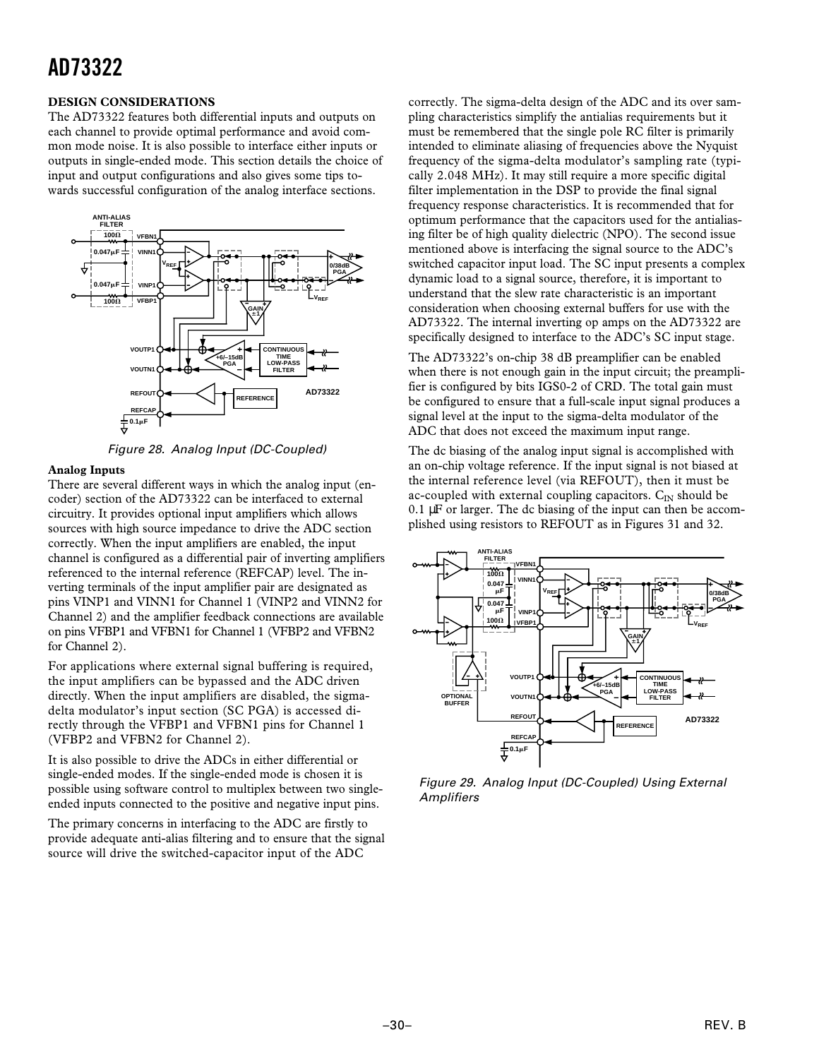#### **DESIGN CONSIDERATIONS**

The AD73322 features both differential inputs and outputs on each channel to provide optimal performance and avoid common mode noise. It is also possible to interface either inputs or outputs in single-ended mode. This section details the choice of input and output configurations and also gives some tips towards successful configuration of the analog interface sections.





#### **Analog Inputs**

There are several different ways in which the analog input (encoder) section of the AD73322 can be interfaced to external circuitry. It provides optional input amplifiers which allows sources with high source impedance to drive the ADC section correctly. When the input amplifiers are enabled, the input channel is configured as a differential pair of inverting amplifiers referenced to the internal reference (REFCAP) level. The inverting terminals of the input amplifier pair are designated as pins VINP1 and VINN1 for Channel 1 (VINP2 and VINN2 for Channel 2) and the amplifier feedback connections are available on pins VFBP1 and VFBN1 for Channel 1 (VFBP2 and VFBN2 for Channel 2).

For applications where external signal buffering is required, the input amplifiers can be bypassed and the ADC driven directly. When the input amplifiers are disabled, the sigmadelta modulator's input section (SC PGA) is accessed directly through the VFBP1 and VFBN1 pins for Channel 1 (VFBP2 and VFBN2 for Channel 2).

It is also possible to drive the ADCs in either differential or single-ended modes. If the single-ended mode is chosen it is possible using software control to multiplex between two singleended inputs connected to the positive and negative input pins.

The primary concerns in interfacing to the ADC are firstly to provide adequate anti-alias filtering and to ensure that the signal source will drive the switched-capacitor input of the ADC

correctly. The sigma-delta design of the ADC and its over sampling characteristics simplify the antialias requirements but it must be remembered that the single pole RC filter is primarily intended to eliminate aliasing of frequencies above the Nyquist frequency of the sigma-delta modulator's sampling rate (typically 2.048 MHz). It may still require a more specific digital filter implementation in the DSP to provide the final signal frequency response characteristics. It is recommended that for optimum performance that the capacitors used for the antialiasing filter be of high quality dielectric (NPO). The second issue mentioned above is interfacing the signal source to the ADC's switched capacitor input load. The SC input presents a complex dynamic load to a signal source, therefore, it is important to understand that the slew rate characteristic is an important consideration when choosing external buffers for use with the AD73322. The internal inverting op amps on the AD73322 are specifically designed to interface to the ADC's SC input stage.

The AD73322's on-chip 38 dB preamplifier can be enabled when there is not enough gain in the input circuit; the preamplifier is configured by bits IGS0-2 of CRD. The total gain must be configured to ensure that a full-scale input signal produces a signal level at the input to the sigma-delta modulator of the ADC that does not exceed the maximum input range.

The dc biasing of the analog input signal is accomplished with an on-chip voltage reference. If the input signal is not biased at the internal reference level (via REFOUT), then it must be ac-coupled with external coupling capacitors.  $C_{\text{IN}}$  should be  $0.1 \mu$ F or larger. The dc biasing of the input can then be accomplished using resistors to REFOUT as in Figures 31 and 32.



Figure 29. Analog Input (DC-Coupled) Using External **Amplifiers**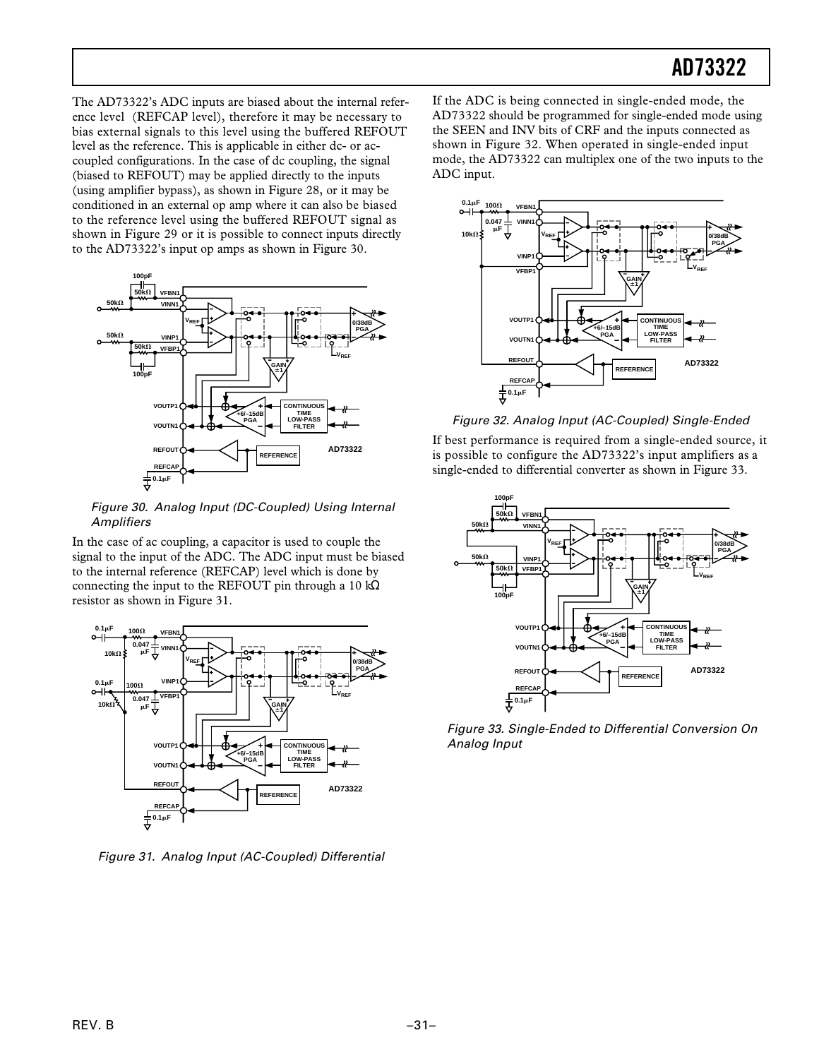The AD73322's ADC inputs are biased about the internal reference level (REFCAP level), therefore it may be necessary to bias external signals to this level using the buffered REFOUT level as the reference. This is applicable in either dc- or accoupled configurations. In the case of dc coupling, the signal (biased to REFOUT) may be applied directly to the inputs (using amplifier bypass), as shown in Figure 28, or it may be conditioned in an external op amp where it can also be biased to the reference level using the buffered REFOUT signal as shown in Figure 29 or it is possible to connect inputs directly to the AD73322's input op amps as shown in Figure 30.



Figure 30. Analog Input (DC-Coupled) Using Internal **Amplifiers** 

In the case of ac coupling, a capacitor is used to couple the signal to the input of the ADC. The ADC input must be biased to the internal reference (REFCAP) level which is done by connecting the input to the REFOUT pin through a 10 kΩ resistor as shown in Figure 31.



Figure 31. Analog Input (AC-Coupled) Differential

If the ADC is being connected in single-ended mode, the AD73322 should be programmed for single-ended mode using the SEEN and INV bits of CRF and the inputs connected as shown in Figure 32. When operated in single-ended input mode, the AD73322 can multiplex one of the two inputs to the ADC input.



Figure 32. Analog Input (AC-Coupled) Single-Ended

If best performance is required from a single-ended source, it is possible to configure the AD73322's input amplifiers as a single-ended to differential converter as shown in Figure 33.



Figure 33. Single-Ended to Differential Conversion On Analog Input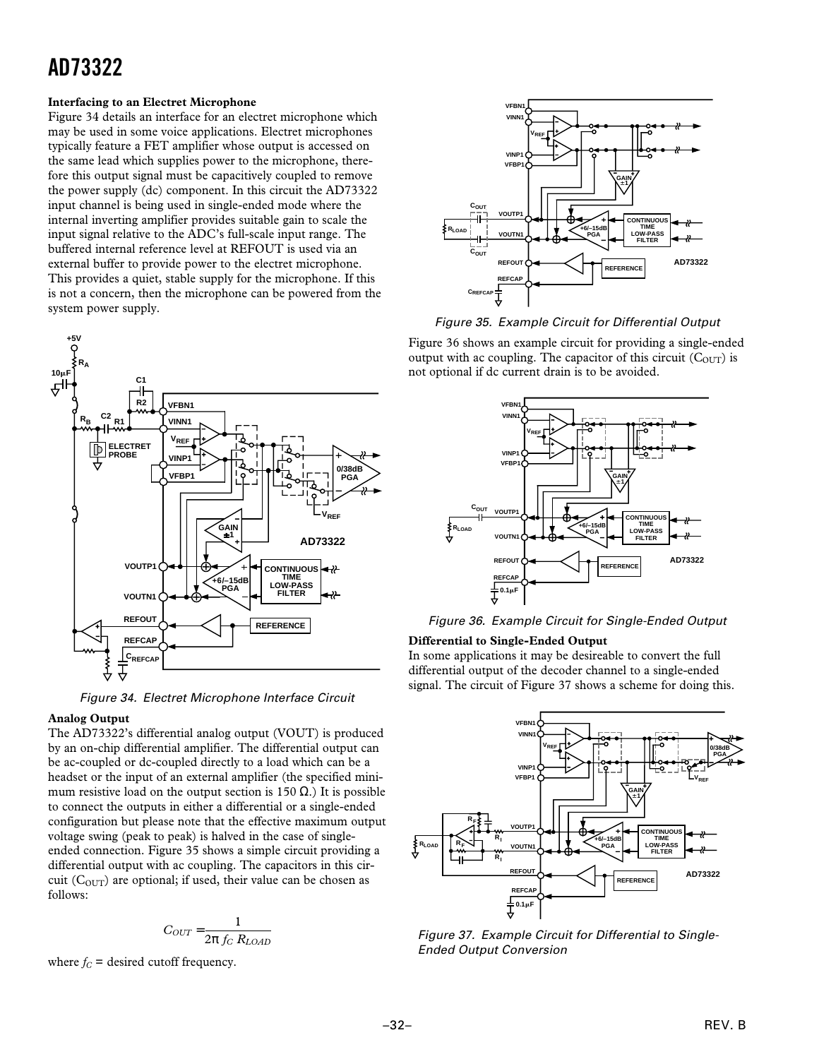#### **Interfacing to an Electret Microphone**

Figure 34 details an interface for an electret microphone which may be used in some voice applications. Electret microphones typically feature a FET amplifier whose output is accessed on the same lead which supplies power to the microphone, therefore this output signal must be capacitively coupled to remove the power supply (dc) component. In this circuit the AD73322 input channel is being used in single-ended mode where the internal inverting amplifier provides suitable gain to scale the input signal relative to the ADC's full-scale input range. The buffered internal reference level at REFOUT is used via an external buffer to provide power to the electret microphone. This provides a quiet, stable supply for the microphone. If this is not a concern, then the microphone can be powered from the system power supply.



Figure 34. Electret Microphone Interface Circuit

#### **Analog Output**

The AD73322's differential analog output (VOUT) is produced by an on-chip differential amplifier. The differential output can be ac-coupled or dc-coupled directly to a load which can be a headset or the input of an external amplifier (the specified minimum resistive load on the output section is 150  $\Omega$ .) It is possible to connect the outputs in either a differential or a single-ended configuration but please note that the effective maximum output voltage swing (peak to peak) is halved in the case of singleended connection. Figure 35 shows a simple circuit providing a differential output with ac coupling. The capacitors in this circuit  $(C_{\text{OUT}})$  are optional; if used, their value can be chosen as follows:

$$
C_{OUT} = \frac{1}{2\pi f_C R_{LOAD}}
$$

where  $f_C$  = desired cutoff frequency.



Figure 35. Example Circuit for Differential Output

Figure 36 shows an example circuit for providing a single-ended output with ac coupling. The capacitor of this circuit  $(C_{OUT})$  is not optional if dc current drain is to be avoided.



Figure 36. Example Circuit for Single-Ended Output

#### **Differential to Single-Ended Output**

In some applications it may be desireable to convert the full differential output of the decoder channel to a single-ended signal. The circuit of Figure 37 shows a scheme for doing this.



Figure 37. Example Circuit for Differential to Single-Ended Output Conversion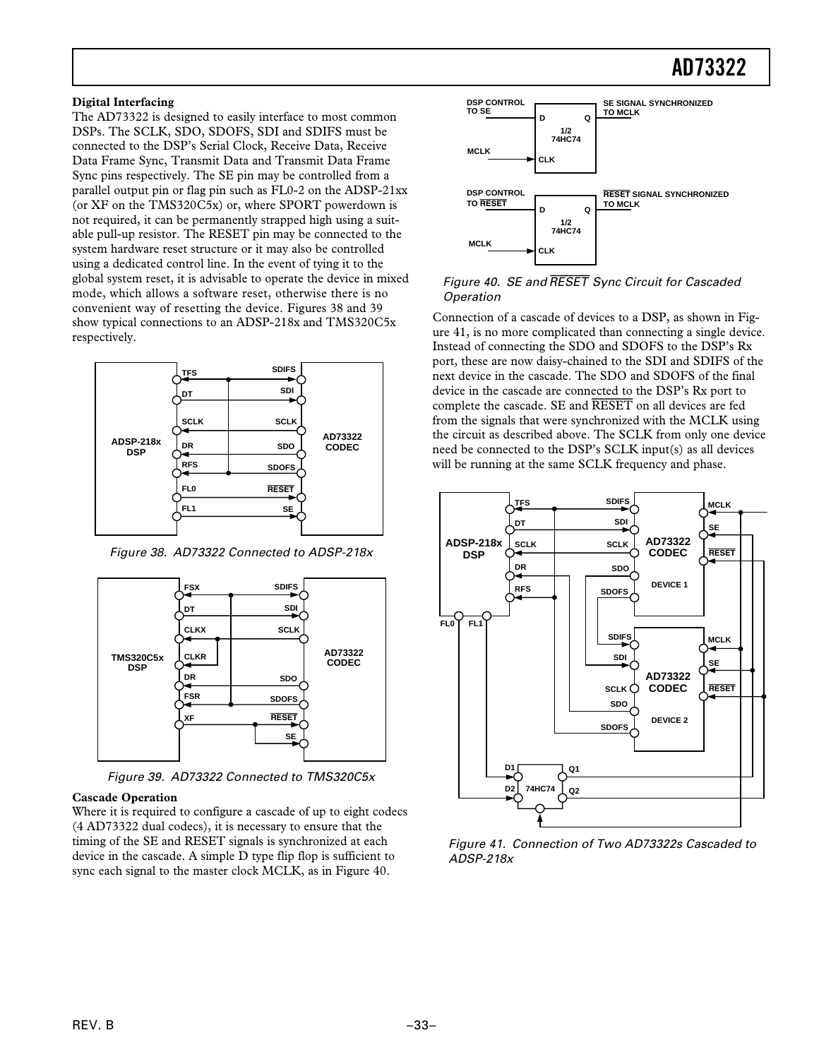#### **Digital Interfacing**

The AD73322 is designed to easily interface to most common DSPs. The SCLK, SDO, SDOFS, SDI and SDIFS must be connected to the DSP's Serial Clock, Receive Data, Receive Data Frame Sync, Transmit Data and Transmit Data Frame Sync pins respectively. The SE pin may be controlled from a parallel output pin or flag pin such as FL0-2 on the ADSP-21xx (or XF on the TMS320C5x) or, where SPORT powerdown is not required, it can be permanently strapped high using a suitable pull-up resistor. The RESET pin may be connected to the system hardware reset structure or it may also be controlled using a dedicated control line. In the event of tying it to the global system reset, it is advisable to operate the device in mixed mode, which allows a software reset, otherwise there is no convenient way of resetting the device. Figures 38 and 39 show typical connections to an ADSP-218x and TMS320C5x respectively.



Figure 38. AD73322 Connected to ADSP-218x



Figure 39. AD73322 Connected to TMS320C5x

#### **Cascade Operation**

Where it is required to configure a cascade of up to eight codecs (4 AD73322 dual codecs), it is necessary to ensure that the timing of the SE and RESET signals is synchronized at each device in the cascade. A simple D type flip flop is sufficient to sync each signal to the master clock MCLK, as in Figure 40.



#### Figure 40. SE and RESET Sync Circuit for Cascaded Operation

Connection of a cascade of devices to a DSP, as shown in Figure 41, is no more complicated than connecting a single device. Instead of connecting the SDO and SDOFS to the DSP's Rx port, these are now daisy-chained to the SDI and SDIFS of the next device in the cascade. The SDO and SDOFS of the final device in the cascade are connected to the DSP's Rx port to complete the cascade. SE and *RESET* on all devices are fed from the signals that were synchronized with the MCLK using the circuit as described above. The SCLK from only one device need be connected to the DSP's SCLK input(s) as all devices will be running at the same SCLK frequency and phase.



Figure 41. Connection of Two AD73322s Cascaded to ADSP-218x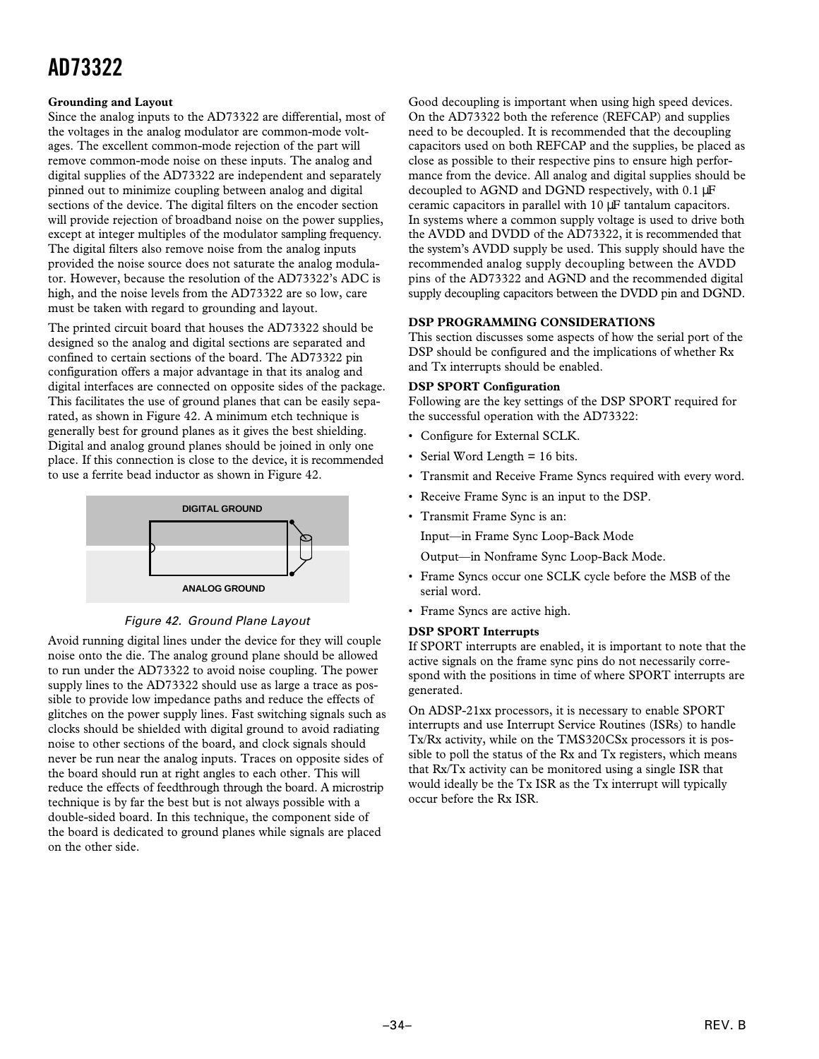#### **Grounding and Layout**

Since the analog inputs to the AD73322 are differential, most of the voltages in the analog modulator are common-mode voltages. The excellent common-mode rejection of the part will remove common-mode noise on these inputs. The analog and digital supplies of the AD73322 are independent and separately pinned out to minimize coupling between analog and digital sections of the device. The digital filters on the encoder section will provide rejection of broadband noise on the power supplies, except at integer multiples of the modulator sampling frequency. The digital filters also remove noise from the analog inputs provided the noise source does not saturate the analog modulator. However, because the resolution of the AD73322's ADC is high, and the noise levels from the AD73322 are so low, care must be taken with regard to grounding and layout.

The printed circuit board that houses the AD73322 should be designed so the analog and digital sections are separated and confined to certain sections of the board. The AD73322 pin configuration offers a major advantage in that its analog and digital interfaces are connected on opposite sides of the package. This facilitates the use of ground planes that can be easily separated, as shown in Figure 42. A minimum etch technique is generally best for ground planes as it gives the best shielding. Digital and analog ground planes should be joined in only one place. If this connection is close to the device, it is recommended to use a ferrite bead inductor as shown in Figure 42.



Figure 42. Ground Plane Layout

Avoid running digital lines under the device for they will couple noise onto the die. The analog ground plane should be allowed to run under the AD73322 to avoid noise coupling. The power supply lines to the AD73322 should use as large a trace as possible to provide low impedance paths and reduce the effects of glitches on the power supply lines. Fast switching signals such as clocks should be shielded with digital ground to avoid radiating noise to other sections of the board, and clock signals should never be run near the analog inputs. Traces on opposite sides of the board should run at right angles to each other. This will reduce the effects of feedthrough through the board. A microstrip technique is by far the best but is not always possible with a double-sided board. In this technique, the component side of the board is dedicated to ground planes while signals are placed on the other side.

Good decoupling is important when using high speed devices. On the AD73322 both the reference (REFCAP) and supplies need to be decoupled. It is recommended that the decoupling capacitors used on both REFCAP and the supplies, be placed as close as possible to their respective pins to ensure high performance from the device. All analog and digital supplies should be decoupled to AGND and DGND respectively, with 0.1  $\mu$ F ceramic capacitors in parallel with 10 µF tantalum capacitors. In systems where a common supply voltage is used to drive both the AVDD and DVDD of the AD73322, it is recommended that the system's AVDD supply be used. This supply should have the recommended analog supply decoupling between the AVDD pins of the AD73322 and AGND and the recommended digital supply decoupling capacitors between the DVDD pin and DGND.

#### **DSP PROGRAMMING CONSIDERATIONS**

This section discusses some aspects of how the serial port of the DSP should be configured and the implications of whether Rx and Tx interrupts should be enabled.

#### **DSP SPORT Configuration**

Following are the key settings of the DSP SPORT required for the successful operation with the AD73322:

- Configure for External SCLK.
- Serial Word Length = 16 bits.
- Transmit and Receive Frame Syncs required with every word.
- Receive Frame Sync is an input to the DSP.
- Transmit Frame Sync is an:

Input—in Frame Sync Loop-Back Mode

Output—in Nonframe Sync Loop-Back Mode.

- Frame Syncs occur one SCLK cycle before the MSB of the serial word.
- Frame Syncs are active high.

#### **DSP SPORT Interrupts**

If SPORT interrupts are enabled, it is important to note that the active signals on the frame sync pins do not necessarily correspond with the positions in time of where SPORT interrupts are generated.

On ADSP-21xx processors, it is necessary to enable SPORT interrupts and use Interrupt Service Routines (ISRs) to handle Tx/Rx activity, while on the TMS320CSx processors it is possible to poll the status of the Rx and Tx registers, which means that Rx/Tx activity can be monitored using a single ISR that would ideally be the Tx ISR as the Tx interrupt will typically occur before the Rx ISR.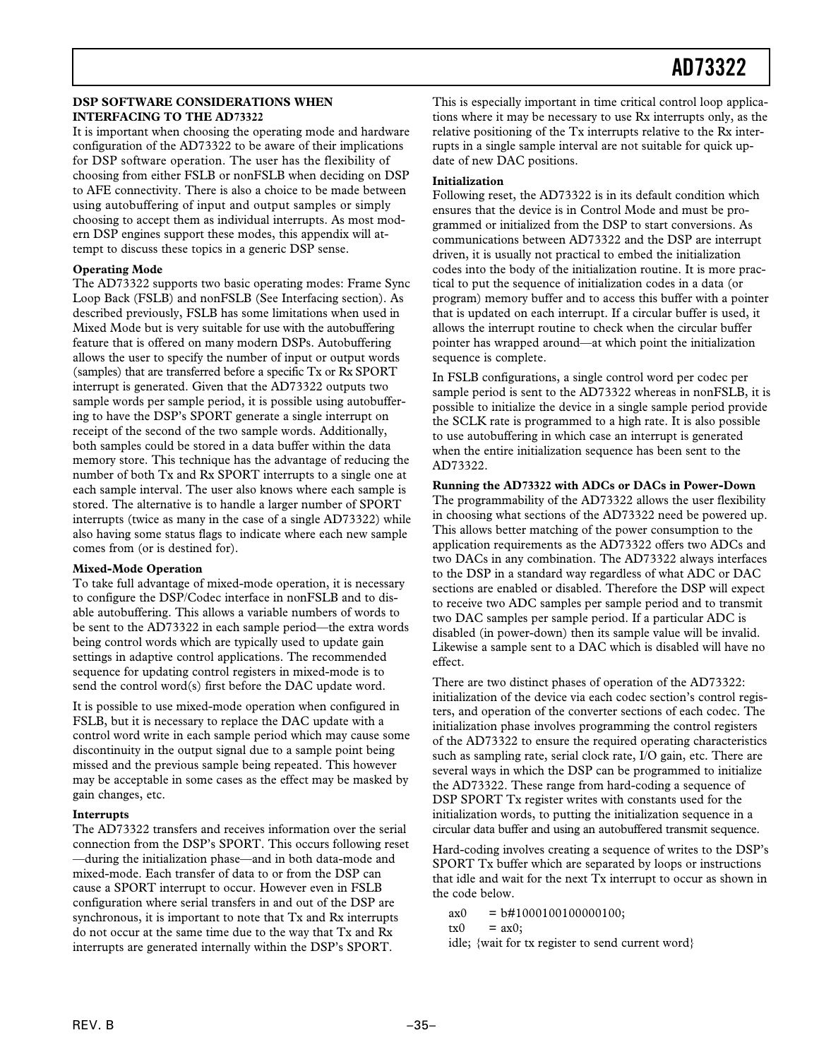#### **DSP SOFTWARE CONSIDERATIONS WHEN INTERFACING TO THE AD73322**

It is important when choosing the operating mode and hardware configuration of the AD73322 to be aware of their implications for DSP software operation. The user has the flexibility of choosing from either FSLB or nonFSLB when deciding on DSP to AFE connectivity. There is also a choice to be made between using autobuffering of input and output samples or simply choosing to accept them as individual interrupts. As most modern DSP engines support these modes, this appendix will attempt to discuss these topics in a generic DSP sense.

#### **Operating Mode**

The AD73322 supports two basic operating modes: Frame Sync Loop Back (FSLB) and nonFSLB (See Interfacing section). As described previously, FSLB has some limitations when used in Mixed Mode but is very suitable for use with the autobuffering feature that is offered on many modern DSPs. Autobuffering allows the user to specify the number of input or output words (samples) that are transferred before a specific Tx or Rx SPORT interrupt is generated. Given that the AD73322 outputs two sample words per sample period, it is possible using autobuffering to have the DSP's SPORT generate a single interrupt on receipt of the second of the two sample words. Additionally, both samples could be stored in a data buffer within the data memory store. This technique has the advantage of reducing the number of both Tx and Rx SPORT interrupts to a single one at each sample interval. The user also knows where each sample is stored. The alternative is to handle a larger number of SPORT interrupts (twice as many in the case of a single AD73322) while also having some status flags to indicate where each new sample comes from (or is destined for).

#### **Mixed-Mode Operation**

To take full advantage of mixed-mode operation, it is necessary to configure the DSP/Codec interface in nonFSLB and to disable autobuffering. This allows a variable numbers of words to be sent to the AD73322 in each sample period—the extra words being control words which are typically used to update gain settings in adaptive control applications. The recommended sequence for updating control registers in mixed-mode is to send the control word(s) first before the DAC update word.

It is possible to use mixed-mode operation when configured in FSLB, but it is necessary to replace the DAC update with a control word write in each sample period which may cause some discontinuity in the output signal due to a sample point being missed and the previous sample being repeated. This however may be acceptable in some cases as the effect may be masked by gain changes, etc.

#### **Interrupts**

The AD73322 transfers and receives information over the serial connection from the DSP's SPORT. This occurs following reset —during the initialization phase—and in both data-mode and mixed-mode. Each transfer of data to or from the DSP can cause a SPORT interrupt to occur. However even in FSLB configuration where serial transfers in and out of the DSP are synchronous, it is important to note that Tx and Rx interrupts do not occur at the same time due to the way that Tx and Rx interrupts are generated internally within the DSP's SPORT.

This is especially important in time critical control loop applications where it may be necessary to use Rx interrupts only, as the relative positioning of the Tx interrupts relative to the Rx interrupts in a single sample interval are not suitable for quick update of new DAC positions.

#### **Initialization**

Following reset, the AD73322 is in its default condition which ensures that the device is in Control Mode and must be programmed or initialized from the DSP to start conversions. As communications between AD73322 and the DSP are interrupt driven, it is usually not practical to embed the initialization codes into the body of the initialization routine. It is more practical to put the sequence of initialization codes in a data (or program) memory buffer and to access this buffer with a pointer that is updated on each interrupt. If a circular buffer is used, it allows the interrupt routine to check when the circular buffer pointer has wrapped around—at which point the initialization sequence is complete.

In FSLB configurations, a single control word per codec per sample period is sent to the AD73322 whereas in nonFSLB, it is possible to initialize the device in a single sample period provide the SCLK rate is programmed to a high rate. It is also possible to use autobuffering in which case an interrupt is generated when the entire initialization sequence has been sent to the AD73322.

#### **Running the AD73322 with ADCs or DACs in Power-Down**

The programmability of the AD73322 allows the user flexibility in choosing what sections of the AD73322 need be powered up. This allows better matching of the power consumption to the application requirements as the AD73322 offers two ADCs and two DACs in any combination. The AD73322 always interfaces to the DSP in a standard way regardless of what ADC or DAC sections are enabled or disabled. Therefore the DSP will expect to receive two ADC samples per sample period and to transmit two DAC samples per sample period. If a particular ADC is disabled (in power-down) then its sample value will be invalid. Likewise a sample sent to a DAC which is disabled will have no effect.

There are two distinct phases of operation of the AD73322: initialization of the device via each codec section's control registers, and operation of the converter sections of each codec. The initialization phase involves programming the control registers of the AD73322 to ensure the required operating characteristics such as sampling rate, serial clock rate, I/O gain, etc. There are several ways in which the DSP can be programmed to initialize the AD73322. These range from hard-coding a sequence of DSP SPORT Tx register writes with constants used for the initialization words, to putting the initialization sequence in a circular data buffer and using an autobuffered transmit sequence.

Hard-coding involves creating a sequence of writes to the DSP's SPORT Tx buffer which are separated by loops or instructions that idle and wait for the next Tx interrupt to occur as shown in the code below.

- $ax0 = b#1000100100000100;$
- $tx0 = ax0$ :
- idle; {wait for tx register to send current word}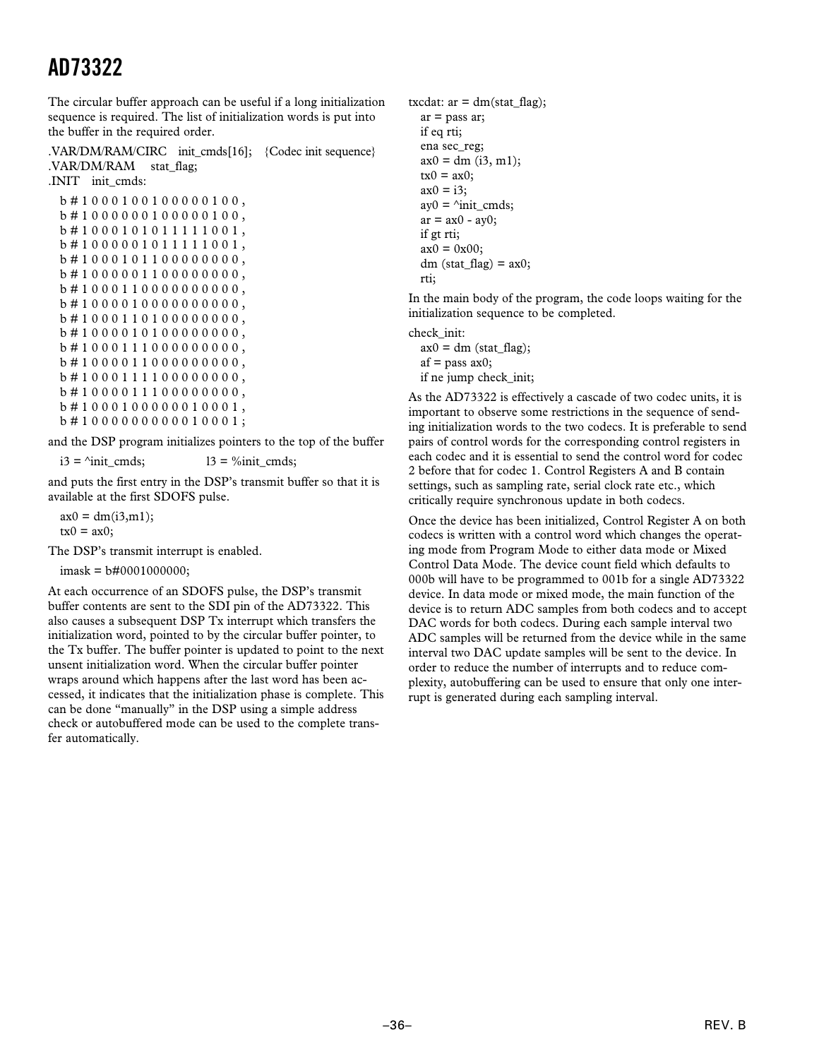The circular buffer approach can be useful if a long initialization sequence is required. The list of initialization words is put into the buffer in the required order.

.VAR/DM/RAM/CIRC init\_cmds[16]; {Codec init sequence} .VAR/DM/RAM stat\_flag; .INIT init\_cmds:

```
b # 1 0 0 0 1 0 0 1 0 0 0 0 0 1 0 0 ,
b # 1 0 0 0 0 0 0 1 0 0 0 0 0 1 0 0 ,
b # 1 0 0 0 1 0 1 0 1 1 1 1 1 0 0 1 ,
b # 1 0 0 0 0 0 1 0 1 1 1 1 1 0 0 1 ,
b # 1 0 0 0 1 0 1 1 0 0 0 0 0 0 0 0 ,
b # 1 0 0 0 0 0 1 1 0 0 0 0 0 0 0 0 ,
b # 1 0 0 0 1 1 0 0 0 0 0 0 0 0 0 0 ,
b # 1 0 0 0 0 1 0 0 0 0 0 0 0 0 0 0 ,
b # 1 0 0 0 1 1 0 1 0 0 0 0 0 0 0 0 ,
b # 1 0 0 0 0 1 0 1 0 0 0 0 0 0 0 0 ,
b # 1 0 0 0 1 1 1 0 0 0 0 0 0 0 0 0 ,
b # 1 0 0 0 0 1 1 0 0 0 0 0 0 0 0 0 ,
b # 1 0 0 0 1 1 1 1 0 0 0 0 0 0 0 0 ,
b # 1 0 0 0 0 1 1 1 0 0 0 0 0 0 0 0 ,
b # 1 0 0 0 1 0 0 0 0 0 0 1 0 0 0 1 ,
b # 1 0 0 0 0 0 0 0 0 0 0 1 0 0 0 1 ;
```
and the DSP program initializes pointers to the top of the buffer

 $i3 = \text{Yinit cmds};$  l3 = %init cmds;

and puts the first entry in the DSP's transmit buffer so that it is available at the first SDOFS pulse.

 $ax0 = dm(i3, m1);$  $tx0 = ax0;$ 

The DSP's transmit interrupt is enabled.

 $i$ mask =  $b$ #0001000000;

At each occurrence of an SDOFS pulse, the DSP's transmit buffer contents are sent to the SDI pin of the AD73322. This also causes a subsequent DSP Tx interrupt which transfers the initialization word, pointed to by the circular buffer pointer, to the Tx buffer. The buffer pointer is updated to point to the next unsent initialization word. When the circular buffer pointer wraps around which happens after the last word has been accessed, it indicates that the initialization phase is complete. This can be done "manually" in the DSP using a simple address check or autobuffered mode can be used to the complete transfer automatically.

txcdat:  $ar = dm(stat~flag);$  $ar = p$  pass  $ar$ ; if eq rti; ena sec\_reg;  $ax0 = dm$  (i3, m1);  $tx0 = ax0;$  $ax0 = i3$ ; ay $0 = \text{Ninit}$  cmds;  $ar = ax0 - av0;$ if gt rti;  $ax0 = 0x00;$ dm (stat\_flag) =  $ax0$ ; rti;

In the main body of the program, the code loops waiting for the initialization sequence to be completed.

check\_init:  $ax0 = dm$  (stat\_flag);  $af = pass ax0;$ if ne jump check\_init;

As the AD73322 is effectively a cascade of two codec units, it is important to observe some restrictions in the sequence of sending initialization words to the two codecs. It is preferable to send pairs of control words for the corresponding control registers in each codec and it is essential to send the control word for codec 2 before that for codec 1. Control Registers A and B contain settings, such as sampling rate, serial clock rate etc., which critically require synchronous update in both codecs.

Once the device has been initialized, Control Register A on both codecs is written with a control word which changes the operating mode from Program Mode to either data mode or Mixed Control Data Mode. The device count field which defaults to 000b will have to be programmed to 001b for a single AD73322 device. In data mode or mixed mode, the main function of the device is to return ADC samples from both codecs and to accept DAC words for both codecs. During each sample interval two ADC samples will be returned from the device while in the same interval two DAC update samples will be sent to the device. In order to reduce the number of interrupts and to reduce complexity, autobuffering can be used to ensure that only one interrupt is generated during each sampling interval.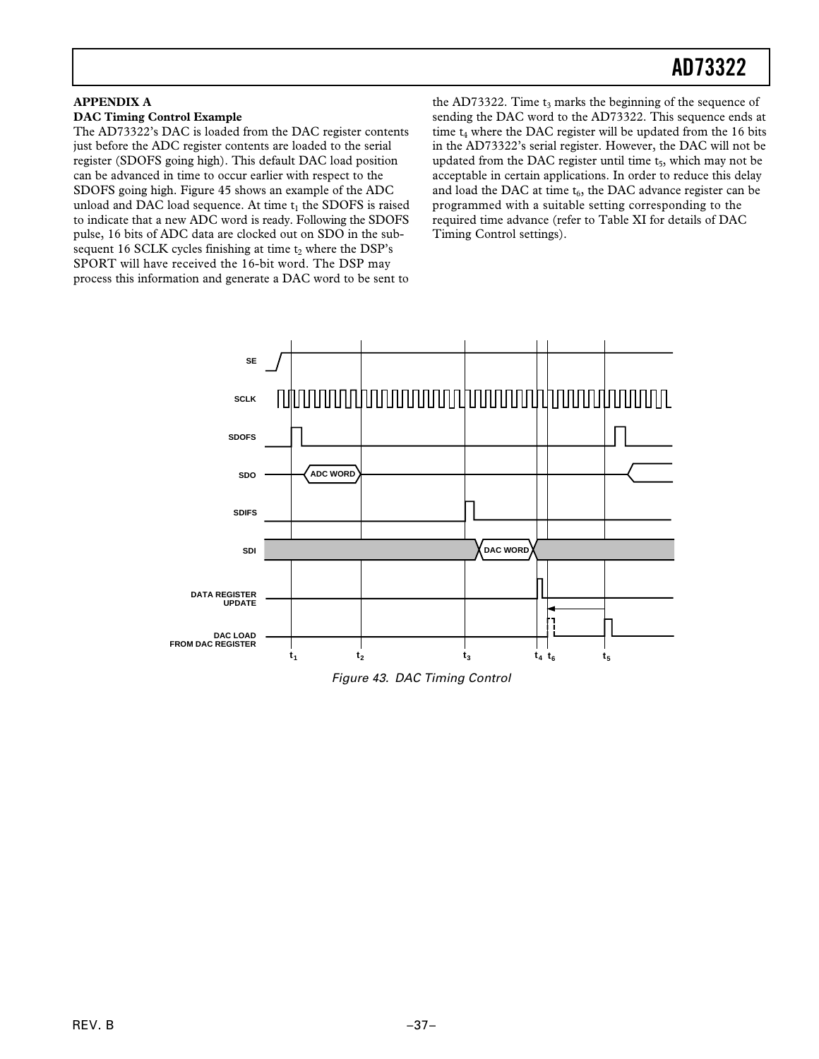#### **APPENDIX A DAC Timing Control Example**

The AD73322's DAC is loaded from the DAC register contents just before the ADC register contents are loaded to the serial register (SDOFS going high). This default DAC load position can be advanced in time to occur earlier with respect to the SDOFS going high. Figure 45 shows an example of the ADC unload and DAC load sequence. At time  $t_1$  the SDOFS is raised to indicate that a new ADC word is ready. Following the SDOFS pulse, 16 bits of ADC data are clocked out on SDO in the subsequent 16 SCLK cycles finishing at time  $t_2$  where the DSP's SPORT will have received the 16-bit word. The DSP may process this information and generate a DAC word to be sent to

the AD73322. Time  $t_3$  marks the beginning of the sequence of sending the DAC word to the AD73322. This sequence ends at time  $t_4$  where the DAC register will be updated from the 16 bits in the AD73322's serial register. However, the DAC will not be updated from the DAC register until time t<sub>5</sub>, which may not be acceptable in certain applications. In order to reduce this delay and load the DAC at time  $t_6$ , the DAC advance register can be programmed with a suitable setting corresponding to the required time advance (refer to Table XI for details of DAC Timing Control settings).



Figure 43. DAC Timing Control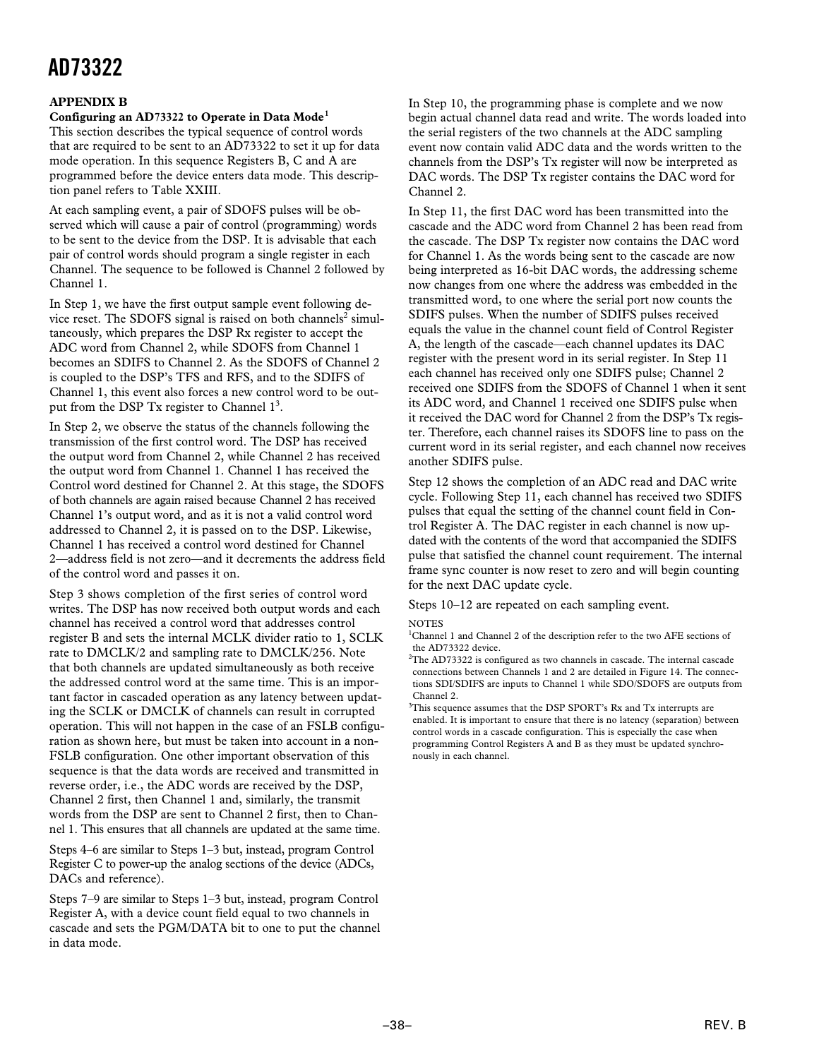#### **APPENDIX B**

#### **Configuring an AD73322 to Operate in Data Mode<sup>1</sup>**

This section describes the typical sequence of control words that are required to be sent to an AD73322 to set it up for data mode operation. In this sequence Registers B, C and A are programmed before the device enters data mode. This description panel refers to Table XXIII.

At each sampling event, a pair of SDOFS pulses will be observed which will cause a pair of control (programming) words to be sent to the device from the DSP. It is advisable that each pair of control words should program a single register in each Channel. The sequence to be followed is Channel 2 followed by Channel 1.

In Step 1, we have the first output sample event following device reset. The SDOFS signal is raised on both channels<sup>2</sup> simultaneously, which prepares the DSP Rx register to accept the ADC word from Channel 2, while SDOFS from Channel 1 becomes an SDIFS to Channel 2. As the SDOFS of Channel 2 is coupled to the DSP's TFS and RFS, and to the SDIFS of Channel 1, this event also forces a new control word to be output from the DSP Tx register to Channel  $1<sup>3</sup>$ .

In Step 2, we observe the status of the channels following the transmission of the first control word. The DSP has received the output word from Channel 2, while Channel 2 has received the output word from Channel 1. Channel 1 has received the Control word destined for Channel 2. At this stage, the SDOFS of both channels are again raised because Channel 2 has received Channel 1's output word, and as it is not a valid control word addressed to Channel 2, it is passed on to the DSP. Likewise, Channel 1 has received a control word destined for Channel 2—address field is not zero—and it decrements the address field of the control word and passes it on.

Step 3 shows completion of the first series of control word writes. The DSP has now received both output words and each channel has received a control word that addresses control register B and sets the internal MCLK divider ratio to 1, SCLK rate to DMCLK/2 and sampling rate to DMCLK/256. Note that both channels are updated simultaneously as both receive the addressed control word at the same time. This is an important factor in cascaded operation as any latency between updating the SCLK or DMCLK of channels can result in corrupted operation. This will not happen in the case of an FSLB configuration as shown here, but must be taken into account in a non-FSLB configuration. One other important observation of this sequence is that the data words are received and transmitted in reverse order, i.e., the ADC words are received by the DSP, Channel 2 first, then Channel 1 and, similarly, the transmit words from the DSP are sent to Channel 2 first, then to Channel 1. This ensures that all channels are updated at the same time.

Steps 4–6 are similar to Steps 1–3 but, instead, program Control Register C to power-up the analog sections of the device (ADCs, DACs and reference).

Steps 7–9 are similar to Steps 1–3 but, instead, program Control Register A, with a device count field equal to two channels in cascade and sets the PGM/DATA bit to one to put the channel in data mode.

In Step 10, the programming phase is complete and we now begin actual channel data read and write. The words loaded into the serial registers of the two channels at the ADC sampling event now contain valid ADC data and the words written to the channels from the DSP's Tx register will now be interpreted as DAC words. The DSP Tx register contains the DAC word for Channel 2.

In Step 11, the first DAC word has been transmitted into the cascade and the ADC word from Channel 2 has been read from the cascade. The DSP Tx register now contains the DAC word for Channel 1. As the words being sent to the cascade are now being interpreted as 16-bit DAC words, the addressing scheme now changes from one where the address was embedded in the transmitted word, to one where the serial port now counts the SDIFS pulses. When the number of SDIFS pulses received equals the value in the channel count field of Control Register A, the length of the cascade—each channel updates its DAC register with the present word in its serial register. In Step 11 each channel has received only one SDIFS pulse; Channel 2 received one SDIFS from the SDOFS of Channel 1 when it sent its ADC word, and Channel 1 received one SDIFS pulse when it received the DAC word for Channel 2 from the DSP's Tx register. Therefore, each channel raises its SDOFS line to pass on the current word in its serial register, and each channel now receives another SDIFS pulse.

Step 12 shows the completion of an ADC read and DAC write cycle. Following Step 11, each channel has received two SDIFS pulses that equal the setting of the channel count field in Control Register A. The DAC register in each channel is now updated with the contents of the word that accompanied the SDIFS pulse that satisfied the channel count requirement. The internal frame sync counter is now reset to zero and will begin counting for the next DAC update cycle.

Steps 10–12 are repeated on each sampling event.

**NOTES** 

<sup>1</sup>Channel 1 and Channel 2 of the description refer to the two AFE sections of the AD73322 device.

 $^{2}$ The AD73322 is configured as two channels in cascade. The internal cascade connections between Channels 1 and 2 are detailed in Figure 14. The connections SDI/SDIFS are inputs to Channel 1 while SDO/SDOFS are outputs from Channel 2.

<sup>3</sup>This sequence assumes that the DSP SPORT's Rx and Tx interrupts are enabled. It is important to ensure that there is no latency (separation) between control words in a cascade configuration. This is especially the case when programming Control Registers A and B as they must be updated synchronously in each channel.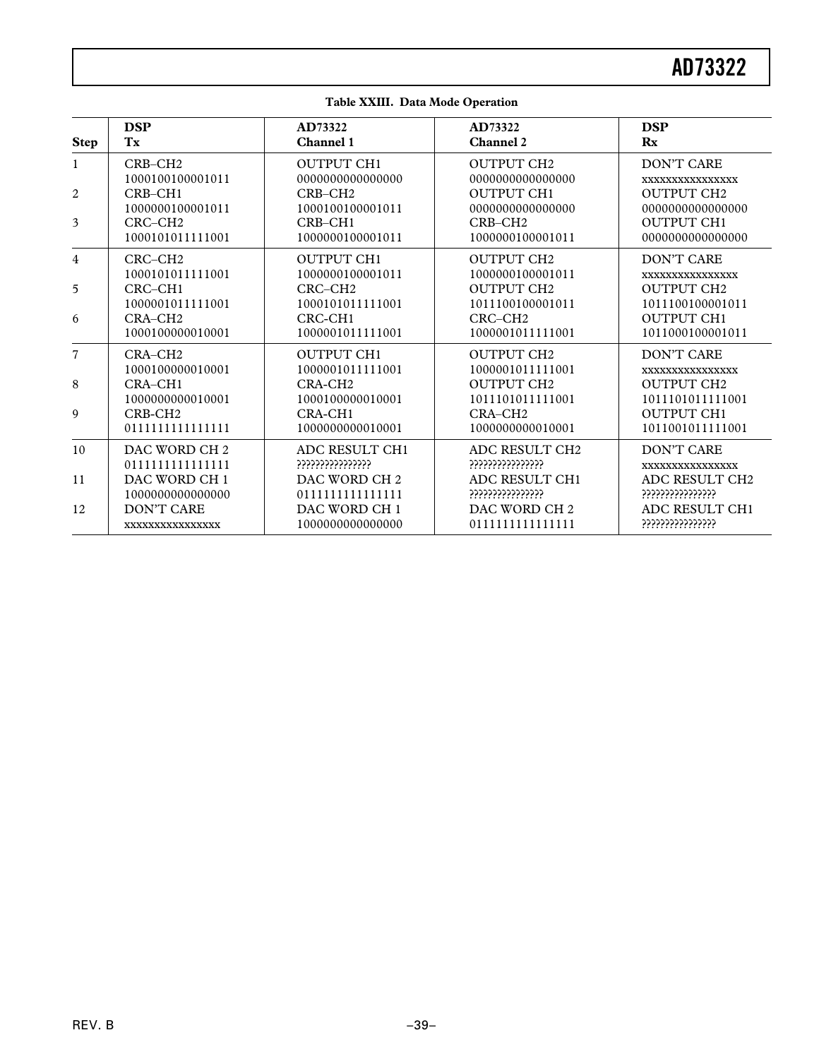| <b>Step</b>    | <b>DSP</b>               | AD73322                  | AD73322                  | <b>DSP</b>        |
|----------------|--------------------------|--------------------------|--------------------------|-------------------|
|                | Tx                       | Channel 1                | <b>Channel 2</b>         | Rx                |
| 1              | $CRB-CH2$                | <b>OUTPUT CH1</b>        | <b>OUTPUT CH2</b>        | DON'T CARE        |
|                | 1000100100001011         | 0000000000000000         | 0000000000000000         | XXXXXXXXXXXXXXXX  |
| $\overline{c}$ | $CRB-CH1$                | $CRB-CH2$                | <b>OUTPUT CH1</b>        | <b>OUTPUT CH2</b> |
|                | 1000000100001011         | 1000100100001011         | 0000000000000000         | 0000000000000000  |
| 3              | $CRC-CH2$                | $CRB-CH1$                | CRB-CH <sub>2</sub>      | <b>OUTPUT CH1</b> |
|                | 1000101011111001         | 1000000100001011         | 1000000100001011         | 0000000000000000  |
| 4              | CRC-CH <sub>2</sub>      | <b>OUTPUT CH1</b>        | <b>OUTPUT CH2</b>        | <b>DON'T CARE</b> |
|                | 1000101011111001         | 1000000100001011         | 1000000100001011         | XXXXXXXXXXXXXXX   |
| 5              | $CRC-CH1$                | $CRC-CH2$                | <b>OUTPUT CH2</b>        | <b>OUTPUT CH2</b> |
|                | 1000001011111001         | 1000101011111001         | 1011100100001011         | 1011100100001011  |
| 6              | CRA-CH <sub>2</sub>      | CRC-CH <sub>1</sub>      | CRC-CH <sub>2</sub>      | <b>OUTPUT CH1</b> |
|                | 1000100000010001         | 1000001011111001         | 1000001011111001         | 1011000100001011  |
| 7              | CRA-CH <sub>2</sub>      | <b>OUTPUT CH1</b>        | <b>OUTPUT CH2</b>        | <b>DON'T CARE</b> |
|                | 1000100000010001         | 1000001011111001         | 1000001011111001         | XXXXXXXXXXXXXXXX  |
| 8              | $CRA-CH1$                | CRA-CH <sub>2</sub>      | <b>OUTPUT CH2</b>        | <b>OUTPUT CH2</b> |
|                | 1000000000010001         | 1000100000010001         | 1011101011111001         | 1011101011111001  |
| 9              | CRB-CH <sub>2</sub>      | CRA-CH1                  | CRA-CH <sub>2</sub>      | <b>OUTPUT CH1</b> |
|                | 0111111111111111         | 1000000000010001         | 1000000000010001         | 1011001011111001  |
| 10             | DAC WORD CH <sub>2</sub> | ADC RESULT CH1           | ADC RESULT CH2           | <b>DON'T CARE</b> |
|                | 0111111111111111         | ???????????????          | ???????????????          | XXXXXXXXXXXXXXX   |
| 11             | DAC WORD CH 1            | DAC WORD CH <sub>2</sub> | ADC RESULT CH1           | ADC RESULT CH2    |
|                | 1000000000000000         | 0111111111111111         | ????????????????         | ????????????????  |
| 12             | <b>DON'T CARE</b>        | DAC WORD CH 1            | DAC WORD CH <sub>2</sub> | ADC RESULT CH1    |
|                | XXXXXXXXXXXXXXXX         | 1000000000000000         | 0111111111111111         | ????????????????  |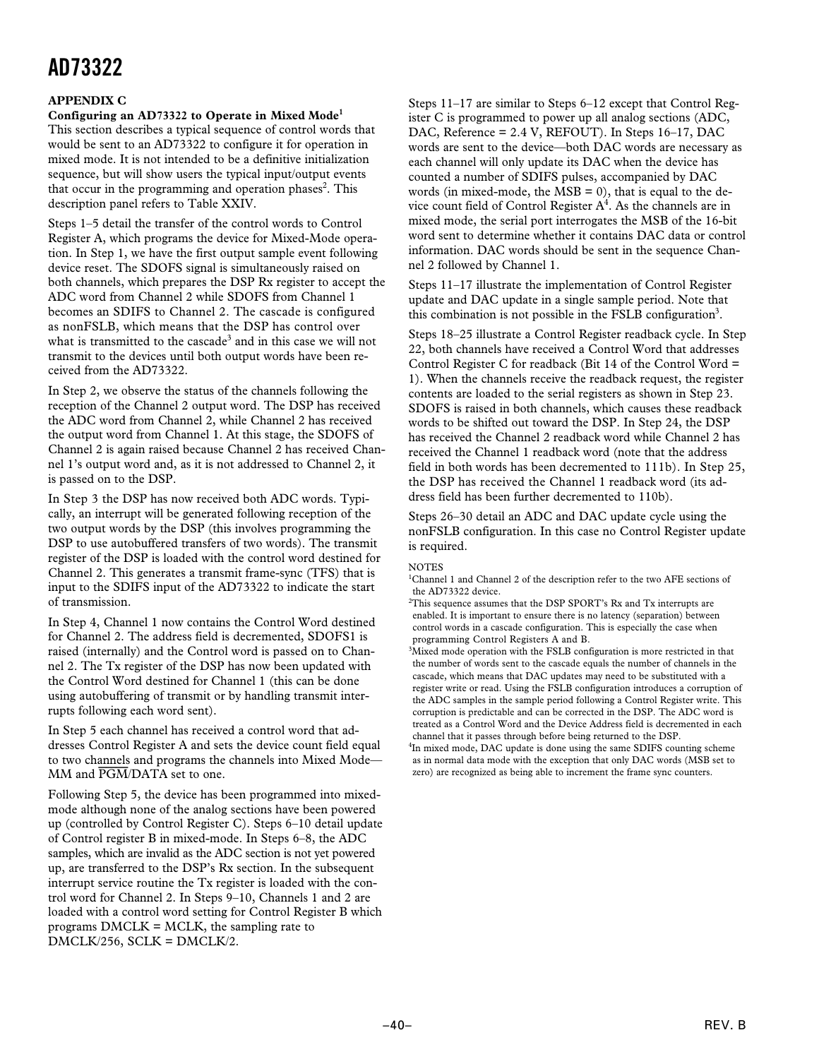#### **APPENDIX C**

#### **Configuring an AD73322 to Operate in Mixed Mode<sup>1</sup>**

This section describes a typical sequence of control words that would be sent to an AD73322 to configure it for operation in mixed mode. It is not intended to be a definitive initialization sequence, but will show users the typical input/output events that occur in the programming and operation phases<sup>2</sup>. This description panel refers to Table XXIV.

Steps 1–5 detail the transfer of the control words to Control Register A, which programs the device for Mixed-Mode operation. In Step 1, we have the first output sample event following device reset. The SDOFS signal is simultaneously raised on both channels, which prepares the DSP Rx register to accept the ADC word from Channel 2 while SDOFS from Channel 1 becomes an SDIFS to Channel 2. The cascade is configured as nonFSLB, which means that the DSP has control over what is transmitted to the cascade<sup>3</sup> and in this case we will not transmit to the devices until both output words have been received from the AD73322.

In Step 2, we observe the status of the channels following the reception of the Channel 2 output word. The DSP has received the ADC word from Channel 2, while Channel 2 has received the output word from Channel 1. At this stage, the SDOFS of Channel 2 is again raised because Channel 2 has received Channel 1's output word and, as it is not addressed to Channel 2, it is passed on to the DSP.

In Step 3 the DSP has now received both ADC words. Typically, an interrupt will be generated following reception of the two output words by the DSP (this involves programming the DSP to use autobuffered transfers of two words). The transmit register of the DSP is loaded with the control word destined for Channel 2. This generates a transmit frame-sync (TFS) that is input to the SDIFS input of the AD73322 to indicate the start of transmission.

In Step 4, Channel 1 now contains the Control Word destined for Channel 2. The address field is decremented, SDOFS1 is raised (internally) and the Control word is passed on to Channel 2. The Tx register of the DSP has now been updated with the Control Word destined for Channel 1 (this can be done using autobuffering of transmit or by handling transmit interrupts following each word sent).

In Step 5 each channel has received a control word that addresses Control Register A and sets the device count field equal to two channels and programs the channels into Mixed Mode— MM and *PGM*/DATA set to one.

Following Step 5, the device has been programmed into mixedmode although none of the analog sections have been powered up (controlled by Control Register C). Steps 6–10 detail update of Control register B in mixed-mode. In Steps 6–8, the ADC samples, which are invalid as the ADC section is not yet powered up, are transferred to the DSP's Rx section. In the subsequent interrupt service routine the Tx register is loaded with the control word for Channel 2. In Steps 9–10, Channels 1 and 2 are loaded with a control word setting for Control Register B which programs DMCLK = MCLK, the sampling rate to DMCLK/256, SCLK = DMCLK/2.

Steps 11–17 are similar to Steps 6–12 except that Control Register C is programmed to power up all analog sections (ADC, DAC, Reference = 2.4 V, REFOUT). In Steps 16–17, DAC words are sent to the device—both DAC words are necessary as each channel will only update its DAC when the device has counted a number of SDIFS pulses, accompanied by DAC words (in mixed-mode, the  $MSB = 0$ ), that is equal to the device count field of Control Register  $A<sup>4</sup>$ . As the channels are in mixed mode, the serial port interrogates the MSB of the 16-bit word sent to determine whether it contains DAC data or control information. DAC words should be sent in the sequence Channel 2 followed by Channel 1.

Steps 11–17 illustrate the implementation of Control Register update and DAC update in a single sample period. Note that this combination is not possible in the FSLB configuration<sup>3</sup>.

Steps 18–25 illustrate a Control Register readback cycle. In Step 22, both channels have received a Control Word that addresses Control Register C for readback (Bit 14 of the Control Word = 1). When the channels receive the readback request, the register contents are loaded to the serial registers as shown in Step 23. SDOFS is raised in both channels, which causes these readback words to be shifted out toward the DSP. In Step 24, the DSP has received the Channel 2 readback word while Channel 2 has received the Channel 1 readback word (note that the address field in both words has been decremented to 111b). In Step 25, the DSP has received the Channel 1 readback word (its address field has been further decremented to 110b).

Steps 26–30 detail an ADC and DAC update cycle using the nonFSLB configuration. In this case no Control Register update is required.

#### NOTES

<sup>1</sup>Channel 1 and Channel 2 of the description refer to the two AFE sections of the AD73322 device.

 ${}^{2}$ This sequence assumes that the DSP SPORT's Rx and Tx interrupts are enabled. It is important to ensure there is no latency (separation) between control words in a cascade configuration. This is especially the case when programming Control Registers A and B.

 $3$ Mixed mode operation with the FSLB configuration is more restricted in that the number of words sent to the cascade equals the number of channels in the cascade, which means that DAC updates may need to be substituted with a register write or read. Using the FSLB configuration introduces a corruption of the ADC samples in the sample period following a Control Register write. This corruption is predictable and can be corrected in the DSP. The ADC word is treated as a Control Word and the Device Address field is decremented in each channel that it passes through before being returned to the DSP.

<sup>4</sup>In mixed mode, DAC update is done using the same SDIFS counting scheme as in normal data mode with the exception that only DAC words (MSB set to zero) are recognized as being able to increment the frame sync counters.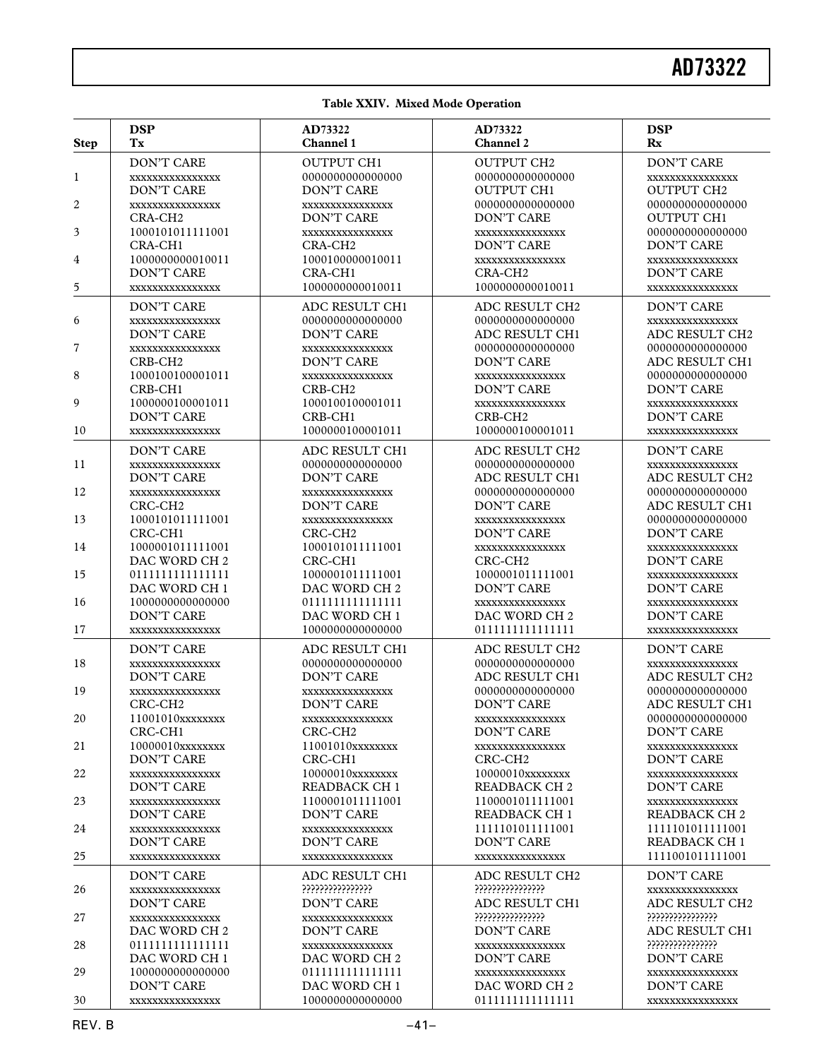#### **Table XXIV. Mixed Mode Operation**

| <b>Step</b> | <b>DSP</b>                                                                      | AD73322                                                                | AD73322                                                                  | <b>DSP</b>                                                                   |
|-------------|---------------------------------------------------------------------------------|------------------------------------------------------------------------|--------------------------------------------------------------------------|------------------------------------------------------------------------------|
|             | Tx                                                                              | Channel 1                                                              | <b>Channel 2</b>                                                         | $\mathbf{R}$                                                                 |
| 1           | <b>DON'T CARE</b>                                                               | <b>OUTPUT CH1</b>                                                      | <b>OUTPUT CH2</b>                                                        | <b>DON'T CARE</b>                                                            |
|             | XXXXXXXXXXXXXXX                                                                 | 0000000000000000                                                       | 000000000000000                                                          | XXXXXXXXXXXXXXX                                                              |
|             | <b>DON'T CARE</b>                                                               | <b>DON'T CARE</b>                                                      | <b>OUTPUT CH1</b>                                                        | <b>OUTPUT CH2</b>                                                            |
| 2<br>3      | XXXXXXXXXXXXXXX<br>CRA-CH <sub>2</sub><br>1000101011111001                      | XXXXXXXXXXXXXXX<br><b>DON'T CARE</b><br>XXXXXXXXXXXXXXX                | 000000000000000<br>DON'T CARE<br>XXXXXXXXXXXXXXX                         | 000000000000000<br><b>OUTPUT CH1</b><br>0000000000000000                     |
| 4<br>5      | CRA-CH <sub>1</sub><br>1000000000010011<br><b>DON'T CARE</b><br>XXXXXXXXXXXXXXX | CRA-CH <sub>2</sub><br>1000100000010011<br>CRA-CH1<br>1000000000010011 | DON'T CARE<br>XXXXXXXXXXXXXXX<br>CRA-CH <sub>2</sub><br>1000000000010011 | <b>DON'T CARE</b><br>XXXXXXXXXXXXXXX<br><b>DON'T CARE</b><br>XXXXXXXXXXXXXXX |
| 6           | <b>DON'T CARE</b>                                                               | ADC RESULT CH1                                                         | ADC RESULT CH2                                                           | <b>DON'T CARE</b>                                                            |
|             | XXXXXXXXXXXXXXX                                                                 | 0000000000000000                                                       | 0000000000000000                                                         | XXXXXXXXXXXXXXX                                                              |
|             | <b>DON'T CARE</b>                                                               | <b>DON'T CARE</b>                                                      | ADC RESULT CH1                                                           | ADC RESULT CH2                                                               |
| 7<br>8      | XXXXXXXXXXXXXXX<br>CRB-CH <sub>2</sub><br>1000100100001011                      | XXXXXXXXXXXXXXX<br>DON'T CARE<br>XXXXXXXXXXXXXXX                       | 0000000000000000<br><b>DON'T CARE</b><br>XXXXXXXXXXXXXXX                 | 000000000000000<br>ADC RESULT CH1<br>0000000000000000                        |
| 9           | CRB-CH1                                                                         | CRB-CH <sub>2</sub>                                                    | <b>DON'T CARE</b>                                                        | <b>DON'T CARE</b>                                                            |
|             | 1000000100001011                                                                | 1000100100001011                                                       | XXXXXXXXXXXXXXX                                                          | XXXXXXXXXXXXXXX                                                              |
|             | <b>DON'T CARE</b>                                                               | CRB-CH1                                                                | CRB-CH <sub>2</sub>                                                      | DON'T CARE                                                                   |
| 10          | XXXXXXXXXXXXXXX                                                                 | 1000000100001011                                                       | 1000000100001011                                                         | XXXXXXXXXXXXXXX                                                              |
| 11          | <b>DON'T CARE</b>                                                               | ADC RESULT CH1                                                         | ADC RESULT CH2                                                           | DON'T CARE                                                                   |
|             | XXXXXXXXXXXXXXX                                                                 | 0000000000000000                                                       | 0000000000000000                                                         | XXXXXXXXXXXXXXX                                                              |
|             | DON'T CARE                                                                      | <b>DON'T CARE</b>                                                      | ADC RESULT CH1                                                           | ADC RESULT CH2                                                               |
| 12          | XXXXXXXXXXXXXXX                                                                 | XXXXXXXXXXXXXXX                                                        | 0000000000000000                                                         | 0000000000000000                                                             |
|             | CRC-CH <sub>2</sub>                                                             | <b>DON'T CARE</b>                                                      | <b>DON'T CARE</b>                                                        | ADC RESULT CH1                                                               |
| 13          | 1000101011111001                                                                | XXXXXXXXXXXXXXX                                                        | XXXXXXXXXXXXXXX                                                          | 0000000000000000                                                             |
|             | CRC-CH1                                                                         | CRC-CH <sub>2</sub>                                                    | <b>DON'T CARE</b>                                                        | <b>DON'T CARE</b>                                                            |
| 14          | 1000001011111001                                                                | 1000101011111001                                                       | XXXXXXXXXXXXXXX                                                          | XXXXXXXXXXXXXXX                                                              |
|             | DAC WORD CH <sub>2</sub>                                                        | CRC-CH1                                                                | CRC-CH <sub>2</sub>                                                      | DON'T CARE                                                                   |
| 15          | 0111111111111111                                                                | 1000001011111001                                                       | 1000001011111001                                                         | XXXXXXXXXXXXXXX                                                              |
|             | DAC WORD CH 1                                                                   | DAC WORD CH 2                                                          | <b>DON'T CARE</b>                                                        | DON'T CARE                                                                   |
| 16          | 1000000000000000                                                                | 0111111111111111                                                       | XXXXXXXXXXXXXXX                                                          | XXXXXXXXXXXXXXX                                                              |
|             | DON'T CARE                                                                      | DAC WORD CH 1                                                          | DAC WORD CH <sub>2</sub>                                                 | DON'T CARE                                                                   |
| 17          | XXXXXXXXXXXXXXX                                                                 | 1000000000000000                                                       | 0111111111111111                                                         | XXXXXXXXXXXXXXX                                                              |
| 18          | <b>DON'T CARE</b>                                                               | ADC RESULT CH1                                                         | ADC RESULT CH2                                                           | <b>DON'T CARE</b>                                                            |
|             | XXXXXXXXXXXXXXX                                                                 | 0000000000000000                                                       | 000000000000000                                                          | XXXXXXXXXXXXXXX                                                              |
|             | DON'T CARE                                                                      | <b>DON'T CARE</b>                                                      | ADC RESULT CH1                                                           | ADC RESULT CH2                                                               |
| 19          | XXXXXXXXXXXXXXX                                                                 | XXXXXXXXXXXXXXX                                                        | 000000000000000                                                          | 0000000000000000                                                             |
|             | CRC-CH <sub>2</sub>                                                             | <b>DON'T CARE</b>                                                      | <b>DON'T CARE</b>                                                        | ADC RESULT CH1                                                               |
| 20          | 11001010xxxxxxxx                                                                | XXXXXXXXXXXXXXX                                                        | XXXXXXXXXXXXXXX                                                          | 0000000000000000                                                             |
|             | CRC-CH1                                                                         | CRC-CH <sub>2</sub>                                                    | <b>DON'T CARE</b>                                                        | DON'T CARE                                                                   |
| 21          | 10000010xxxxxxxx                                                                | 11001010xxxxxxxx                                                       | XXXXXXXXXXXXXXX                                                          | XXXXXXXXXXXXXXX                                                              |
|             | DON'T CARE                                                                      | CRC-CH <sub>1</sub>                                                    | CRC-CH <sub>2</sub>                                                      | DON'T CARE                                                                   |
| 22          | XXXXXXXXXXXXXXX                                                                 | 10000010xxxxxxxx                                                       | 10000010xxxxxxxx                                                         | XXXXXXXXXXXXXXX                                                              |
|             | DON'T CARE                                                                      | <b>READBACK CH 1</b>                                                   | READBACK CH <sub>2</sub>                                                 | DON'T CARE                                                                   |
| 23          | XXXXXXXXXXXXXXX                                                                 | 1100001011111001                                                       | 1100001011111001                                                         | XXXXXXXXXXXXXXX                                                              |
|             | DON'T CARE                                                                      | <b>DON'T CARE</b>                                                      | <b>READBACK CH 1</b>                                                     | <b>READBACK CH 2</b>                                                         |
| 24          | XXXXXXXXXXXXXXX                                                                 | XXXXXXXXXXXXXXX                                                        | 1111101011111001                                                         | 1111101011111001                                                             |
|             | DON'T CARE                                                                      | DON'T CARE                                                             | DON'T CARE                                                               | <b>READBACK CH 1</b>                                                         |
| 25          | XXXXXXXXXXXXXXX                                                                 | XXXXXXXXXXXXXXX                                                        | XXXXXXXXXXXXXXX                                                          | 1111001011111001                                                             |
| 26          | DON'T CARE                                                                      | ADC RESULT CH1                                                         | ADC RESULT CH2                                                           | DON'T CARE                                                                   |
|             | XXXXXXXXXXXXXXX                                                                 | ?????????????????                                                      | ?????????????????                                                        | XXXXXXXXXXXXXXX                                                              |
| 27          | DON'T CARE                                                                      | DON'T CARE                                                             | ADC RESULT CH1                                                           | ADC RESULT CH2                                                               |
|             | XXXXXXXXXXXXXXX                                                                 | <b>XXXXXXXXXXXXXXX</b>                                                 | ????????????????                                                         | ?????????????????                                                            |
| 28          | DAC WORD CH 2                                                                   | DON'T CARE                                                             | DON'T CARE                                                               | ADC RESULT CH1                                                               |
|             | 0111111111111111                                                                | XXXXXXXXXXXXXXX                                                        | XXXXXXXXXXXXXXX                                                          | ?????????????????                                                            |
| 29          | DAC WORD CH 1                                                                   | DAC WORD CH <sub>2</sub>                                               | DON'T CARE                                                               | DON'T CARE                                                                   |
|             | 1000000000000000                                                                | 0111111111111111                                                       | XXXXXXXXXXXXXXX                                                          | XXXXXXXXXXXXXXX                                                              |
| 30          | DON'T CARE                                                                      | DAC WORD CH 1                                                          | DAC WORD CH 2                                                            | DON'T CARE                                                                   |
|             | XXXXXXXXXXXXXXX                                                                 | 1000000000000000                                                       | 0111111111111111                                                         | XXXXXXXXXXXXXXX                                                              |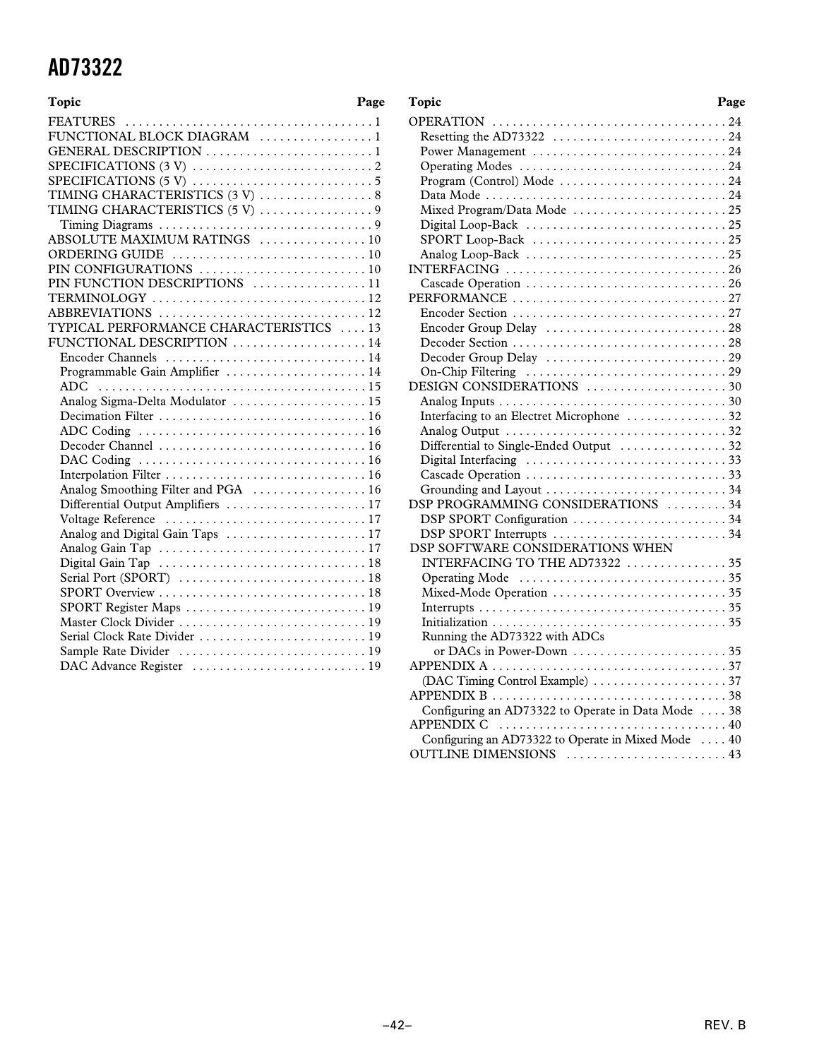| Topic                                   | Page |
|-----------------------------------------|------|
|                                         |      |
| FUNCTIONAL BLOCK DIAGRAM 1              |      |
| GENERAL DESCRIPTION 1                   |      |
|                                         |      |
|                                         |      |
|                                         |      |
| TIMING CHARACTERISTICS (5V) 9           |      |
|                                         |      |
| ABSOLUTE MAXIMUM RATINGS  10            |      |
|                                         |      |
|                                         |      |
| PIN FUNCTION DESCRIPTIONS 11            |      |
| TERMINOLOGY 12                          |      |
| ABBREVIATIONS 12                        |      |
| TYPICAL PERFORMANCE CHARACTERISTICS  13 |      |
| FUNCTIONAL DESCRIPTION 14               |      |
| Encoder Channels  14                    |      |
| Programmable Gain Amplifier  14         |      |
| <b>ADC</b>                              |      |
| Analog Sigma-Delta Modulator  15        |      |
|                                         |      |
|                                         |      |
|                                         |      |
|                                         |      |
|                                         |      |
| Analog Smoothing Filter and PGA  16     |      |
| Differential Output Amplifiers  17      |      |
|                                         |      |
| Analog and Digital Gain Taps  17        |      |
|                                         |      |
|                                         |      |
|                                         |      |
|                                         |      |
|                                         |      |
|                                         |      |
|                                         |      |
|                                         |      |
|                                         |      |
|                                         |      |

| Topic                                                 | Page |
|-------------------------------------------------------|------|
|                                                       |      |
|                                                       |      |
|                                                       |      |
|                                                       |      |
|                                                       |      |
|                                                       |      |
| Mixed Program/Data Mode 25                            |      |
|                                                       |      |
|                                                       |      |
|                                                       |      |
|                                                       |      |
|                                                       |      |
|                                                       |      |
|                                                       |      |
|                                                       |      |
|                                                       |      |
|                                                       |      |
|                                                       |      |
| DESIGN CONSIDERATIONS 30                              |      |
|                                                       |      |
| Interfacing to an Electret Microphone  32             |      |
|                                                       |      |
| Differential to Single-Ended Output 32                |      |
|                                                       |      |
|                                                       |      |
|                                                       |      |
| DSP PROGRAMMING CONSIDERATIONS 34                     |      |
| DSP SPORT Configuration 34<br>DSP SPORT Interrupts 34 |      |
| DSP SOFTWARE CONSIDERATIONS WHEN                      |      |
| INTERFACING TO THE AD73322 35                         |      |
|                                                       |      |
|                                                       |      |
|                                                       |      |
|                                                       |      |
| Running the AD73322 with ADCs                         |      |
|                                                       |      |
|                                                       |      |
|                                                       |      |
|                                                       |      |
| Configuring an AD73322 to Operate in Data Mode  38    |      |
|                                                       |      |
| Configuring an AD73322 to Operate in Mixed Mode  40   |      |
| OUTLINE DIMENSIONS  43                                |      |